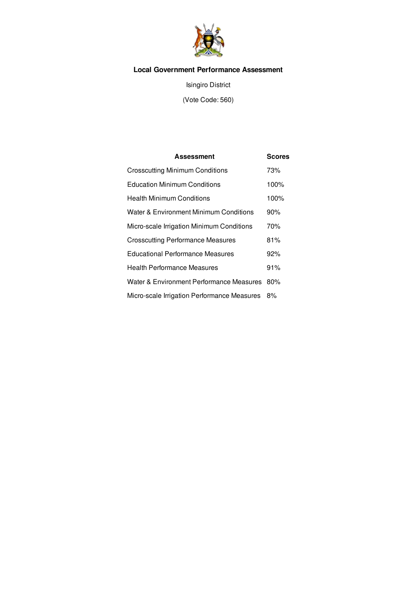

## **Local Government Performance Assessment**

Isingiro District

(Vote Code: 560)

| Assessment                                  | <b>Scores</b> |
|---------------------------------------------|---------------|
| <b>Crosscutting Minimum Conditions</b>      | 73%           |
| <b>Education Minimum Conditions</b>         | 100%          |
| Health Minimum Conditions                   | 100%          |
| Water & Environment Minimum Conditions      | 90%           |
| Micro-scale Irrigation Minimum Conditions   | 70%           |
| <b>Crosscutting Performance Measures</b>    | 81%           |
| <b>Educational Performance Measures</b>     | 92%           |
| <b>Health Performance Measures</b>          | 91%           |
| Water & Environment Performance Measures    | 80%           |
| Micro-scale Irrigation Performance Measures | 8%            |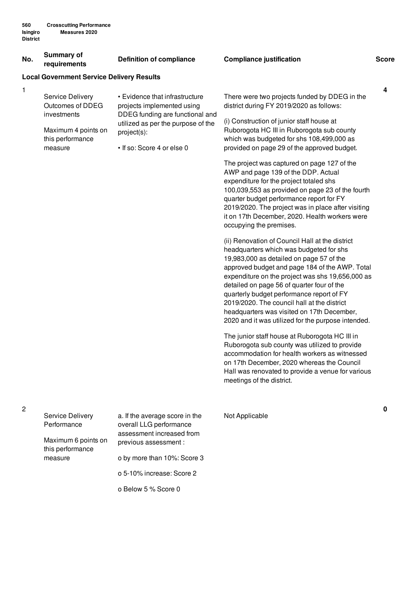#### **No. Summary of requirements Definition of compliance Compliance justification Score**

#### **Local Government Service Delivery Results**

| 1 | Service Delivery<br>Outcomes of DDEG<br>investments | • Evidence that infrastructure<br>projects implemented using | There were two projects funded by DDEG in the<br>district during FY 2019/2020 as follows: |
|---|-----------------------------------------------------|--------------------------------------------------------------|-------------------------------------------------------------------------------------------|
|   |                                                     | DDEG funding are functional and                              | (i) Construction of junior staff house at                                                 |
|   | Maximum 4 points on<br>this performance             | utilized as per the purpose of the<br>project(s):            | Ruborogota HC III in Ruborogota sub county<br>which was budgeted for shs 108,499,000 as   |
|   | measure                                             | • If so: Score 4 or else 0                                   | provided on page 29 of the approved budget.                                               |
|   |                                                     |                                                              | The project was captured on page 127 of the                                               |
|   |                                                     |                                                              | AWP and page 139 of the DDP. Actual                                                       |
|   |                                                     |                                                              | expenditure for the project totaled shs                                                   |
|   |                                                     |                                                              | 100,039,553 as provided on page 23 of the fourth                                          |
|   |                                                     |                                                              | quarter budget performance report for FY                                                  |
|   |                                                     |                                                              | 2019/2020. The project was in place after visiting                                        |
|   |                                                     |                                                              | it on 17th December, 2020. Health workers were                                            |

(ii) Renovation of Council Hall at the district headquarters which was budgeted for shs 19,983,000 as detailed on page 57 of the approved budget and page 184 of the AWP. Total expenditure on the project was shs 19,656,000 as detailed on page 56 of quarter four of the quarterly budget performance report of FY 2019/2020. The council hall at the district headquarters was visited on 17th December, 2020 and it was utilized for the purpose intended.

occupying the premises.

The junior staff house at Ruborogota HC III in Ruborogota sub county was utilized to provide accommodation for health workers as witnessed on 17th December, 2020 whereas the Council Hall was renovated to provide a venue for various meetings of the district.

| Service Delivery<br>Performance         | a. If the average score in the<br>overall LLG performance<br>assessment increased from | Not Applicable |
|-----------------------------------------|----------------------------------------------------------------------------------------|----------------|
| Maximum 6 points on<br>this performance | previous assessment :                                                                  |                |
| measure                                 | o by more than 10%: Score 3                                                            |                |
|                                         | o 5-10% increase: Score 2                                                              |                |
|                                         | o Below 5 % Score 0                                                                    |                |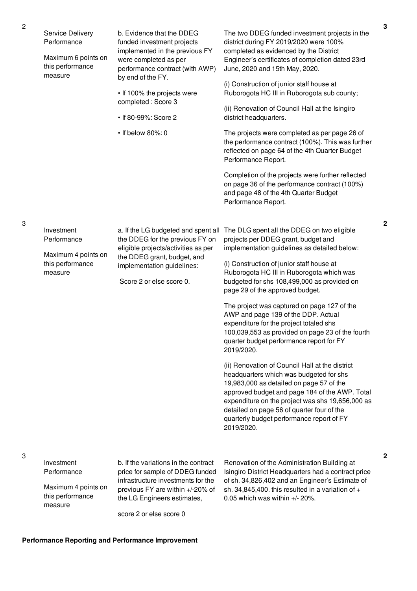| Service Delivery<br>Performance<br>Maximum 6 points on<br>this performance<br>measure | b. Evidence that the DDEG<br>funded investment projects<br>implemented in the previous FY<br>were completed as per<br>performance contract (with AWP)<br>by end of the FY.<br>• If 100% the projects were<br>completed: Score 3<br>• If 80-99%: Score 2<br>• If below 80%: 0 | The two DDEG funded investment projects in the<br>district during FY 2019/2020 were 100%<br>completed as evidenced by the District<br>Engineer's certificates of completion dated 23rd<br>June, 2020 and 15th May, 2020.<br>(i) Construction of junior staff house at<br>Ruborogota HC III in Ruborogota sub county;<br>(ii) Renovation of Council Hall at the Isingiro<br>district headquarters.<br>The projects were completed as per page 26 of<br>the performance contract (100%). This was further<br>reflected on page 64 of the 4th Quarter Budget<br>Performance Report.<br>Completion of the projects were further reflected<br>on page 36 of the performance contract (100%)<br>and page 48 of the 4th Quarter Budget<br>Performance Report.                                                                                                                                                                |
|---------------------------------------------------------------------------------------|------------------------------------------------------------------------------------------------------------------------------------------------------------------------------------------------------------------------------------------------------------------------------|-----------------------------------------------------------------------------------------------------------------------------------------------------------------------------------------------------------------------------------------------------------------------------------------------------------------------------------------------------------------------------------------------------------------------------------------------------------------------------------------------------------------------------------------------------------------------------------------------------------------------------------------------------------------------------------------------------------------------------------------------------------------------------------------------------------------------------------------------------------------------------------------------------------------------|
| Investment<br>Performance<br>Maximum 4 points on<br>this performance<br>measure       | a. If the LG budgeted and spent all<br>the DDEG for the previous FY on<br>eligible projects/activities as per<br>the DDEG grant, budget, and<br>implementation guidelines:<br>Score 2 or else score 0.                                                                       | The DLG spent all the DDEG on two eligible<br>projects per DDEG grant, budget and<br>implementation guidelines as detailed below:<br>(i) Construction of junior staff house at<br>Ruborogota HC III in Ruborogota which was<br>budgeted for shs 108,499,000 as provided on<br>page 29 of the approved budget.<br>The project was captured on page 127 of the<br>AWP and page 139 of the DDP. Actual<br>expenditure for the project totaled shs<br>100,039,553 as provided on page 23 of the fourth<br>quarter budget performance report for FY<br>2019/2020.<br>(ii) Renovation of Council Hall at the district<br>headquarters which was budgeted for shs<br>19,983,000 as detailed on page 57 of the<br>approved budget and page 184 of the AWP. Total<br>expenditure on the project was shs 19,656,000 as<br>detailed on page 56 of quarter four of the<br>quarterly budget performance report of FY<br>2019/2020. |
| Investment<br>Performance<br>Maximum 4 points on<br>this performance                  | b. If the variations in the contract<br>price for sample of DDEG funded<br>infrastructure investments for the<br>previous FY are within +/-20% of<br>the LG Engineers estimates,                                                                                             | Renovation of the Administration Building at<br>Isingiro District Headquarters had a contract price<br>of sh. 34,826,402 and an Engineer's Estimate of<br>sh. 34,845,400. this resulted in a variation of $+$<br>0.05 which was within $+/- 20\%$ .                                                                                                                                                                                                                                                                                                                                                                                                                                                                                                                                                                                                                                                                   |

score 2 or else score 0

3

3

measure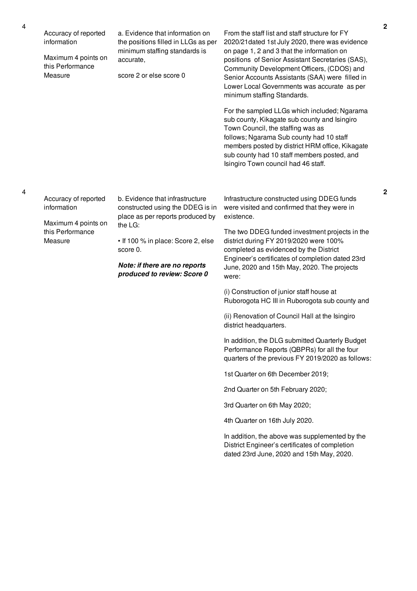4

Accuracy of reported information Maximum 4 points on this Performance Measure a. Evidence that information on the positions filled in LLGs as per minimum staffing standards is accurate, score 2 or else score 0 From the staff list and staff structure for FY 2020/21dated 1st July 2020, there was evidence on page 1, 2 and 3 that the information on positions of Senior Assistant Secretaries (SAS), Community Development Officers, (CDOS) and Senior Accounts Assistants (SAA) were filled in Lower Local Governments was accurate as per minimum staffing Standards. For the sampled LLGs which included; Ngarama sub county, Kikagate sub county and Isingiro Town Council, the staffing was as follows; Ngarama Sub county had 10 staff members posted by district HRM office, Kikagate sub county had 10 staff members posted, and Isingiro Town council had 46 staff. Accuracy of reported information Maximum 4 points on this Performance Measure b. Evidence that infrastructure constructed using the DDEG is in place as per reports produced by the LG: • If 100 % in place: Score 2, else score 0. *Note: if there are no reports produced to review: Score 0* Infrastructure constructed using DDEG funds were visited and confirmed that they were in existence. The two DDEG funded investment projects in the district during FY 2019/2020 were 100% completed as evidenced by the District Engineer's certificates of completion dated 23rd June, 2020 and 15th May, 2020. The projects were:

> (i) Construction of junior staff house at Ruborogota HC III in Ruborogota sub county and

(ii) Renovation of Council Hall at the Isingiro district headquarters.

In addition, the DLG submitted Quarterly Budget Performance Reports (QBPRs) for all the four quarters of the previous FY 2019/2020 as follows:

1st Quarter on 6th December 2019;

2nd Quarter on 5th February 2020;

3rd Quarter on 6th May 2020;

4th Quarter on 16th July 2020.

In addition, the above was supplemented by the District Engineer's certificates of completion dated 23rd June, 2020 and 15th May, 2020.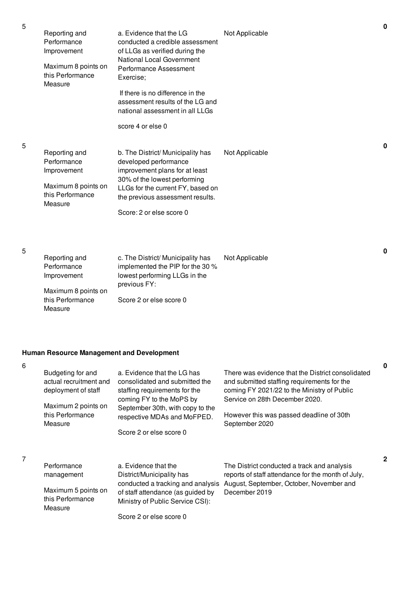| Reporting and<br>Performance<br>Improvement<br>Maximum 8 points on<br>this Performance<br>Measure | a. Evidence that the LG<br>conducted a credible assessment<br>of LLGs as verified during the<br>National Local Government<br>Performance Assessment<br>Exercise:<br>If there is no difference in the<br>assessment results of the LG and<br>national assessment in all LLGs<br>score 4 or else 0 | Not Applicable |
|---------------------------------------------------------------------------------------------------|--------------------------------------------------------------------------------------------------------------------------------------------------------------------------------------------------------------------------------------------------------------------------------------------------|----------------|
| Reporting and<br>Performance<br>Improvement<br>Maximum 8 points on<br>this Performance<br>Measure | b. The District/ Municipality has<br>developed performance<br>improvement plans for at least<br>30% of the lowest performing<br>LLGs for the current FY, based on<br>the previous assessment results.<br>Score: 2 or else score 0                                                                | Not Applicable |
| Reporting and<br>Performance<br>Improvement<br>Maximum 8 points on<br>this Performance            | c. The District/ Municipality has<br>implemented the PIP for the 30 %<br>lowest performing LLGs in the<br>previous FY:<br>Score 2 or else score 0                                                                                                                                                | Not Applicable |

# **Human Resource Management and Development**

|                                                                    |                                                                                                                            |                                                                                                                                                                                   | 0            |
|--------------------------------------------------------------------|----------------------------------------------------------------------------------------------------------------------------|-----------------------------------------------------------------------------------------------------------------------------------------------------------------------------------|--------------|
| Budgeting for and<br>actual recruitment and<br>deployment of staff | a. Evidence that the LG has<br>consolidated and submitted the<br>staffing requirements for the<br>coming FY to the MoPS by | There was evidence that the District consolidated<br>and submitted staffing requirements for the<br>coming FY 2021/22 to the Ministry of Public<br>Service on 28th December 2020. |              |
| Maximum 2 points on<br>this Performance<br>Measure                 | September 30th, with copy to the<br>respective MDAs and MoFPED.                                                            | However this was passed deadline of 30th<br>September 2020                                                                                                                        |              |
|                                                                    | Score 2 or else score 0                                                                                                    |                                                                                                                                                                                   |              |
|                                                                    |                                                                                                                            |                                                                                                                                                                                   | $\mathbf{2}$ |
| Performance                                                        | a. Evidence that the                                                                                                       | The District conducted a track and analysis                                                                                                                                       |              |
| management                                                         | District/Municipality has<br>conducted a tracking and analysis                                                             | reports of staff attendance for the month of July,<br>August, September, October, November and                                                                                    |              |
| Maximum 5 points on<br>this Performance                            | of staff attendance (as guided by                                                                                          | December 2019                                                                                                                                                                     |              |
| Measure                                                            | Ministry of Public Service CSI):                                                                                           |                                                                                                                                                                                   |              |
|                                                                    | Score 2 or else score 0                                                                                                    |                                                                                                                                                                                   |              |

5

5

6

7

Measure

**0**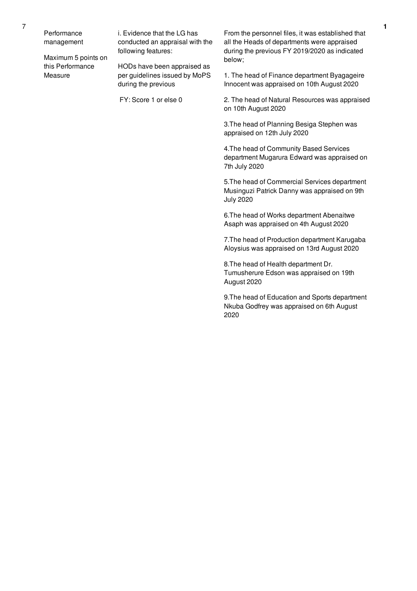Performance management

Maximum 5 points on this Performance Measure

i. Evidence that the LG has conducted an appraisal with the following features:

HODs have been appraised as per guidelines issued by MoPS during the previous

FY: Score 1 or else 0

From the personnel files, it was established that all the Heads of departments were appraised during the previous FY 2019/2020 as indicated below;

1. The head of Finance department Byagageire Innocent was appraised on 10th August 2020

2. The head of Natural Resources was appraised on 10th August 2020

3.The head of Planning Besiga Stephen was appraised on 12th July 2020

4.The head of Community Based Services department Mugarura Edward was appraised on 7th July 2020

5.The head of Commercial Services department Musinguzi Patrick Danny was appraised on 9th July 2020

6.The head of Works department Abenaitwe Asaph was appraised on 4th August 2020

7.The head of Production department Karugaba Aloysius was appraised on 13rd August 2020

8.The head of Health department Dr. Tumusherure Edson was appraised on 19th August 2020

9.The head of Education and Sports department Nkuba Godfrey was appraised on 6th August 2020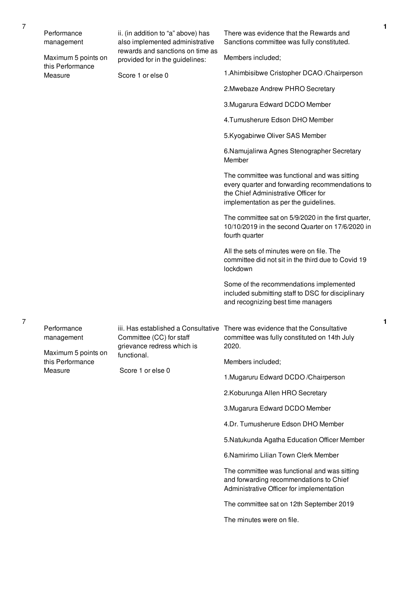|  | Performance<br>management                        | ii. (in addition to "a" above) has<br>also implemented administrative | There was evidence that the Rewards and<br>Sanctions committee was fully constituted.                                                                                            |
|--|--------------------------------------------------|-----------------------------------------------------------------------|----------------------------------------------------------------------------------------------------------------------------------------------------------------------------------|
|  | Maximum 5 points on                              | rewards and sanctions on time as<br>provided for in the guidelines:   | Members included;                                                                                                                                                                |
|  | this Performance<br>Measure                      | Score 1 or else 0                                                     | 1. Ahimbisibwe Cristopher DCAO / Chairperson                                                                                                                                     |
|  |                                                  |                                                                       | 2. Mwebaze Andrew PHRO Secretary                                                                                                                                                 |
|  |                                                  |                                                                       | 3. Mugarura Edward DCDO Member                                                                                                                                                   |
|  |                                                  |                                                                       | 4. Tumusherure Edson DHO Member                                                                                                                                                  |
|  |                                                  |                                                                       | 5. Kyogabirwe Oliver SAS Member                                                                                                                                                  |
|  |                                                  |                                                                       | 6. Namujalirwa Agnes Stenographer Secretary<br>Member                                                                                                                            |
|  |                                                  |                                                                       | The committee was functional and was sitting<br>every quarter and forwarding recommendations to<br>the Chief Administrative Officer for<br>implementation as per the guidelines. |
|  |                                                  |                                                                       | The committee sat on 5/9/2020 in the first quarter,<br>10/10/2019 in the second Quarter on 17/6/2020 in<br>fourth quarter                                                        |
|  |                                                  |                                                                       | All the sets of minutes were on file. The<br>committee did not sit in the third due to Covid 19<br>lockdown                                                                      |
|  |                                                  |                                                                       | Some of the recommendations implemented<br>included submitting staff to DSC for disciplinary<br>and recognizing best time managers                                               |
|  | Performance<br>management<br>Maximum 5 points on | Committee (CC) for staff<br>grievance redress which is                | iii. Has established a Consultative There was evidence that the Consultative<br>committee was fully constituted on 14th July<br>2020.                                            |
|  | this Performance<br>Measure                      | functional.<br>Score 1 or else 0                                      | Members included;                                                                                                                                                                |
|  |                                                  |                                                                       | 1. Mugaruru Edward DCDO / Chairperson                                                                                                                                            |
|  |                                                  |                                                                       | 2. Koburunga Allen HRO Secretary                                                                                                                                                 |
|  |                                                  |                                                                       | 3. Mugarura Edward DCDO Member                                                                                                                                                   |
|  |                                                  |                                                                       | 4.Dr. Tumusherure Edson DHO Member                                                                                                                                               |
|  |                                                  |                                                                       | 5. Natukunda Agatha Education Officer Member                                                                                                                                     |
|  |                                                  |                                                                       | 6.Namirimo Lilian Town Clerk Member                                                                                                                                              |
|  |                                                  |                                                                       | The committee was functional and was sitting<br>and forwarding recommendations to Chief<br>Administrative Officer for implementation                                             |
|  |                                                  |                                                                       | The committee sat on 12th September 2019                                                                                                                                         |
|  |                                                  |                                                                       | The minutes were on file.                                                                                                                                                        |

**1**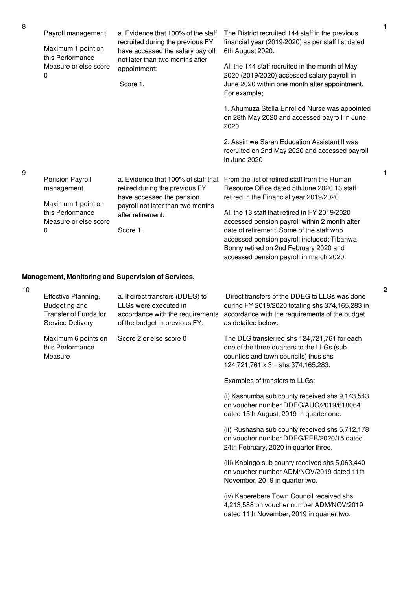| Payroll management<br>Maximum 1 point on<br>this Performance         | a. Evidence that 100% of the staff<br>recruited during the previous FY<br>have accessed the salary payroll<br>not later than two months after | The District recruited 144 staff in the previous<br>financial year (2019/2020) as per staff list dated<br>6th August 2020.                                                                                                          |
|----------------------------------------------------------------------|-----------------------------------------------------------------------------------------------------------------------------------------------|-------------------------------------------------------------------------------------------------------------------------------------------------------------------------------------------------------------------------------------|
| Measure or else score<br>0                                           | appointment:                                                                                                                                  | All the 144 staff recruited in the month of May<br>2020 (2019/2020) accessed salary payroll in                                                                                                                                      |
|                                                                      | Score 1.                                                                                                                                      | June 2020 within one month after appointment.<br>For example;                                                                                                                                                                       |
|                                                                      |                                                                                                                                               | 1. Ahumuza Stella Enrolled Nurse was appointed<br>on 28th May 2020 and accessed payroll in June<br>2020                                                                                                                             |
|                                                                      |                                                                                                                                               | 2. Assimwe Sarah Education Assistant II was<br>recruited on 2nd May 2020 and accessed payroll<br>in June 2020                                                                                                                       |
| Pension Payroll<br>management                                        | a. Evidence that 100% of staff that<br>retired during the previous FY<br>have accessed the pension                                            | From the list of retired staff from the Human<br>Resource Office dated 5th June 2020,13 staff<br>retired in the Financial year 2019/2020.                                                                                           |
| Maximum 1 point on<br>this Performance<br>Measure or else score<br>0 | payroll not later than two months<br>after retirement:<br>Score 1.                                                                            | All the 13 staff that retired in FY 2019/2020<br>accessed pension payroll within 2 month after<br>date of retirement. Some of the staff who<br>accessed pension payroll included; Tibahwa<br>Bonny retired on 2nd February 2020 and |

accessed pension payroll in march 2020.

# **Management, Monitoring and Supervision of Services.**

| 10 |                                                                                          |                                                                                                                                |                                                                                                                                                                                 |
|----|------------------------------------------------------------------------------------------|--------------------------------------------------------------------------------------------------------------------------------|---------------------------------------------------------------------------------------------------------------------------------------------------------------------------------|
|    | Effective Planning,<br>Budgeting and<br><b>Transfer of Funds for</b><br>Service Delivery | a. If direct transfers (DDEG) to<br>LLGs were executed in<br>accordance with the requirements<br>of the budget in previous FY: | Direct transfers of the DDEG to LLGs was done<br>during FY 2019/2020 totaling shs 374,165,283 in<br>accordance with the requirements of the budget<br>as detailed below:        |
|    | Maximum 6 points on<br>this Performance<br>Measure                                       | Score 2 or else score 0                                                                                                        | The DLG transferred shs 124,721,761 for each<br>one of the three quarters to the LLGs (sub<br>counties and town councils) thus shs<br>$124,721,761 \times 3 =$ shs 374,165,283. |
|    |                                                                                          |                                                                                                                                | Examples of transfers to LLGs:                                                                                                                                                  |
|    |                                                                                          |                                                                                                                                | (i) Kashumba sub county received shs 9,143,543<br>on voucher number DDEG/AUG/2019/618064<br>dated 15th August, 2019 in quarter one.                                             |
|    |                                                                                          |                                                                                                                                | (ii) Rushasha sub county received shs 5,712,178<br>on voucher number DDEG/FEB/2020/15 dated<br>24th February, 2020 in quarter three.                                            |
|    |                                                                                          |                                                                                                                                | (iii) Kabingo sub county received shs 5,063,440<br>on voucher number ADM/NOV/2019 dated 11th<br>November, 2019 in quarter two.                                                  |
|    |                                                                                          |                                                                                                                                | (iv) Kaberebere Town Council received shs<br>4,213,588 on voucher number ADM/NOV/2019<br>dated 11th November, 2019 in quarter two.                                              |

**1**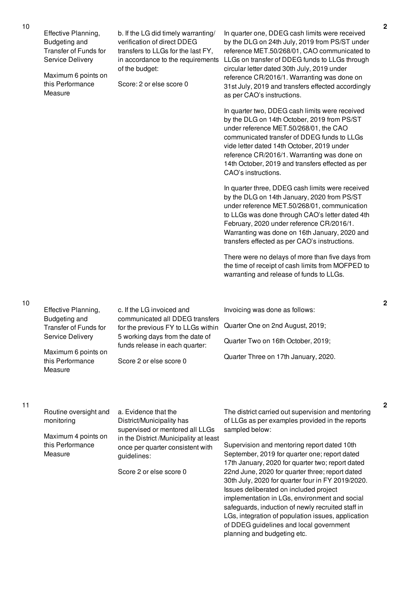| Effective Planning,<br><b>Budgeting and</b><br><b>Transfer of Funds for</b><br>Service Delivery<br>Maximum 6 points on<br>this Performance<br>Measure | b. If the LG did timely warranting/<br>verification of direct DDEG<br>transfers to LLGs for the last FY,<br>in accordance to the requirements<br>of the budget:<br>Score: 2 or else score 0 | In quarter one, DDEG cash limits were received<br>by the DLG on 24th July, 2019 from PS/ST under<br>reference MET.50/268/01, CAO communicated to<br>LLGs on transfer of DDEG funds to LLGs through<br>circular letter dated 30th July, 2019 under<br>reference CR/2016/1. Warranting was done on<br>31st July, 2019 and transfers effected accordingly<br>as per CAO's instructions. |
|-------------------------------------------------------------------------------------------------------------------------------------------------------|---------------------------------------------------------------------------------------------------------------------------------------------------------------------------------------------|--------------------------------------------------------------------------------------------------------------------------------------------------------------------------------------------------------------------------------------------------------------------------------------------------------------------------------------------------------------------------------------|
|                                                                                                                                                       |                                                                                                                                                                                             | In quarter two, DDEG cash limits were received<br>by the DLG on 14th October, 2019 from PS/ST<br>under reference MET.50/268/01, the CAO<br>communicated transfer of DDEG funds to LLGs<br>vide letter dated 14th October, 2019 under<br>reference CR/2016/1. Warranting was done on<br>14th October, 2019 and transfers effected as per<br>CAO's instructions.                       |
|                                                                                                                                                       |                                                                                                                                                                                             | In quarter three, DDEG cash limits were received<br>by the DLG on 14th January, 2020 from PS/ST<br>under reference MET.50/268/01, communication<br>to LLGs was done through CAO's letter dated 4th<br>February, 2020 under reference CR/2016/1.<br>Warranting was done on 16th January, 2020 and<br>transfers effected as per CAO's instructions.                                    |
|                                                                                                                                                       |                                                                                                                                                                                             | There were no delays of more than five days from<br>the time of receipt of cash limits from MOFPED to<br>warranting and release of funds to LLGs.                                                                                                                                                                                                                                    |
| Effective Planning,                                                                                                                                   | c. If the LG invoiced and                                                                                                                                                                   | Invoicing was done as follows:                                                                                                                                                                                                                                                                                                                                                       |
| <b>Budgeting and</b><br>Transfer of Funds for                                                                                                         | communicated all DDEG transfers<br>for the previous FY to LLGs within                                                                                                                       | Quarter One on 2nd August, 2019;                                                                                                                                                                                                                                                                                                                                                     |
| Service Delivery                                                                                                                                      | 5 working days from the date of<br>funds release in each quarter:                                                                                                                           | Quarter Two on 16th October, 2019;                                                                                                                                                                                                                                                                                                                                                   |
| Maximum 6 points on<br>this Performance<br>Measure                                                                                                    | Score 2 or else score 0                                                                                                                                                                     | Quarter Three on 17th January, 2020.                                                                                                                                                                                                                                                                                                                                                 |
| Routine oversight and<br>monitoring                                                                                                                   | a. Evidence that the<br>District/Municipality has                                                                                                                                           | The district carried out supervision and mentoring<br>of LLGs as per examples provided in the reports                                                                                                                                                                                                                                                                                |
| Maximum 4 points on<br>this Performance                                                                                                               | supervised or mentored all LLGs<br>in the District /Municipality at least                                                                                                                   | sampled below:<br>Supervision and mentoring report dated 10th                                                                                                                                                                                                                                                                                                                        |
| Measure                                                                                                                                               | once per quarter consistent with<br>guidelines:                                                                                                                                             | September, 2019 for quarter one; report dated<br>17th January, 2020 for quarter two; report dated                                                                                                                                                                                                                                                                                    |
|                                                                                                                                                       | Score 2 or else score 0                                                                                                                                                                     | 22nd June, 2020 for quarter three; report dated<br>30th July, 2020 for quarter four in FY 2019/2020.<br>Issues deliberated on included project<br>implementation in LGs, environment and social<br>safeguards, induction of newly recruited staff in<br>LGs, integration of population issues, application<br>of DDEG guidelines and local government<br>planning and budgeting etc. |

11

**2**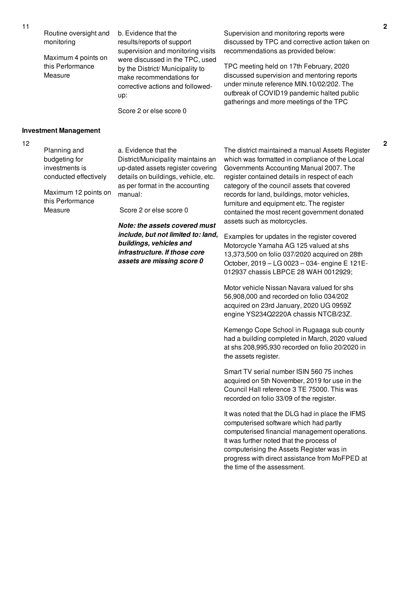Routine oversight and monitoring

Maximum 4 points on this Performance Measure

b. Evidence that the results/reports of support supervision and monitoring visits were discussed in the TPC, used by the District/ Municipality to make recommendations for corrective actions and followedup:

Score 2 or else score 0

Supervision and monitoring reports were discussed by TPC and corrective action taken on recommendations as provided below:

TPC meeting held on 17th February, 2020 discussed supervision and mentoring reports under minute reference MIN.10/02/202. The outbreak of COVID19 pandemic halted public gatherings and more meetings of the TPC

### **Investment Management**

12

Planning and budgeting for investments is conducted effectively

Maximum 12 points on this Performance Measure

a. Evidence that the

District/Municipality maintains an up-dated assets register covering details on buildings, vehicle, etc. as per format in the accounting manual:

Score 2 or else score 0

*Note: the assets covered must include, but not limited to: land, buildings, vehicles and infrastructure. If those core assets are missing score 0*

The district maintained a manual Assets Register which was formatted in compliance of the Local Governments Accounting Manual 2007. The register contained details in respect of each category of the council assets that covered records for land, buildings, motor vehicles, furniture and equipment etc. The register contained the most recent government donated assets such as motorcycles.

Examples for updates in the register covered Motorcycle Yamaha AG 125 valued at shs 13,373,500 on folio 037/2020 acquired on 28th October, 2019 – LG 0023 – 034- engine E 121E-012937 chassis LBPCE 28 WAH 0012929;

Motor vehicle Nissan Navara valued for shs 56,908,000 and recorded on folio 034/202 acquired on 23rd January, 2020 UG 0959Z engine YS234Q2220A chassis NTCB/23Z.

Kemengo Cope School in Rugaaga sub county had a building completed in March, 2020 valued at shs 208,995,930 recorded on folio 20/2020 in the assets register.

Smart TV serial number ISIN 560 75 inches acquired on 5th November, 2019 for use in the Council Hall reference 3 TE 75000. This was recorded on folio 33/09 of the register.

It was noted that the DLG had in place the IFMS computerised software which had partly computerised financial management operations. It was further noted that the process of computerising the Assets Register was in progress with direct assistance from MoFPED at the time of the assessment.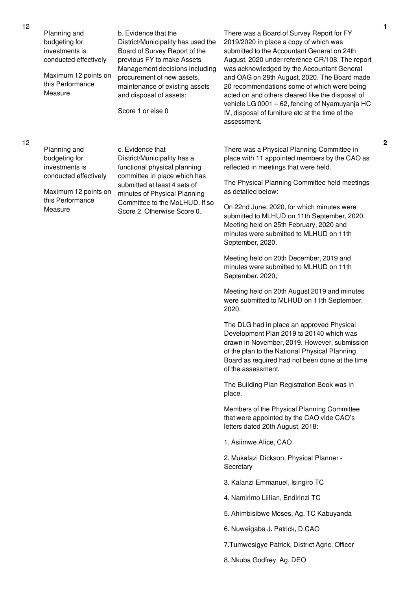Planning and budgeting for investments is conducted effectively Maximum 12 points on this Performance Measure b. Evidence that the District/Municipality has used the Board of Survey Report of the previous FY to make Assets Management decisions including procurement of new assets, maintenance of existing assets and disposal of assets: Score 1 or else 0

Planning and budgeting for investments is conducted effectively

Maximum 12 points on this Performance Measure

c. Evidence that District/Municipality has a functional physical planning committee in place which has submitted at least 4 sets of minutes of Physical Planning Committee to the MoLHUD. If so Score 2. Otherwise Score 0.

There was a Board of Survey Report for FY 2019/2020 in place a copy of which was submitted to the Accountant General on 24th August, 2020 under reference CR/108. The report was acknowledged by the Accountant General and OAG on 28th August, 2020. The Board made 20 recommendations some of which were being acted on and others cleared like the disposal of vehicle LG 0001 – 62, fencing of Nyamuyanja HC IV, disposal of furniture etc at the time of the assessment.

There was a Physical Planning Committee in place with 11 appointed members by the CAO as reflected in meetings that were held.

The Physical Planning Committee held meetings as detailed below:

On 22nd June, 2020, for which minutes were submitted to MLHUD on 11th September, 2020. Meeting held on 25th February, 2020 and minutes were submitted to MLHUD on 11th September, 2020.

Meeting held on 20th December, 2019 and minutes were submitted to MLHUD on 11th September, 2020;

Meeting held on 20th August 2019 and minutes were submitted to MLHUD on 11th September, 2020.

The DLG had in place an approved Physical Development Plan 2019 to 20140 which was drawn in November, 2019. However, submission of the plan to the National Physical Planning Board as required had not been done at the time of the assessment.

The Building Plan Registration Book was in place.

Members of the Physical Planning Committee that were appointed by the CAO vide CAO's letters dated 20th August, 2018:

1. Asiimwe Alice, CAO

2. Mukalazi Dickson, Physical Planner - **Secretary** 

- 3. Kalanzi Emmanuel, Isingiro TC
- 4. Namirimo Lillian, Endirinzi TC
- 5. Ahimbisibwe Moses, Ag. TC Kabuyanda
- 6. Nuweigaba J. Patrick, D.CAO
- 7.Tumwesigye Patrick, District Agric. Officer
- 8. Nkuba Godfrey, Ag. DEO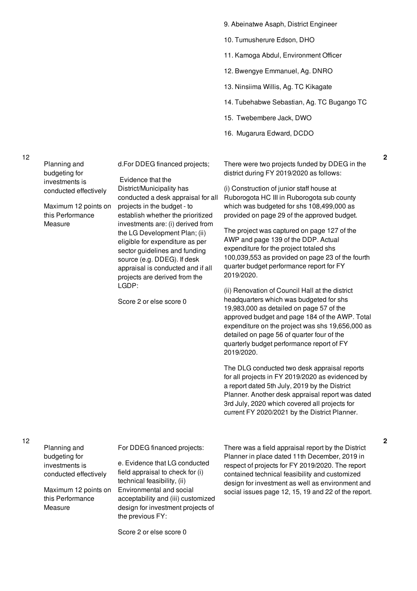- 9. Abeinatwe Asaph, District Engineer
- 10. Tumusherure Edson, DHO
- 11. Kamoga Abdul, Environment Officer
- 12. Bwengye Emmanuel, Ag. DNRO
- 13. Ninsiima Willis, Ag. TC Kikagate
- 14. Tubehabwe Sebastian, Ag. TC Bugango TC
- 15. Twebembere Jack, DWO
- 16. Mugarura Edward, DCDO

There were two projects funded by DDEG in the district during FY 2019/2020 as follows:

(i) Construction of junior staff house at Ruborogota HC III in Ruborogota sub county which was budgeted for shs 108,499,000 as provided on page 29 of the approved budget.

The project was captured on page 127 of the AWP and page 139 of the DDP. Actual expenditure for the project totaled shs 100,039,553 as provided on page 23 of the fourth quarter budget performance report for FY 2019/2020.

(ii) Renovation of Council Hall at the district headquarters which was budgeted for shs 19,983,000 as detailed on page 57 of the approved budget and page 184 of the AWP. Total expenditure on the project was shs 19,656,000 as detailed on page 56 of quarter four of the quarterly budget performance report of FY 2019/2020.

The DLG conducted two desk appraisal reports for all projects in FY 2019/2020 as evidenced by a report dated 5th July, 2019 by the District Planner. Another desk appraisal report was dated 3rd July, 2020 which covered all projects for current FY 2020/2021 by the District Planner.

Planning and budgeting for investments is conducted effectively Maximum 12 points on this Performance Measure d.For DDEG financed projects; Evidence that the District/Municipality has conducted a desk appraisal for all projects in the budget - to establish whether the prioritized investments are: (i) derived from the LG Development Plan; (ii) eligible for expenditure as per sector guidelines and funding source (e.g. DDEG). If desk appraisal is conducted and if all projects are derived from the LGDP: Score 2 or else score 0 Planning and budgeting for investments is conducted effectively For DDEG financed projects: e. Evidence that LG conducted field appraisal to check for (i) technical feasibility, (ii)

Maximum 12 points on this Performance Measure

Environmental and social acceptability and (iii) customized design for investment projects of the previous FY:

Score 2 or else score 0

There was a field appraisal report by the District Planner in place dated 11th December, 2019 in respect of projects for FY 2019/2020. The report contained technical feasibility and customized design for investment as well as environment and social issues page 12, 15, 19 and 22 of the report.

12

12

**2**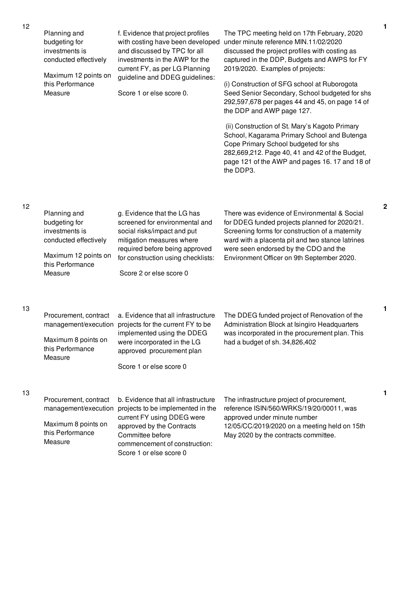| 12 | Planning and<br>budgeting for<br>investments is<br>conducted effectively<br>Maximum 12 points on<br>this Performance<br>Measure | f. Evidence that project profiles<br>with costing have been developed<br>and discussed by TPC for all<br>investments in the AWP for the<br>current FY, as per LG Planning<br>guideline and DDEG guidelines:<br>Score 1 or else score 0. | The TPC meeting held on 17th February, 2020<br>under minute reference MIN.11/02/2020<br>discussed the project profiles with costing as<br>captured in the DDP, Budgets and AWPS for FY<br>2019/2020. Examples of projects:<br>(i) Construction of SFG school at Ruborogota<br>Seed Senior Secondary, School budgeted for shs<br>292,597,678 per pages 44 and 45, on page 14 of<br>the DDP and AWP page 127.<br>(ii) Construction of St. Mary's Kagoto Primary |
|----|---------------------------------------------------------------------------------------------------------------------------------|-----------------------------------------------------------------------------------------------------------------------------------------------------------------------------------------------------------------------------------------|---------------------------------------------------------------------------------------------------------------------------------------------------------------------------------------------------------------------------------------------------------------------------------------------------------------------------------------------------------------------------------------------------------------------------------------------------------------|
|    |                                                                                                                                 |                                                                                                                                                                                                                                         | School, Kagarama Primary School and Butenga<br>Cope Primary School budgeted for shs<br>282,669,212. Page 40, 41 and 42 of the Budget,<br>page 121 of the AWP and pages 16.17 and 18 of<br>the DDP3.                                                                                                                                                                                                                                                           |
| 12 | Planning and<br>budgeting for<br>investments is<br>conducted effectively<br>Maximum 12 points on<br>this Performance<br>Measure | g. Evidence that the LG has<br>screened for environmental and<br>social risks/impact and put<br>mitigation measures where<br>required before being approved<br>for construction using checklists:<br>Score 2 or else score 0            | There was evidence of Environmental & Social<br>for DDEG funded projects planned for 2020/21.<br>Screening forms for construction of a maternity<br>ward with a placenta pit and two stance latrines<br>were seen endorsed by the CDO and the<br>Environment Officer on 9th September 2020.                                                                                                                                                                   |
| 13 | Procurement, contract<br>Maximum 8 points on<br>this Performance<br>Measure                                                     | a. Evidence that all infrastructure<br>management/execution projects for the current FY to be<br>implemented using the DDEG<br>were incorporated in the LG<br>approved procurement plan<br>Score 1 or else score 0                      | The DDEG funded project of Renovation of the<br>Administration Block at Isingiro Headquarters<br>was incorporated in the procurement plan. This<br>had a budget of sh. 34,826,402                                                                                                                                                                                                                                                                             |
| 13 | Procurement, contract<br>management/execution<br>Maximum 8 points on<br>this Performance<br>Measure                             | b. Evidence that all infrastructure<br>projects to be implemented in the<br>current FY using DDEG were<br>approved by the Contracts<br>Committee before<br>commencement of construction:<br>Score 1 or else score 0                     | The infrastructure project of procurement,<br>reference ISIN/560/WRKS/19/20/00011, was<br>approved under minute number<br>12/05/CC/2019/2020 on a meeting held on 15th<br>May 2020 by the contracts committee.                                                                                                                                                                                                                                                |

**2**

**1**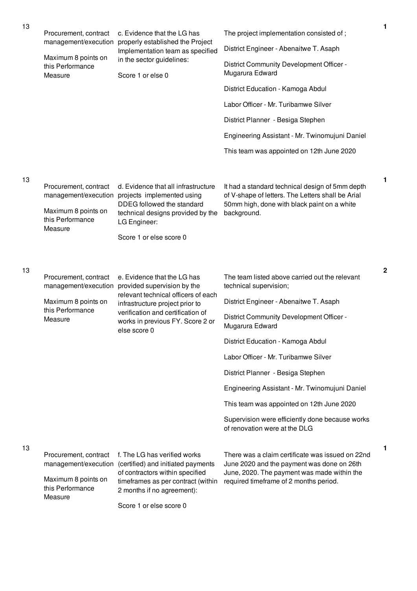| 13 | Procurement, contract                                                                               | c. Evidence that the LG has                                                                                                                                                                          | The project implementation consisted of;                                                                                                                                                | $\mathbf{1}$ |
|----|-----------------------------------------------------------------------------------------------------|------------------------------------------------------------------------------------------------------------------------------------------------------------------------------------------------------|-----------------------------------------------------------------------------------------------------------------------------------------------------------------------------------------|--------------|
|    | management/execution                                                                                | properly established the Project<br>Implementation team as specified                                                                                                                                 | District Engineer - Abenaitwe T. Asaph                                                                                                                                                  |              |
|    | Maximum 8 points on<br>this Performance<br>Measure                                                  | in the sector guidelines:<br>Score 1 or else 0                                                                                                                                                       | District Community Development Officer -<br>Mugarura Edward                                                                                                                             |              |
|    |                                                                                                     |                                                                                                                                                                                                      | District Education - Kamoga Abdul                                                                                                                                                       |              |
|    |                                                                                                     |                                                                                                                                                                                                      | Labor Officer - Mr. Turibamwe Silver                                                                                                                                                    |              |
|    |                                                                                                     |                                                                                                                                                                                                      | District Planner - Besiga Stephen                                                                                                                                                       |              |
|    |                                                                                                     |                                                                                                                                                                                                      | Engineering Assistant - Mr. Twinomujuni Daniel                                                                                                                                          |              |
|    |                                                                                                     |                                                                                                                                                                                                      | This team was appointed on 12th June 2020                                                                                                                                               |              |
|    |                                                                                                     |                                                                                                                                                                                                      |                                                                                                                                                                                         |              |
| 13 | Procurement, contract<br>Maximum 8 points on<br>this Performance<br>Measure                         | d. Evidence that all infrastructure<br>management/execution projects implemented using<br>DDEG followed the standard<br>technical designs provided by the<br>LG Engineer:<br>Score 1 or else score 0 | It had a standard technical design of 5mm depth<br>of V-shape of letters. The Letters shall be Arial<br>50mm high, done with black paint on a white<br>background.                      | 1            |
| 13 | Procurement, contract<br>management/execution                                                       | e. Evidence that the LG has<br>provided supervision by the<br>relevant technical officers of each                                                                                                    | The team listed above carried out the relevant<br>technical supervision;                                                                                                                | $\mathbf 2$  |
|    | Maximum 8 points on<br>this Performance                                                             | infrastructure project prior to                                                                                                                                                                      | District Engineer - Abenaitwe T. Asaph                                                                                                                                                  |              |
|    | Measure                                                                                             | verification and certification of<br>works in previous FY. Score 2 or<br>else score 0                                                                                                                | District Community Development Officer -<br>Mugarura Edward                                                                                                                             |              |
|    |                                                                                                     |                                                                                                                                                                                                      | District Education - Kamoga Abdul                                                                                                                                                       |              |
|    |                                                                                                     |                                                                                                                                                                                                      | Labor Officer - Mr. Turibamwe Silver                                                                                                                                                    |              |
|    |                                                                                                     |                                                                                                                                                                                                      | District Planner - Besiga Stephen                                                                                                                                                       |              |
|    |                                                                                                     |                                                                                                                                                                                                      | Engineering Assistant - Mr. Twinomujuni Daniel                                                                                                                                          |              |
|    |                                                                                                     |                                                                                                                                                                                                      | This team was appointed on 12th June 2020                                                                                                                                               |              |
|    |                                                                                                     |                                                                                                                                                                                                      | Supervision were efficiently done because works<br>of renovation were at the DLG                                                                                                        |              |
| 13 | Procurement, contract<br>management/execution<br>Maximum 8 points on<br>this Performance<br>Measure | f. The LG has verified works<br>(certified) and initiated payments<br>of contractors within specified<br>timeframes as per contract (within<br>2 months if no agreement):<br>Score 1 or else score 0 | There was a claim certificate was issued on 22nd<br>June 2020 and the payment was done on 26th<br>June, 2020. The payment was made within the<br>required timeframe of 2 months period. | 1            |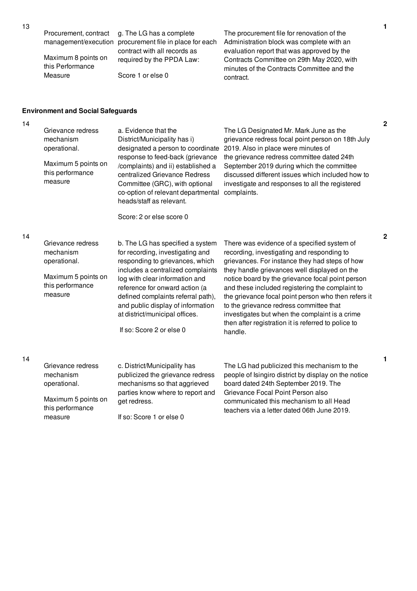Procurement, contract

Maximum 8 points on this Performance Measure

management/execution procurement file in place for each g. The LG has a complete contract with all records as required by the PPDA Law:

Score 1 or else 0

The procurement file for renovation of the Administration block was complete with an evaluation report that was approved by the Contracts Committee on 29th May 2020, with minutes of the Contracts Committee and the contract.

### **Environment and Social Safeguards**

14

14

| Grievance redress<br>mechanism<br>operational.<br>Maximum 5 points on<br>this performance<br>measure | a. Evidence that the<br>District/Municipality has i)<br>designated a person to coordinate<br>response to feed-back (grievance<br>/complaints) and ii) established a<br>centralized Grievance Redress<br>Committee (GRC), with optional<br>co-option of relevant departmental<br>heads/staff as relevant.<br>Score: 2 or else score 0                      | The LG Designated Mr. Mark June as the<br>grievance redress focal point person on 18th July<br>2019. Also in place were minutes of<br>the grievance redress committee dated 24th<br>September 2019 during which the committee<br>discussed different issues which included how to<br>investigate and responses to all the registered<br>complaints.                                                                                                                                                                      |
|------------------------------------------------------------------------------------------------------|-----------------------------------------------------------------------------------------------------------------------------------------------------------------------------------------------------------------------------------------------------------------------------------------------------------------------------------------------------------|--------------------------------------------------------------------------------------------------------------------------------------------------------------------------------------------------------------------------------------------------------------------------------------------------------------------------------------------------------------------------------------------------------------------------------------------------------------------------------------------------------------------------|
| Grievance redress<br>mechanism<br>operational.<br>Maximum 5 points on<br>this performance<br>measure | b. The LG has specified a system<br>for recording, investigating and<br>responding to grievances, which<br>includes a centralized complaints<br>log with clear information and<br>reference for onward action (a<br>defined complaints referral path),<br>and public display of information<br>at district/municipal offices.<br>If so: Score 2 or else 0 | There was evidence of a specified system of<br>recording, investigating and responding to<br>grievances. For instance they had steps of how<br>they handle grievances well displayed on the<br>notice board by the grievance focal point person<br>and these included registering the complaint to<br>the grievance focal point person who then refers it<br>to the grievance redress committee that<br>investigates but when the complaint is a crime<br>then after registration it is referred to police to<br>handle. |
| Grievance redress<br>mechanism<br>operational.<br>Maximum 5 points on<br>this performance<br>measure | c. District/Municipality has<br>publicized the grievance redress<br>mechanisms so that aggrieved<br>parties know where to report and<br>get redress.<br>If so: Score 1 or else 0                                                                                                                                                                          | The LG had publicized this mechanism to the<br>people of Isingiro district by display on the notice<br>board dated 24th September 2019. The<br>Grievance Focal Point Person also<br>communicated this mechanism to all Head<br>teachers via a letter dated 06th June 2019.                                                                                                                                                                                                                                               |

**2**

**2**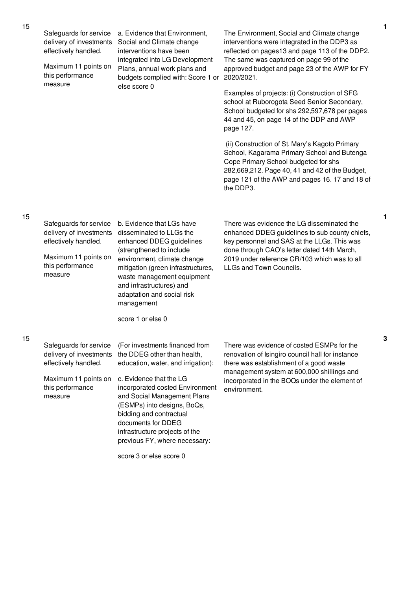| 15 | Safeguards for service<br>delivery of investments<br>effectively handled.<br>Maximum 11 points on<br>this performance<br>measure | a. Evidence that Environment,<br>Social and Climate change<br>interventions have been<br>integrated into LG Development<br>Plans, annual work plans and<br>budgets complied with: Score 1 or                                                                                                                                                                                   | The Environment, Social and Climate change<br>interventions were integrated in the DDP3 as<br>reflected on pages13 and page 113 of the DDP2.<br>The same was captured on page 99 of the<br>approved budget and page 23 of the AWP for FY<br>2020/2021.                | $\mathbf{1}$ |
|----|----------------------------------------------------------------------------------------------------------------------------------|--------------------------------------------------------------------------------------------------------------------------------------------------------------------------------------------------------------------------------------------------------------------------------------------------------------------------------------------------------------------------------|-----------------------------------------------------------------------------------------------------------------------------------------------------------------------------------------------------------------------------------------------------------------------|--------------|
|    |                                                                                                                                  | else score 0                                                                                                                                                                                                                                                                                                                                                                   | Examples of projects: (i) Construction of SFG<br>school at Ruborogota Seed Senior Secondary,<br>School budgeted for shs 292,597,678 per pages<br>44 and 45, on page 14 of the DDP and AWP<br>page 127.                                                                |              |
|    |                                                                                                                                  |                                                                                                                                                                                                                                                                                                                                                                                | (ii) Construction of St. Mary's Kagoto Primary<br>School, Kagarama Primary School and Butenga<br>Cope Primary School budgeted for shs<br>282,669,212. Page 40, 41 and 42 of the Budget,<br>page 121 of the AWP and pages 16.17 and 18 of<br>the DDP3.                 |              |
| 15 | Safeguards for service<br>delivery of investments<br>effectively handled.<br>Maximum 11 points on<br>this performance<br>measure | b. Evidence that LGs have<br>disseminated to LLGs the<br>enhanced DDEG guidelines<br>(strengthened to include<br>environment, climate change<br>mitigation (green infrastructures,<br>waste management equipment<br>and infrastructures) and<br>adaptation and social risk<br>management<br>score 1 or else 0                                                                  | There was evidence the LG disseminated the<br>enhanced DDEG guidelines to sub county chiefs,<br>key personnel and SAS at the LLGs. This was<br>done through CAO's letter dated 14th March,<br>2019 under reference CR/103 which was to all<br>LLGs and Town Councils. | 1            |
| 15 | Safeguards for service<br>delivery of investments<br>effectively handled.<br>Maximum 11 points on<br>this performance<br>measure | (For investments financed from<br>the DDEG other than health,<br>education, water, and irrigation):<br>c. Evidence that the LG<br>incorporated costed Environment<br>and Social Management Plans<br>(ESMPs) into designs, BoQs,<br>bidding and contractual<br>documents for DDEG<br>infrastructure projects of the<br>previous FY, where necessary:<br>score 3 or else score 0 | There was evidence of costed ESMPs for the<br>renovation of Isingiro council hall for instance<br>there was establishment of a good waste<br>management system at 600,000 shillings and<br>incorporated in the BOQs under the element of<br>environment.              | 3            |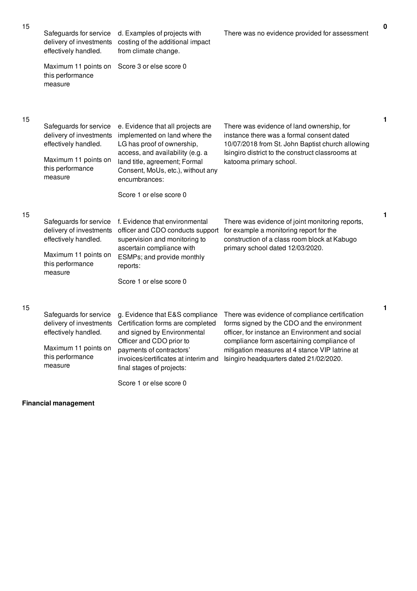| 15 | Safeguards for service<br>delivery of investments<br>effectively handled.                                                        | d. Examples of projects with<br>costing of the additional impact<br>from climate change.                                                                                                                                                                    | There was no evidence provided for assessment                                                                                                                                                                                                                                               | $\mathbf 0$ |
|----|----------------------------------------------------------------------------------------------------------------------------------|-------------------------------------------------------------------------------------------------------------------------------------------------------------------------------------------------------------------------------------------------------------|---------------------------------------------------------------------------------------------------------------------------------------------------------------------------------------------------------------------------------------------------------------------------------------------|-------------|
|    | Maximum 11 points on<br>this performance<br>measure                                                                              | Score 3 or else score 0                                                                                                                                                                                                                                     |                                                                                                                                                                                                                                                                                             |             |
| 15 | Safeguards for service<br>delivery of investments<br>effectively handled.<br>Maximum 11 points on<br>this performance<br>measure | e. Evidence that all projects are<br>implemented on land where the<br>LG has proof of ownership,<br>access, and availability (e.g. a<br>land title, agreement; Formal<br>Consent, MoUs, etc.), without any<br>encumbrances:                                 | There was evidence of land ownership, for<br>instance there was a formal consent dated<br>10/07/2018 from St. John Baptist church allowing<br>Isingiro district to the construct classrooms at<br>katooma primary school.                                                                   | 1           |
|    |                                                                                                                                  | Score 1 or else score 0                                                                                                                                                                                                                                     |                                                                                                                                                                                                                                                                                             |             |
| 15 | Safeguards for service<br>delivery of investments<br>effectively handled.<br>Maximum 11 points on<br>this performance<br>measure | f. Evidence that environmental<br>officer and CDO conducts support<br>supervision and monitoring to<br>ascertain compliance with<br>ESMPs; and provide monthly<br>reports:<br>Score 1 or else score 0                                                       | There was evidence of joint monitoring reports,<br>for example a monitoring report for the<br>construction of a class room block at Kabugo<br>primary school dated 12/03/2020.                                                                                                              | 1           |
| 15 | Safeguards for service<br>delivery of investments<br>effectively handled.<br>Maximum 11 points on<br>this performance<br>measure | g. Evidence that E&S compliance<br>Certification forms are completed<br>and signed by Environmental<br>Officer and CDO prior to<br>payments of contractors'<br>invoices/certificates at interim and<br>final stages of projects:<br>Score 1 or else score 0 | There was evidence of compliance certification<br>forms signed by the CDO and the environment<br>officer, for instance an Environment and social<br>compliance form ascertaining compliance of<br>mitigation measures at 4 stance VIP latrine at<br>Isingiro headquarters dated 21/02/2020. | 1           |

## **Financial management**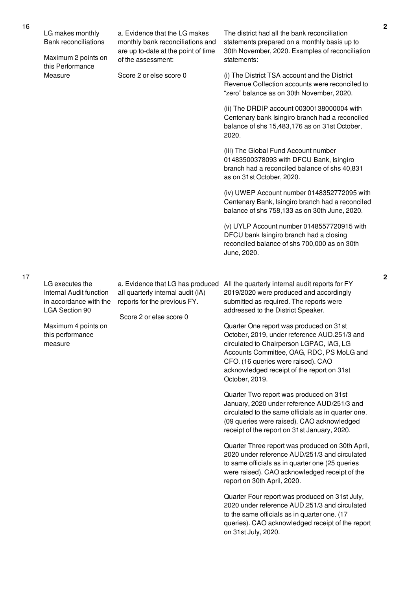| of the assessment:                                                                                                                                           | 30th November, 2020. Examples of reconciliation<br>statements:                                                                                                                                                                                                                                                                                                                                                                                                                                                                                                                                                                                                                                                                                                                                                                                                                                                                                                                                                                                                                                                                                                                             |
|--------------------------------------------------------------------------------------------------------------------------------------------------------------|--------------------------------------------------------------------------------------------------------------------------------------------------------------------------------------------------------------------------------------------------------------------------------------------------------------------------------------------------------------------------------------------------------------------------------------------------------------------------------------------------------------------------------------------------------------------------------------------------------------------------------------------------------------------------------------------------------------------------------------------------------------------------------------------------------------------------------------------------------------------------------------------------------------------------------------------------------------------------------------------------------------------------------------------------------------------------------------------------------------------------------------------------------------------------------------------|
| Score 2 or else score 0                                                                                                                                      | (i) The District TSA account and the District<br>Revenue Collection accounts were reconciled to<br>"zero" balance as on 30th November, 2020.                                                                                                                                                                                                                                                                                                                                                                                                                                                                                                                                                                                                                                                                                                                                                                                                                                                                                                                                                                                                                                               |
|                                                                                                                                                              | (ii) The DRDIP account 00300138000004 with<br>Centenary bank Isingiro branch had a reconciled<br>balance of shs 15,483,176 as on 31st October,<br>2020.                                                                                                                                                                                                                                                                                                                                                                                                                                                                                                                                                                                                                                                                                                                                                                                                                                                                                                                                                                                                                                    |
|                                                                                                                                                              | (iii) The Global Fund Account number<br>01483500378093 with DFCU Bank, Isingiro<br>branch had a reconciled balance of shs 40,831<br>as on 31st October, 2020.                                                                                                                                                                                                                                                                                                                                                                                                                                                                                                                                                                                                                                                                                                                                                                                                                                                                                                                                                                                                                              |
|                                                                                                                                                              | (iv) UWEP Account number 0148352772095 with<br>Centenary Bank, Isingiro branch had a reconciled<br>balance of shs 758,133 as on 30th June, 2020.                                                                                                                                                                                                                                                                                                                                                                                                                                                                                                                                                                                                                                                                                                                                                                                                                                                                                                                                                                                                                                           |
|                                                                                                                                                              | (v) UYLP Account number 0148557720915 with<br>DFCU bank Isingiro branch had a closing<br>reconciled balance of shs 700,000 as on 30th<br>June, 2020.                                                                                                                                                                                                                                                                                                                                                                                                                                                                                                                                                                                                                                                                                                                                                                                                                                                                                                                                                                                                                                       |
|                                                                                                                                                              | All the quarterly internal audit reports for FY<br>2019/2020 were produced and accordingly<br>submitted as required. The reports were<br>addressed to the District Speaker.<br>Quarter One report was produced on 31st<br>October, 2019, under reference AUD.251/3 and<br>circulated to Chairperson LGPAC, IAG, LG<br>Accounts Committee, OAG, RDC, PS MoLG and<br>CFO. (16 queries were raised). CAO<br>acknowledged receipt of the report on 31st<br>October, 2019.<br>Quarter Two report was produced on 31st<br>January, 2020 under reference AUD/251/3 and<br>circulated to the same officials as in quarter one.<br>(09 queries were raised). CAO acknowledged<br>receipt of the report on 31st January, 2020.<br>Quarter Three report was produced on 30th April,<br>2020 under reference AUD/251/3 and circulated<br>to same officials as in quarter one (25 queries<br>were raised). CAO acknowledged receipt of the<br>report on 30th April, 2020.<br>Quarter Four report was produced on 31st July,<br>2020 under reference AUD.251/3 and circulated<br>to the same officials as in quarter one. (17<br>queries). CAO acknowledged receipt of the report<br>on 31st July, 2020. |
| this Performance<br>LG executes the<br>Internal Audit function<br>in accordance with the<br><b>LGA Section 90</b><br>Maximum 4 points on<br>this performance | a. Evidence that LG has produced<br>all quarterly internal audit (IA)<br>reports for the previous FY.<br>Score 2 or else score 0                                                                                                                                                                                                                                                                                                                                                                                                                                                                                                                                                                                                                                                                                                                                                                                                                                                                                                                                                                                                                                                           |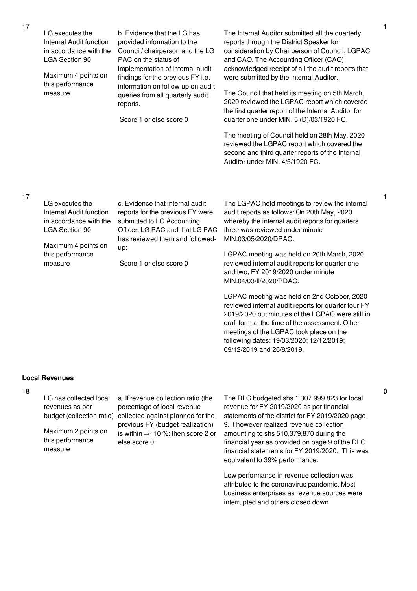| LG executes the<br>c. Evidence that internal audit<br>audit reports as follows: On 20th May, 2020<br>reports for the previous FY were<br>Internal Audit function<br>submitted to LG Accounting<br>whereby the internal audit reports for quarters<br>in accordance with the<br>Officer, LG PAC and that LG PAC<br><b>LGA Section 90</b><br>three was reviewed under minute<br>has reviewed them and followed-<br>MIN.03/05/2020/DPAC.<br>Maximum 4 points on<br>up:<br>this performance<br>Score 1 or else score 0<br>reviewed internal audit reports for quarter one<br>measure | LG executes the<br>Internal Audit function<br>in accordance with the<br><b>LGA Section 90</b><br>Maximum 4 points on<br>this performance<br>measure | b. Evidence that the LG has<br>provided information to the<br>Council/chairperson and the LG<br>PAC on the status of<br>implementation of internal audit<br>findings for the previous FY i.e.<br>information on follow up on audit<br>queries from all quarterly audit<br>reports.<br>Score 1 or else score 0 | The Internal Auditor submitted all the quarterly<br>reports through the District Speaker for<br>consideration by Chairperson of Council, LGPAC<br>and CAO. The Accounting Officer (CAO)<br>acknowledged receipt of all the audit reports that<br>were submitted by the Internal Auditor.<br>The Council that held its meeting on 5th March,<br>2020 reviewed the LGPAC report which covered<br>the first quarter report of the Internal Auditor for<br>quarter one under MIN. 5 (D)/03/1920 FC.<br>The meeting of Council held on 28th May, 2020<br>reviewed the LGPAC report which covered the<br>second and third quarter reports of the Internal<br>Auditor under MIN. 4/5/1920 FC. |  |
|----------------------------------------------------------------------------------------------------------------------------------------------------------------------------------------------------------------------------------------------------------------------------------------------------------------------------------------------------------------------------------------------------------------------------------------------------------------------------------------------------------------------------------------------------------------------------------|-----------------------------------------------------------------------------------------------------------------------------------------------------|---------------------------------------------------------------------------------------------------------------------------------------------------------------------------------------------------------------------------------------------------------------------------------------------------------------|----------------------------------------------------------------------------------------------------------------------------------------------------------------------------------------------------------------------------------------------------------------------------------------------------------------------------------------------------------------------------------------------------------------------------------------------------------------------------------------------------------------------------------------------------------------------------------------------------------------------------------------------------------------------------------------|--|
| MIN.04/03/II/2020/PDAC.                                                                                                                                                                                                                                                                                                                                                                                                                                                                                                                                                          |                                                                                                                                                     |                                                                                                                                                                                                                                                                                                               | The LGPAC held meetings to review the internal<br>LGPAC meeting was held on 20th March, 2020<br>and two, FY 2019/2020 under minute<br>LGPAC meeting was held on 2nd October, 2020                                                                                                                                                                                                                                                                                                                                                                                                                                                                                                      |  |

reviewed internal audit reports for quarter four FY 2019/2020 but minutes of the LGPAC were still in draft form at the time of the assessment. Other meetings of the LGPAC took place on the following dates: 19/03/2020; 12/12/2019; 09/12/2019 and 26/8/2019.

## **Local Revenues**

#### 18

LG has collected local revenues as per

Maximum 2 points on this performance measure

budget (collection ratio) collected against planned for the a. If revenue collection ratio (the percentage of local revenue previous FY (budget realization) is within +/- 10 %: then score 2 or else score 0.

The DLG budgeted shs 1,307,999,823 for local revenue for FY 2019/2020 as per financial statements of the district for FY 2019/2020 page 9. It however realized revenue collection amounting to shs 510,379,870 during the financial year as provided on page 9 of the DLG financial statements for FY 2019/2020. This was equivalent to 39% performance.

Low performance in revenue collection was attributed to the coronavirus pandemic. Most business enterprises as revenue sources were interrupted and others closed down.

17

17

**1**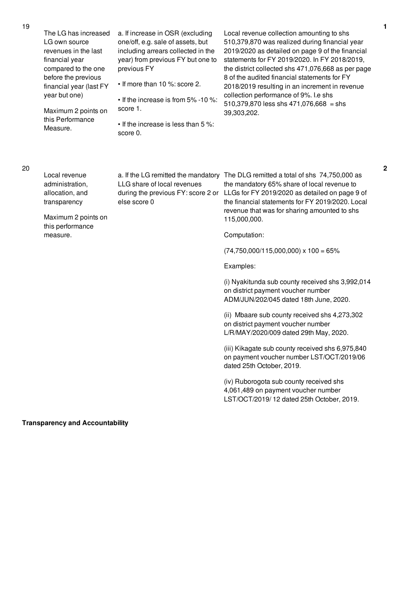LG own source

The LG has increased a. If increase in OSR (excluding

one/off, e.g. sale of assets, but

| revenues in the last<br>financial year<br>compared to the one<br>before the previous<br>financial year (last FY<br>year but one)<br>Maximum 2 points on<br>this Performance<br>Measure. | including arrears collected in the<br>year) from previous FY but one to<br>previous FY<br>• If more than 10 %: score 2.<br>• If the increase is from 5% -10 %:<br>score 1.<br>• If the increase is less than 5 %:<br>score 0. | 2019/2020 as detailed on page 9 of the financial<br>statements for FY 2019/2020. In FY 2018/2019,<br>the district collected shs 471,076,668 as per page<br>8 of the audited financial statements for FY<br>2018/2019 resulting in an increment in revenue<br>collection performance of 9%. I.e shs<br>510,379,870 less shs 471,076,668 = shs<br>39,303,202. |
|-----------------------------------------------------------------------------------------------------------------------------------------------------------------------------------------|-------------------------------------------------------------------------------------------------------------------------------------------------------------------------------------------------------------------------------|-------------------------------------------------------------------------------------------------------------------------------------------------------------------------------------------------------------------------------------------------------------------------------------------------------------------------------------------------------------|
| Local revenue<br>administration,<br>allocation, and<br>transparency<br>Maximum 2 points on                                                                                              | LLG share of local revenues<br>during the previous FY: score 2 or<br>else score 0                                                                                                                                             | a. If the LG remitted the mandatory The DLG remitted a total of shs 74,750,000 as<br>the mandatory 65% share of local revenue to<br>LLGs for FY 2019/2020 as detailed on page 9 of<br>the financial statements for FY 2019/2020. Local<br>revenue that was for sharing amounted to shs<br>115,000,000.                                                      |
| this performance<br>measure.                                                                                                                                                            |                                                                                                                                                                                                                               | Computation:                                                                                                                                                                                                                                                                                                                                                |
|                                                                                                                                                                                         |                                                                                                                                                                                                                               | $(74,750,000/115,000,000) \times 100 = 65\%$                                                                                                                                                                                                                                                                                                                |
|                                                                                                                                                                                         |                                                                                                                                                                                                                               | Examples:                                                                                                                                                                                                                                                                                                                                                   |
|                                                                                                                                                                                         |                                                                                                                                                                                                                               | (i) Nyakitunda sub county received shs 3,992,014<br>on district payment voucher number<br>ADM/JUN/202/045 dated 18th June, 2020.                                                                                                                                                                                                                            |
|                                                                                                                                                                                         |                                                                                                                                                                                                                               | (ii) Mbaare sub county received shs 4,273,302<br>on district payment voucher number<br>L/R/MAY/2020/009 dated 29th May, 2020.                                                                                                                                                                                                                               |
|                                                                                                                                                                                         |                                                                                                                                                                                                                               | (iii) Kikagate sub county received shs 6,975,840<br>on payment voucher number LST/OCT/2019/06<br>dated 25th October, 2019.                                                                                                                                                                                                                                  |
|                                                                                                                                                                                         |                                                                                                                                                                                                                               | (iv) Ruborogota sub county received shs<br>4,061,489 on payment voucher number                                                                                                                                                                                                                                                                              |

**Transparency and Accountability**

**2**

Local revenue collection amounting to shs 510,379,870 was realized during financial year

LST/OCT/2019/ 12 dated 25th October, 2019.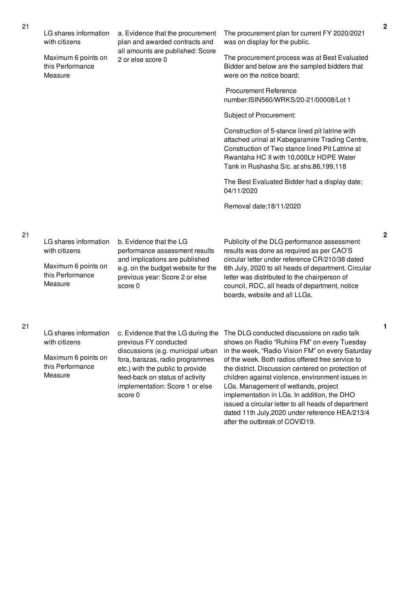| LG shares information<br>with citizens             | a. Evidence that the procurement<br>plan and awarded contracts and<br>all amounts are published: Score<br>2 or else score 0 | The procurement plan for current FY 2020/2021<br>was on display for the public.                                                                                                                                                              |  |                                                             |
|----------------------------------------------------|-----------------------------------------------------------------------------------------------------------------------------|----------------------------------------------------------------------------------------------------------------------------------------------------------------------------------------------------------------------------------------------|--|-------------------------------------------------------------|
| Maximum 6 points on<br>this Performance<br>Measure |                                                                                                                             | The procurement process was at Best Evaluated<br>Bidder and below are the sampled bidders that<br>were on the notice board;                                                                                                                  |  |                                                             |
|                                                    |                                                                                                                             | <b>Procurement Reference</b><br>number:ISIN560/WRKS/20-21/00008/Lot 1                                                                                                                                                                        |  |                                                             |
|                                                    |                                                                                                                             | Subject of Procurement:                                                                                                                                                                                                                      |  |                                                             |
|                                                    |                                                                                                                             | Construction of 5-stance lined pit latrine with<br>attached urinal at Kabegaramire Trading Centre,<br>Construction of Two stance lined Pit Latrine at<br>Rwantaha HC II with 10,000Ltr HDPE Water<br>Tank in Rushasha S/c. at shs.86,199,118 |  |                                                             |
|                                                    |                                                                                                                             |                                                                                                                                                                                                                                              |  | The Best Evaluated Bidder had a display date;<br>04/11/2020 |
|                                                    |                                                                                                                             | Removal date; 18/11/2020                                                                                                                                                                                                                     |  |                                                             |
|                                                    |                                                                                                                             |                                                                                                                                                                                                                                              |  |                                                             |
| LG shares information<br>with citizens             | b. Evidence that the LG<br>performance assessment results<br>and implications are published                                 | Publicity of the DLG performance assessment<br>results was done as required as per CAO'S<br>circular letter under reference CR/210/38 dated                                                                                                  |  |                                                             |
| Maximum 6 points on<br>this Performance<br>Measure | e.g. on the budget website for the<br>previous year: Score 2 or else<br>score 0                                             | 6th July, 2020 to all heads of department. Circular<br>letter was distributed to the chairperson of<br>council, RDC, all heads of department, notice<br>boards, website and all LLGs.                                                        |  |                                                             |

LG shares information with citizens Maximum 6 points on

this Performance Measure

previous FY conducted discussions (e.g. municipal urban fora, barazas, radio programmes etc.) with the public to provide feed-back on status of activity implementation: Score 1 or else score 0

c. Evidence that the LG during the The DLG conducted discussions on radio talk shows on Radio "Ruhiira FM" on every Tuesday in the week, "Radio Vision FM" on every Saturday of the week. Both radios offered free service to the district. Discussion centered on protection of children against violence, environment issues in LGs. Management of wetlands, project implementation in LGs. In addition, the DHO issued a circular letter to all heads of department dated 11th July,2020 under reference HEA/213/4 after the outbreak of COVID19.

**2**

**1**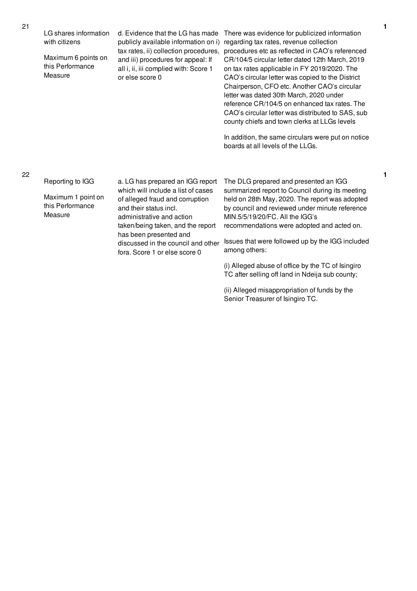| tax rates, ii) collection procedures, procedures etc as ret                                                                                          |                                                                                                                                               |
|------------------------------------------------------------------------------------------------------------------------------------------------------|-----------------------------------------------------------------------------------------------------------------------------------------------|
| Maximum 6 points on<br>and iii) procedures for appeal: If<br>this Performance<br>all i, ii, iii complied with: Score 1<br>Measure<br>or else score 0 | CR/104/5 circular let<br>on tax rates applicab<br>CAO's circular letter<br>Chairperson, CFO et<br>letter was dated 30th<br>reference CR/104/5 |
|                                                                                                                                                      | CAO's circular letter                                                                                                                         |

ridence for publicized information revenue collection flected in CAO's referenced tter dated 12th March, 2019  $ole$  in FY 2019/2020. The was copied to the District tc. Another CAO's circular March, 2020 under on enhanced tax rates. The was distributed to SAS, sub county chiefs and town clerks at LLGs levels

In addition, the same circulars were put on notice boards at all levels of the LLGs.

| Reporting to IGG<br>Maximum 1 point on<br>this Performance<br>Measure | a. LG has prepared an IGG report<br>which will include a list of cases<br>of alleged fraud and corruption<br>and their status incl.<br>administrative and action<br>taken/being taken, and the report<br>has been presented and<br>discussed in the council and other<br>fora. Score 1 or else score 0 | The DLG prepared and presented an IGG<br>summarized report to Council during its meeting<br>held on 28th May, 2020. The report was adopted<br>by council and reviewed under minute reference<br>MIN.5/5/19/20/FC, All the IGG's<br>recommendations were adopted and acted on.<br>Issues that were followed up by the IGG included<br>among others: |
|-----------------------------------------------------------------------|--------------------------------------------------------------------------------------------------------------------------------------------------------------------------------------------------------------------------------------------------------------------------------------------------------|----------------------------------------------------------------------------------------------------------------------------------------------------------------------------------------------------------------------------------------------------------------------------------------------------------------------------------------------------|
|                                                                       |                                                                                                                                                                                                                                                                                                        | (i) Alleged abuse of office by the TC of Isingiro<br>TC after selling off land in Ndeija sub county;                                                                                                                                                                                                                                               |

(ii) Alleged misappropriation of funds by the Senior Treasurer of Isingiro TC.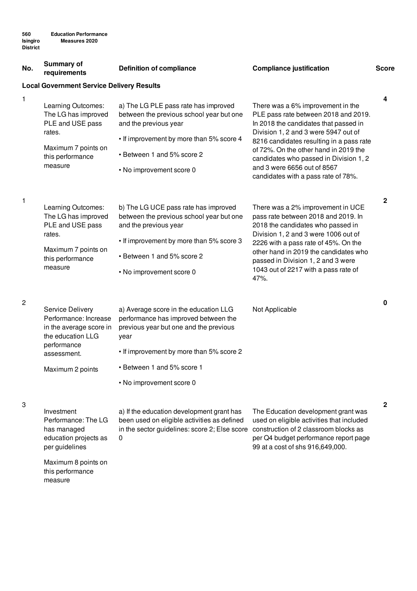| No.          | <b>Summary of</b><br>requirements                                                                                                                  | <b>Definition of compliance</b>                                                                                                                                                                                                       | <b>Compliance justification</b>                                                                                                                                                                                                                                                                                                                                 | <b>Score</b> |  |  |
|--------------|----------------------------------------------------------------------------------------------------------------------------------------------------|---------------------------------------------------------------------------------------------------------------------------------------------------------------------------------------------------------------------------------------|-----------------------------------------------------------------------------------------------------------------------------------------------------------------------------------------------------------------------------------------------------------------------------------------------------------------------------------------------------------------|--------------|--|--|
|              | <b>Local Government Service Delivery Results</b>                                                                                                   |                                                                                                                                                                                                                                       |                                                                                                                                                                                                                                                                                                                                                                 |              |  |  |
| 1            | Learning Outcomes:<br>The LG has improved<br>PLE and USE pass<br>rates.<br>Maximum 7 points on<br>this performance<br>measure                      | a) The LG PLE pass rate has improved<br>between the previous school year but one<br>and the previous year<br>• If improvement by more than 5% score 4<br>• Between 1 and 5% score 2<br>• No improvement score 0                       | There was a 6% improvement in the<br>PLE pass rate between 2018 and 2019.<br>In 2018 the candidates that passed in<br>Division 1, 2 and 3 were 5947 out of<br>8216 candidates resulting in a pass rate<br>of 72%. On the other hand in 2019 the<br>candidates who passed in Division 1, 2<br>and 3 were 6656 out of 8567<br>candidates with a pass rate of 78%. | 4            |  |  |
| $\mathbf{1}$ | Learning Outcomes:<br>The LG has improved<br>PLE and USE pass<br>rates.<br>Maximum 7 points on<br>this performance<br>measure                      | b) The LG UCE pass rate has improved<br>between the previous school year but one<br>and the previous year<br>• If improvement by more than 5% score 3<br>• Between 1 and 5% score 2<br>• No improvement score 0                       | There was a 2% improvement in UCE<br>pass rate between 2018 and 2019. In<br>2018 the candidates who passed in<br>Division 1, 2 and 3 were 1006 out of<br>2226 with a pass rate of 45%. On the<br>other hand in 2019 the candidates who<br>passed in Division 1, 2 and 3 were<br>1043 out of 2217 with a pass rate of<br>47%.                                    | $\mathbf{2}$ |  |  |
| 2            | <b>Service Delivery</b><br>Performance: Increase<br>in the average score in<br>the education LLG<br>performance<br>assessment.<br>Maximum 2 points | a) Average score in the education LLG<br>performance has improved between the<br>previous year but one and the previous<br>year<br>• If improvement by more than 5% score 2<br>• Between 1 and 5% score 1<br>• No improvement score 0 | Not Applicable                                                                                                                                                                                                                                                                                                                                                  | 0            |  |  |
| 3            | Investment<br>Performance: The LG<br>has managed<br>education projects as<br>per guidelines                                                        | a) If the education development grant has<br>been used on eligible activities as defined<br>in the sector guidelines: score 2; Else score<br>0                                                                                        | The Education development grant was<br>used on eligible activities that included<br>construction of 2 classroom blocks as<br>per Q4 budget performance report page<br>99 at a cost of shs 916,649,000.                                                                                                                                                          | $\mathbf{2}$ |  |  |

Maximum 8 points on this performance measure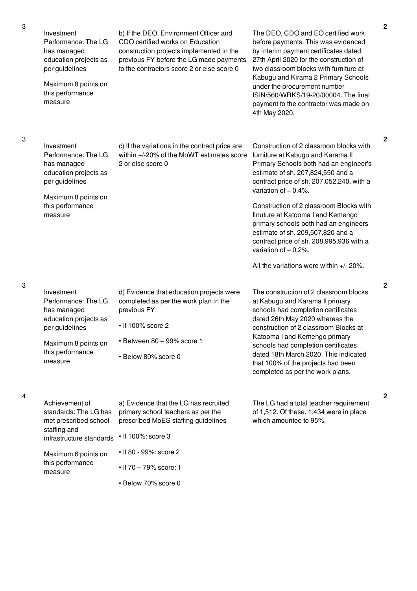| Investment<br>Performance: The LG<br>has managed<br>education projects as<br>per guidelines<br>Maximum 8 points on<br>this performance<br>measure | b) If the DEO, Environment Officer and<br>CDO certified works on Education<br>construction projects implemented in the<br>previous FY before the LG made payments<br>to the contractors score 2 or else score 0 | The DEO, CDO and EO certified work<br>before payments. This was evidenced<br>by interim payment certificates dated<br>27th April 2020 for the construction of<br>two classroom blocks with furniture at<br>Kabugu and Kirama 2 Primary Schools<br>under the procurement number<br>ISIN/560/WRKS/19-20/00004. The final<br>payment to the contractor was made on<br>4th May 2020.                                                                                                                                        |
|---------------------------------------------------------------------------------------------------------------------------------------------------|-----------------------------------------------------------------------------------------------------------------------------------------------------------------------------------------------------------------|-------------------------------------------------------------------------------------------------------------------------------------------------------------------------------------------------------------------------------------------------------------------------------------------------------------------------------------------------------------------------------------------------------------------------------------------------------------------------------------------------------------------------|
| Investment<br>Performance: The LG<br>has managed<br>education projects as<br>per guidelines<br>Maximum 8 points on<br>this performance<br>measure | c) If the variations in the contract price are<br>within +/-20% of the MoWT estimates score<br>2 or else score 0                                                                                                | Construction of 2 classroom blocks with<br>furniture at Kabugu and Karama II<br>Primary Schools both had an engineer's<br>estimate of sh. 207,824,550 and a<br>contract price of sh. 207,052,240, with a<br>variation of $+0.4\%$ .<br>Construction of 2 classroom Blocks with<br>finuture at Katooma I and Kemengo<br>primary schools both had an engineers<br>estimate of sh. 209,507,820 and a<br>contract price of sh. 208,995,936 with a<br>variation of $+0.2\%$ .<br>All the variations were within $+/- 20\%$ . |
| Investment<br>Performance: The LG<br>has managed<br>education projects as<br>per guidelines<br>Maximum 8 points on<br>this performance<br>measure | d) Evidence that education projects were<br>completed as per the work plan in the<br>previous FY<br>$\cdot$ If 100% score 2<br>· Between 80 - 99% score 1<br>· Below 80% score 0                                | The construction of 2 classroom blocks<br>at Kabugu and Karama II primary<br>schools had completion certificates<br>dated 26th May 2020 whereas the<br>construction of 2 classroom Blocks at<br>Katooma I and Kemengo primary<br>schools had completion certificates<br>dated 18th March 2020. This indicated<br>that 100% of the projects had been<br>completed as per the work plans.                                                                                                                                 |
| Achievement of<br>standards: The LG has<br>met prescribed school<br>staffing and<br>infrastructure standards<br>Maximum 6 points on               | a) Evidence that the LG has recruited<br>primary school teachers as per the<br>prescribed MoES staffing guidelines<br>• If 100%: score 3<br>• If 80 - 99%: score 2                                              | The LG had a total teacher requirement<br>of 1,512. Of these, 1,434 were in place<br>which amounted to 95%.                                                                                                                                                                                                                                                                                                                                                                                                             |
| this performance<br>measure                                                                                                                       | • If $70 - 79\%$ score: 1                                                                                                                                                                                       |                                                                                                                                                                                                                                                                                                                                                                                                                                                                                                                         |

• Below 70% score 0

3

4

3

3

**2**

**2**

**2**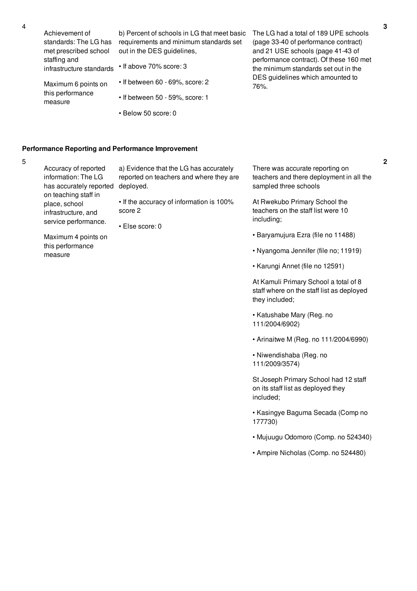| Achievement of                                     | b) Percent of schools in LG that meet basic | The LG had a total of 189 UPE schools    |
|----------------------------------------------------|---------------------------------------------|------------------------------------------|
| standards: The LG has                              | requirements and minimum standards set      | (page 33-40 of performance contract)     |
| met prescribed school                              | out in the DES guidelines,                  | and 21 USE schools (page 41-43 of        |
| staffing and                                       |                                             | performance contract). Of these 160 met  |
| infrastructure standards                           | $\cdot$ If above 70% score: 3               | the minimum standards set out in the     |
| Maximum 6 points on<br>this performance<br>measure | $\cdot$ If between 60 - 69%, score: 2       | DES guidelines which amounted to<br>76%. |
|                                                    | • If between 50 - 59%, score: 1             |                                          |
|                                                    | • Below 50 score: 0                         |                                          |

### **Performance Reporting and Performance Improvement**

5

| Accuracy of reported<br>information: The LG<br>has accurately reported               | a) Evidence that the LG has accurately<br>reported on teachers and where they are<br>deployed. | There was accurate reporting on<br>teachers and there deployment in all the<br>sampled three schools |
|--------------------------------------------------------------------------------------|------------------------------------------------------------------------------------------------|------------------------------------------------------------------------------------------------------|
| on teaching staff in<br>place, school<br>infrastructure, and<br>service performance. | • If the accuracy of information is 100%<br>score 2<br>$\cdot$ Else score: 0                   | At Rwekubo Primary School the<br>teachers on the staff list were 10<br>including;                    |
| Maximum 4 points on<br>this performance                                              |                                                                                                | • Baryamujura Ezra (file no 11488)<br>• Nyangoma Jennifer (file no: 11919)                           |

measure

- Nyangoma Jennifer (file no; 11919)
- Karungi Annet (file no 12591)

At Kamuli Primary School a total of 8 staff where on the staff list as deployed they included;

- Katushabe Mary (Reg. no 111/2004/6902)
- Arinaitwe M (Reg. no 111/2004/6990)
- Niwendishaba (Reg. no 111/2009/3574)

St Joseph Primary School had 12 staff on its staff list as deployed they included;

- Kasingye Baguma Secada (Comp no 177730)
- Mujuugu Odomoro (Comp. no 524340)
- Ampire Nicholas (Comp. no 524480)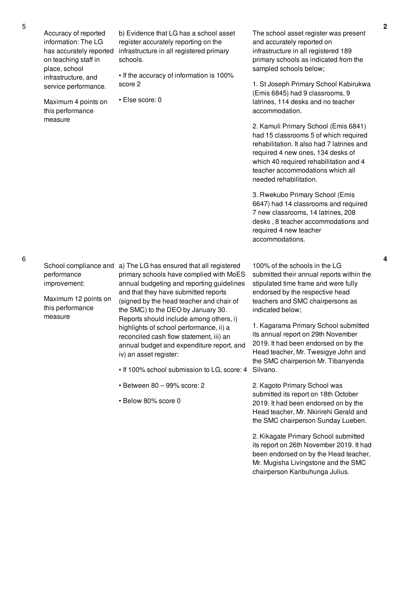Accuracy of reported information: The LG on teaching staff in place, school infrastructure, and service performance.

Maximum 4 points on this performance measure

has accurately reported infrastructure in all registered primary b) Evidence that LG has a school asset register accurately reporting on the schools.

> • If the accuracy of information is 100% score 2

• Else score: 0

The school asset register was present and accurately reported on infrastructure in all registered 189 primary schools as indicated from the sampled schools below;

1. St Joseph Primary School Kabirukwa (Emis 6845) had 9 classrooms, 9 latrines, 114 desks and no teacher accommodation.

2. Kamuli Primary School (Emis 6841) had 15 classrooms 5 of which required rehabilitation. It also had 7 latrines and required 4 new ones, 134 desks of which 40 required rehabilitation and 4 teacher accommodations which all needed rehabilitation.

3. Rwekubo Primary School (Emis 6647) had 14 classrooms and required 7 new classrooms, 14 latrines, 208 desks , 8 teacher accommodations and required 4 new teacher accommodations.

6

performance improvement:

Maximum 12 points on this performance measure

School compliance and a) The LG has ensured that all registered primary schools have complied with MoES annual budgeting and reporting guidelines and that they have submitted reports (signed by the head teacher and chair of the SMC) to the DEO by January 30. Reports should include among others, i) highlights of school performance, ii) a reconciled cash flow statement, iii) an annual budget and expenditure report, and iv) an asset register:

- If 100% school submission to LG, score: 4
- Between 80 99% score: 2
- Below 80% score 0

100% of the schools in the LG submitted their annual reports within the stipulated time frame and were fully endorsed by the respective head teachers and SMC chairpersons as indicated below;

1. Kagarama Primary School submitted its annual report on 29th November 2019. It had been endorsed on by the Head teacher, Mr. Twesigye John and the SMC chairperson Mr. Tibanyenda Silvano.

2. Kagoto Primary School was submitted its report on 18th October 2019. It had been endorsed on by the Head teacher, Mr. Nkirirehi Gerald and the SMC chairperson Sunday Lueben.

2. Kikagate Primary School submitted its report on 26th November 2019. It had been endorsed on by the Head teacher, Mr. Mugisha Livingstone and the SMC chairperson Karibuhunga Julius.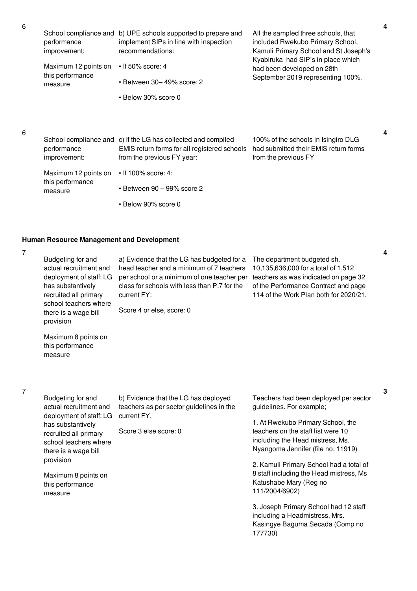| School compliance and<br>performance<br>improvement: | b) UPE schools supported to prepare and<br>implement SIPs in line with inspection<br>recommendations:                                       | All the sampled three schools, that<br>included Rwekubo Primary School,<br>Kamuli Primary School and St Joseph's<br>Kyabiruka had SIP's in place which |
|------------------------------------------------------|---------------------------------------------------------------------------------------------------------------------------------------------|--------------------------------------------------------------------------------------------------------------------------------------------------------|
| Maximum 12 points on<br>this performance<br>measure  | $\cdot$ If 50% score: 4                                                                                                                     | had been developed on 28th<br>September 2019 representing 100%.                                                                                        |
|                                                      | • Between 30– 49% score: 2                                                                                                                  |                                                                                                                                                        |
|                                                      | • Below 30% score 0                                                                                                                         |                                                                                                                                                        |
|                                                      |                                                                                                                                             |                                                                                                                                                        |
| performance<br>improvement:                          | School compliance and c) If the LG has collected and compiled<br>EMIS return forms for all registered schools<br>from the previous FY year: | 100% of the schools in Isingiro DLG<br>had submitted their EMIS return forms<br>from the previous FY                                                   |
| Maximum 12 points on<br>this performance<br>measure  | $\cdot$ If 100% score: 4:                                                                                                                   |                                                                                                                                                        |
|                                                      | $\cdot$ Between 90 - 99% score 2                                                                                                            |                                                                                                                                                        |
|                                                      | • Below 90% score 0                                                                                                                         |                                                                                                                                                        |

#### **Human Resource Management and Development**

7

6

6

Budgeting for and actual recruitment and deployment of staff: LG has substantively recruited all primary school teachers where there is a wage bill a) Evidence that the LG has budgeted for a head teacher and a minimum of 7 teachers per school or a minimum of one teacher per teachers as was indicated on page 32 class for schools with less than P.7 for the current FY: Score 4 or else, score: 0 The department budgeted sh. 10,135,636,000 for a total of 1,512 of the Performance Contract and page 114 of the Work Plan both for 2020/21.

Maximum 8 points on this performance measure

provision

- 7
- Budgeting for and actual recruitment and deployment of staff: LG has substantively recruited all primary school teachers where there is a wage bill provision

Maximum 8 points on this performance

measure

b) Evidence that the LG has deployed teachers as per sector guidelines in the current FY,

Score 3 else score: 0

Teachers had been deployed per sector guidelines. For example;

1. At Rwekubo Primary School, the teachers on the staff list were 10 including the Head mistress, Ms. Nyangoma Jennifer (file no; 11919)

2. Kamuli Primary School had a total of 8 staff including the Head mistress, Ms Katushabe Mary (Reg no 111/2004/6902)

3. Joseph Primary School had 12 staff including a Headmistress, Mrs. Kasingye Baguma Secada (Comp no 177730)

**4**

**4**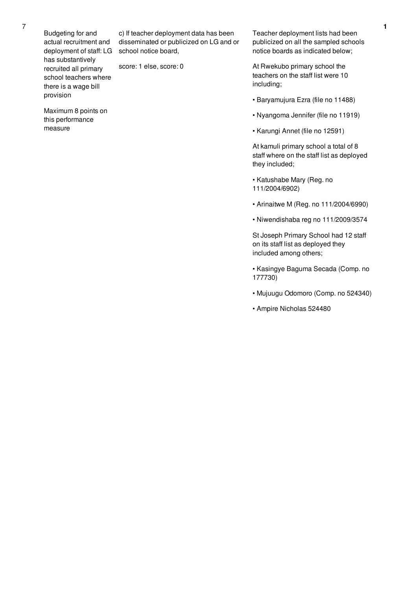Budgeting for and actual recruitment and deployment of staff: LG school notice board, has substantively recruited all primary school teachers where there is a wage bill provision

Maximum 8 points on this performance

measure

c) If teacher deployment data has been disseminated or publicized on LG and or

score: 1 else, score: 0

Teacher deployment lists had been publicized on all the sampled schools notice boards as indicated below;

At Rwekubo primary school the teachers on the staff list were 10 including;

- Baryamujura Ezra (file no 11488)
- Nyangoma Jennifer (file no 11919)
- Karungi Annet (file no 12591)

At kamuli primary school a total of 8 staff where on the staff list as deployed they included;

- Katushabe Mary (Reg. no 111/2004/6902)
- Arinaitwe M (Reg. no 111/2004/6990)
- Niwendishaba reg no 111/2009/3574

St Joseph Primary School had 12 staff on its staff list as deployed they included among others;

- Kasingye Baguma Secada (Comp. no 177730)
- Mujuugu Odomoro (Comp. no 524340)
- Ampire Nicholas 524480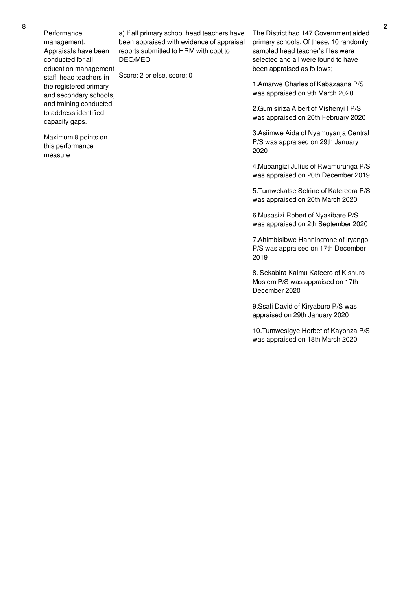Performance management: Appraisals have been conducted for all education management staff, head teachers in the registered primary and secondary schools, and training conducted to address identified capacity gaps.

Maximum 8 points on this performance

measure

a) If all primary school head teachers have been appraised with evidence of appraisal reports submitted to HRM with copt to DEO/MEO

Score: 2 or else, score: 0

The District had 147 Government aided primary schools. Of these, 10 randomly sampled head teacher's files were selected and all were found to have been appraised as follows;

1.Amarwe Charles of Kabazaana P/S was appraised on 9th March 2020

2.Gumisiriza Albert of Mishenyi I P/S was appraised on 20th February 2020

3.Asiimwe Aida of Nyamuyanja Central P/S was appraised on 29th January 2020

4.Mubangizi Julius of Rwamurunga P/S was appraised on 20th December 2019

5.Tumwekatse Setrine of Katereera P/S was appraised on 20th March 2020

6.Musasizi Robert of Nyakibare P/S was appraised on 2th September 2020

7.Ahimbisibwe Hanningtone of Iryango P/S was appraised on 17th December 2019

8. Sekabira Kaimu Kafeero of Kishuro Moslem P/S was appraised on 17th December 2020

9.Ssali David of Kiryaburo P/S was appraised on 29th January 2020

10.Tumwesigye Herbet of Kayonza P/S was appraised on 18th March 2020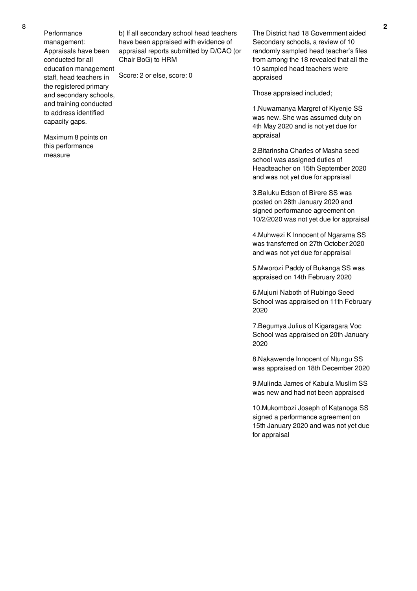Performance management: Appraisals have been conducted for all education management staff, head teachers in the registered primary and secondary schools, and training conducted to address identified capacity gaps.

Maximum 8 points on this performance

measure

b) If all secondary school head teachers have been appraised with evidence of appraisal reports submitted by D/CAO (or Chair BoG) to HRM

Score: 2 or else, score: 0

The District had 18 Government aided Secondary schools, a review of 10 randomly sampled head teacher's files from among the 18 revealed that all the 10 sampled head teachers were appraised

Those appraised included;

1.Nuwamanya Margret of Kiyenje SS was new. She was assumed duty on 4th May 2020 and is not yet due for appraisal

2.Bitarinsha Charles of Masha seed school was assigned duties of Headteacher on 15th September 2020 and was not yet due for appraisal

3.Baluku Edson of Birere SS was posted on 28th January 2020 and signed performance agreement on 10/2/2020 was not yet due for appraisal

4.Muhwezi K Innocent of Ngarama SS was transferred on 27th October 2020 and was not yet due for appraisal

5.Mworozi Paddy of Bukanga SS was appraised on 14th February 2020

6.Mujuni Naboth of Rubingo Seed School was appraised on 11th February 2020

7.Begumya Julius of Kigaragara Voc School was appraised on 20th January 2020

8.Nakawende Innocent of Ntungu SS was appraised on 18th December 2020

9.Mulinda James of Kabula Muslim SS was new and had not been appraised

10.Mukombozi Joseph of Katanoga SS signed a performance agreement on 15th January 2020 and was not yet due for appraisal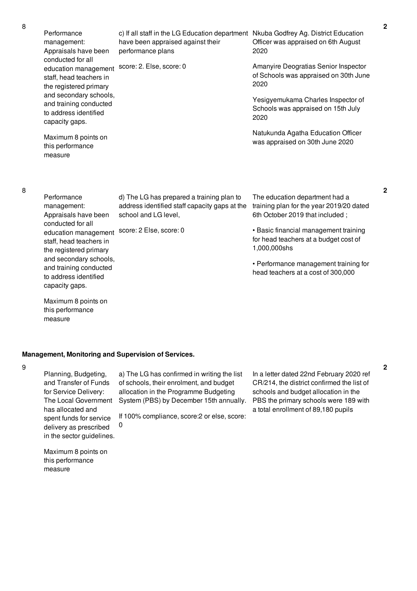Performance management: Appraisals have been conducted for all education management score: 2. Else, score: 0 staff, head teachers in the registered primary and secondary schools, and training conducted to address identified capacity gaps.

Maximum 8 points on this performance measure

c) If all staff in the LG Education department Nkuba Godfrey Ag. District Education have been appraised against their performance plans

Officer was appraised on 6th August 2020

Amanyire Deogratias Senior Inspector of Schools was appraised on 30th June 2020

Yesigyemukama Charles Inspector of Schools was appraised on 15th July 2020

Natukunda Agatha Education Officer was appraised on 30th June 2020

8

| Performance             | d) The LG has prepared a training plan to     | The education department had a           |
|-------------------------|-----------------------------------------------|------------------------------------------|
| management:             | address identified staff capacity gaps at the | training plan for the year 2019/20 dated |
| Appraisals have been    | school and LG level,                          | 6th October 2019 that included;          |
| conducted for all       |                                               |                                          |
| education management    | score: 2 Else, score: 0                       | • Basic financial management training    |
| staff, head teachers in |                                               | for head teachers at a budget cost of    |
| the registered primary  |                                               | 1,000,000shs                             |
| and secondary schools,  |                                               |                                          |
| and training conducted  |                                               | • Performance management training for    |
| to address identified   |                                               | head teachers at a cost of 300,000       |
| capacity gaps.          |                                               |                                          |

Maximum 8 points on this performance measure

### **Management, Monitoring and Supervision of Services.**

9

Planning, Budgeting, and Transfer of Funds for Service Delivery: The Local Government has allocated and spent funds for service delivery as prescribed in the sector guidelines.

a) The LG has confirmed in writing the list of schools, their enrolment, and budget allocation in the Programme Budgeting System (PBS) by December 15th annually.

If 100% compliance, score:2 or else, score: 0

In a letter dated 22nd February 2020 ref CR/214, the district confirmed the list of schools and budget allocation in the PBS the primary schools were 189 with a total enrollment of 89,180 pupils

Maximum 8 points on this performance measure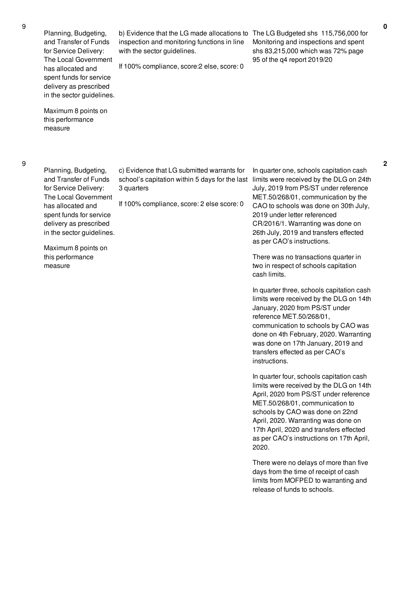Planning, Budgeting, and Transfer of Funds for Service Delivery: The Local Government has allocated and spent funds for service delivery as prescribed in the sector guidelines.

Maximum 8 points on this performance measure

9

Planning, Budgeting, and Transfer of Funds for Service Delivery: The Local Government has allocated and spent funds for service delivery as prescribed in the sector guidelines.

3 quarters

Maximum 8 points on this performance measure

b) Evidence that the LG made allocations to The LG Budgeted shs 115,756,000 for inspection and monitoring functions in line with the sector quidelines.

If 100% compliance, score:2 else, score: 0

Monitoring and inspections and spent shs 83,215,000 which was 72% page 95 of the q4 report 2019/20

**2**

c) Evidence that LG submitted warrants for school's capitation within 5 days for the last limits were received by the DLG on 24th If 100% compliance, score: 2 else score: 0 In quarter one, schools capitation cash July, 2019 from PS/ST under reference MET.50/268/01, communication by the CAO to schools was done on 30th July, 2019 under letter referenced CR/2016/1. Warranting was done on 26th July, 2019 and transfers effected

as per CAO's instructions.

There was no transactions quarter in two in respect of schools capitation cash limits.

In quarter three, schools capitation cash limits were received by the DLG on 14th January, 2020 from PS/ST under reference MET.50/268/01, communication to schools by CAO was done on 4th February, 2020. Warranting was done on 17th January, 2019 and transfers effected as per CAO's instructions.

In quarter four, schools capitation cash limits were received by the DLG on 14th April, 2020 from PS/ST under reference MET.50/268/01, communication to schools by CAO was done on 22nd April, 2020. Warranting was done on 17th April, 2020 and transfers effected as per CAO's instructions on 17th April, 2020.

There were no delays of more than five days from the time of receipt of cash limits from MOFPED to warranting and release of funds to schools.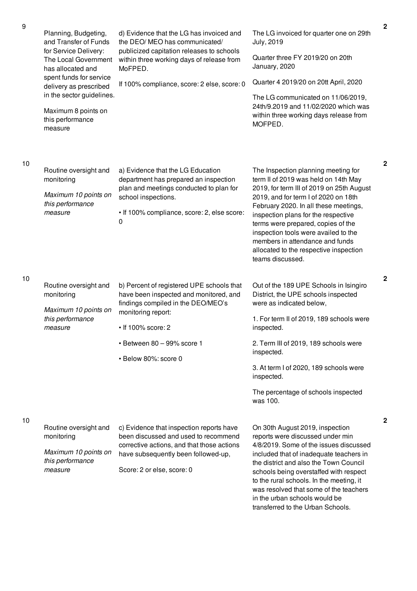| 9  | Planning, Budgeting,<br>and Transfer of Funds                      | d) Evidence that the LG has invoiced and<br>the DEO/ MEO has communicated/                                                     | The LG invoiced for quarter one on 29th<br>July, 2019                                                                                                                                                              |
|----|--------------------------------------------------------------------|--------------------------------------------------------------------------------------------------------------------------------|--------------------------------------------------------------------------------------------------------------------------------------------------------------------------------------------------------------------|
|    | for Service Delivery:<br>The Local Government<br>has allocated and | publicized capitation releases to schools<br>within three working days of release from<br>MoFPED.                              | Quarter three FY 2019/20 on 20th<br>January, 2020                                                                                                                                                                  |
|    | spent funds for service<br>delivery as prescribed                  | If 100% compliance, score: 2 else, score: 0                                                                                    | Quarter 4 2019/20 on 20tt April, 2020                                                                                                                                                                              |
|    | in the sector guidelines.                                          |                                                                                                                                | The LG communicated on 11/06/2019,<br>24th/9.2019 and 11/02/2020 which was                                                                                                                                         |
|    | Maximum 8 points on<br>this performance<br>measure                 |                                                                                                                                | within three working days release from<br>MOFPED.                                                                                                                                                                  |
|    |                                                                    |                                                                                                                                |                                                                                                                                                                                                                    |
| 10 | Routine oversight and<br>monitoring                                | a) Evidence that the LG Education<br>department has prepared an inspection                                                     | The Inspection planning meeting for<br>term II of 2019 was held on 14th May                                                                                                                                        |
|    | Maximum 10 points on<br>this performance                           | plan and meetings conducted to plan for<br>school inspections.                                                                 | 2019, for term III of 2019 on 25th August<br>2019, and for term I of 2020 on 18th<br>February 2020. In all these meetings,                                                                                         |
|    | measure                                                            | • If 100% compliance, score: 2, else score:<br>0                                                                               | inspection plans for the respective<br>terms were prepared, copies of the<br>inspection tools were availed to the<br>members in attendance and funds<br>allocated to the respective inspection<br>teams discussed. |
| 10 | Routine oversight and                                              | b) Percent of registered UPE schools that                                                                                      | Out of the 189 UPE Schools in Isingiro                                                                                                                                                                             |
|    | monitoring                                                         | have been inspected and monitored, and<br>findings compiled in the DEO/MEO's                                                   | District, the UPE schools inspected<br>were as indicated below,                                                                                                                                                    |
|    | Maximum 10 points on<br>this performance<br>measure                | monitoring report:<br>• If 100% score: 2                                                                                       | 1. For term II of 2019, 189 schools were<br>inspected.                                                                                                                                                             |
|    |                                                                    | · Between 80 - 99% score 1                                                                                                     | 2. Term III of 2019, 189 schools were<br>inspected.                                                                                                                                                                |
|    |                                                                    | · Below 80%: score 0                                                                                                           | 3. At term I of 2020, 189 schools were                                                                                                                                                                             |
|    |                                                                    |                                                                                                                                | inspected.                                                                                                                                                                                                         |
|    |                                                                    |                                                                                                                                | The percentage of schools inspected<br>was 100.                                                                                                                                                                    |
| 10 |                                                                    |                                                                                                                                |                                                                                                                                                                                                                    |
|    | Routine oversight and<br>monitoring                                | c) Evidence that inspection reports have<br>been discussed and used to recommend<br>corrective actions, and that those actions | On 30th August 2019, inspection<br>reports were discussed under min<br>4/8/2019. Some of the issues discussed                                                                                                      |
|    | Maximum 10 points on<br>this performance                           | have subsequently been followed-up,                                                                                            | included that of inadequate teachers in<br>the district and also the Town Council                                                                                                                                  |
|    | measure                                                            | Score: 2 or else, score: 0                                                                                                     | schools being overstaffed with respect<br>to the rural schools. In the meeting, it<br>was resolved that some of the teachers<br>in the urban schools would be                                                      |

**2**

**2**

**2**

transferred to the Urban Schools.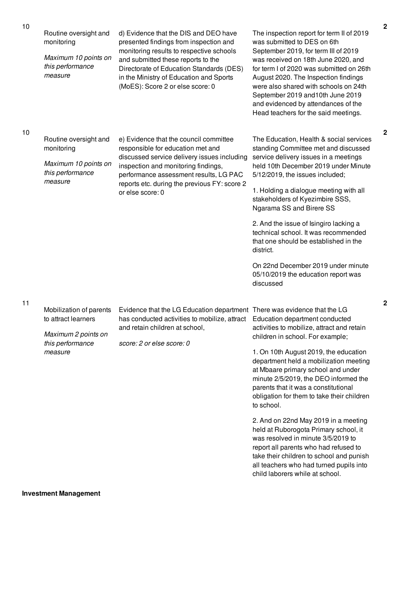| 10 | Routine oversight and<br>monitoring                                                                  | d) Evidence that the DIS and DEO have<br>presented findings from inspection and                                                                                                                             | The inspection report for term II of 2019<br>was submitted to DES on 6th                                                                                                                                                                                                                                                                                                               | 2                |
|----|------------------------------------------------------------------------------------------------------|-------------------------------------------------------------------------------------------------------------------------------------------------------------------------------------------------------------|----------------------------------------------------------------------------------------------------------------------------------------------------------------------------------------------------------------------------------------------------------------------------------------------------------------------------------------------------------------------------------------|------------------|
|    | Maximum 10 points on<br>this performance<br>measure                                                  | monitoring results to respective schools<br>and submitted these reports to the<br>Directorate of Education Standards (DES)<br>in the Ministry of Education and Sports<br>(MoES): Score 2 or else score: 0   | September 2019, for term III of 2019<br>was received on 18th June 2020, and<br>for term I of 2020 was submitted on 26th<br>August 2020. The Inspection findings<br>were also shared with schools on 24th<br>September 2019 and 10th June 2019<br>and evidenced by attendances of the<br>Head teachers for the said meetings.                                                           |                  |
| 10 | Routine oversight and<br>monitoring<br>Maximum 10 points on<br>this performance<br>measure           | e) Evidence that the council committee<br>responsible for education met and<br>discussed service delivery issues including<br>inspection and monitoring findings,<br>performance assessment results, LG PAC | The Education, Health & social services<br>standing Committee met and discussed<br>service delivery issues in a meetings<br>held 10th December 2019 under Minute<br>5/12/2019, the issues included;                                                                                                                                                                                    | 2                |
|    |                                                                                                      | reports etc. during the previous FY: score 2<br>or else score: 0                                                                                                                                            | 1. Holding a dialogue meeting with all<br>stakeholders of Kyezimbire SSS,<br>Ngarama SS and Birere SS                                                                                                                                                                                                                                                                                  |                  |
|    |                                                                                                      |                                                                                                                                                                                                             | 2. And the issue of Isingiro lacking a<br>technical school. It was recommended<br>that one should be established in the<br>district.                                                                                                                                                                                                                                                   |                  |
|    |                                                                                                      |                                                                                                                                                                                                             | On 22nd December 2019 under minute<br>05/10/2019 the education report was<br>discussed                                                                                                                                                                                                                                                                                                 |                  |
| 11 | Mobilization of parents<br>to attract learners<br>Maximum 2 points on<br>this performance<br>measure | Evidence that the LG Education department There was evidence that the LG<br>has conducted activities to mobilize, attract<br>and retain children at school,<br>score: 2 or else score: 0                    | Education department conducted<br>activities to mobilize, attract and retain<br>children in school. For example;<br>1. On 10th August 2019, the education<br>department held a mobilization meeting<br>at Mbaare primary school and under<br>minute 2/5/2019, the DEO informed the<br>parents that it was a constitutional<br>obligation for them to take their children<br>to school. | $\boldsymbol{2}$ |
|    |                                                                                                      |                                                                                                                                                                                                             | 2. And on 22nd May 2019 in a meeting<br>held at Ruborogota Primary school, it<br>was resolved in minute 3/5/2019 to<br>report all parents who had refused to<br>take their children to school and punish<br>all teachers who had turned pupils into<br>child laborers while at school.                                                                                                 |                  |

**Investment Management**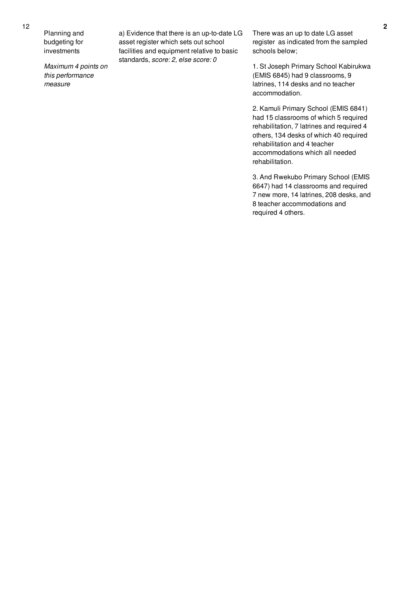Planning and budgeting for investments

*Maximum 4 points on this performance measure*

a) Evidence that there is an up-to-date LG asset register which sets out school facilities and equipment relative to basic standards, *score: 2, else score: 0*

There was an up to date LG asset register as indicated from the sampled schools below;

1. St Joseph Primary School Kabirukwa (EMIS 6845) had 9 classrooms, 9 latrines, 114 desks and no teacher accommodation.

2. Kamuli Primary School (EMIS 6841) had 15 classrooms of which 5 required rehabilitation, 7 latrines and required 4 others, 134 desks of which 40 required rehabilitation and 4 teacher accommodations which all needed rehabilitation.

3. And Rwekubo Primary School (EMIS 6647) had 14 classrooms and required 7 new more, 14 latrines, 208 desks, and 8 teacher accommodations and required 4 others.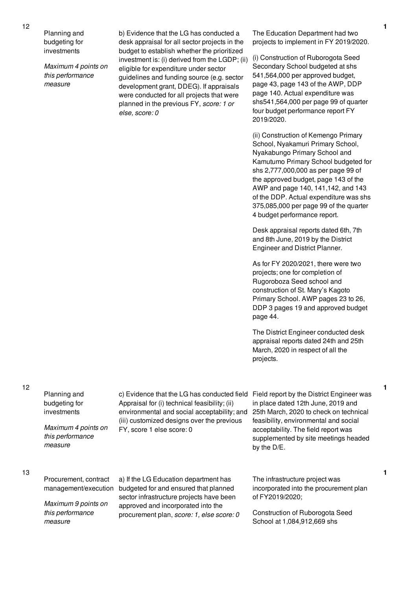Planning and

12

budgeting for investments

*Maximum 4 points on this performance measure*

b) Evidence that the LG has conducted a desk appraisal for all sector projects in the budget to establish whether the prioritized investment is: (i) derived from the LGDP; (ii) eligible for expenditure under sector guidelines and funding source (e.g. sector development grant, DDEG). If appraisals were conducted for all projects that were planned in the previous FY, *score: 1 or else, score: 0*

The Education Department had two projects to implement in FY 2019/2020.

(i) Construction of Ruborogota Seed Secondary School budgeted at shs 541,564,000 per approved budget, page 43, page 143 of the AWP, DDP page 140. Actual expenditure was shs541,564,000 per page 99 of quarter four budget performance report FY 2019/2020.

(ii) Construction of Kemengo Primary School, Nyakamuri Primary School, Nyakabungo Primary School and Kamutumo Primary School budgeted for shs 2,777,000,000 as per page 99 of the approved budget, page 143 of the AWP and page 140, 141,142, and 143 of the DDP. Actual expenditure was shs 375,085,000 per page 99 of the quarter 4 budget performance report.

Desk appraisal reports dated 6th, 7th and 8th June, 2019 by the District Engineer and District Planner.

As for FY 2020/2021, there were two projects; one for completion of Rugoroboza Seed school and construction of St. Mary's Kagoto Primary School. AWP pages 23 to 26, DDP 3 pages 19 and approved budget page 44.

The District Engineer conducted desk appraisal reports dated 24th and 25th March, 2020 in respect of all the projects.

Planning and budgeting for investments *Maximum 4 points on this performance measure* c) Evidence that the LG has conducted field Appraisal for (i) technical feasibility; (ii) environmental and social acceptability; and (iii) customized designs over the previous FY, score 1 else score: 0 Field report by the District Engineer was in place dated 12th June, 2019 and 25th March, 2020 to check on technical feasibility, environmental and social acceptability. The field report was supplemented by site meetings headed by the D/E. 13 Procurement, contract management/execution budgeted for and ensured that planned *Maximum 9 points on* a) If the LG Education department has sector infrastructure projects have been approved and incorporated into the The infrastructure project was incorporated into the procurement plan of FY2019/2020;

procurement plan, *score: 1, else score: 0*

Construction of Ruborogota Seed School at 1,084,912,669 shs

**1**

**1**

12

*this performance*

*measure*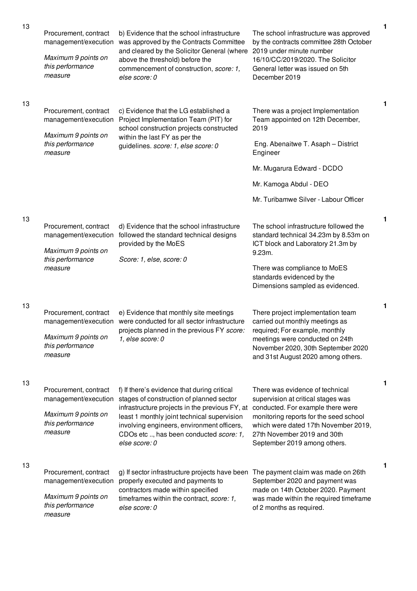| 13 | Procurement, contract<br>management/execution<br>Maximum 9 points on<br>this performance<br>measure | b) Evidence that the school infrastructure<br>was approved by the Contracts Committee<br>and cleared by the Solicitor General (where<br>above the threshold) before the<br>commencement of construction, score: 1,<br>else score: 0                                                                                                  | The school infrastructure was approved<br>by the contracts committee 28th October<br>2019 under minute number<br>16/10/CC/2019/2020. The Solicitor<br>General letter was issued on 5th<br>December 2019                           | 1 |
|----|-----------------------------------------------------------------------------------------------------|--------------------------------------------------------------------------------------------------------------------------------------------------------------------------------------------------------------------------------------------------------------------------------------------------------------------------------------|-----------------------------------------------------------------------------------------------------------------------------------------------------------------------------------------------------------------------------------|---|
| 13 | Procurement, contract<br>management/execution<br>Maximum 9 points on<br>this performance<br>measure | c) Evidence that the LG established a<br>Project Implementation Team (PIT) for<br>school construction projects constructed<br>within the last FY as per the<br>guidelines. score: 1, else score: 0                                                                                                                                   | There was a project Implementation<br>Team appointed on 12th December,<br>2019<br>Eng. Abenaitwe T. Asaph - District<br>Engineer<br>Mr. Mugarura Edward - DCDO<br>Mr. Kamoga Abdul - DEO<br>Mr. Turibamwe Silver - Labour Officer | 1 |
| 13 | Procurement, contract<br>management/execution<br>Maximum 9 points on<br>this performance<br>measure | d) Evidence that the school infrastructure<br>followed the standard technical designs<br>provided by the MoES<br>Score: 1, else, score: 0                                                                                                                                                                                            | The school infrastructure followed the<br>standard technical 34.23m by 8.53m on<br>ICT block and Laboratory 21.3m by<br>9.23m.<br>There was compliance to MoES<br>standards evidenced by the<br>Dimensions sampled as evidenced.  | 1 |
| 13 | Procurement, contract<br>management/execution<br>Maximum 9 points on<br>this performance<br>measure | e) Evidence that monthly site meetings<br>were conducted for all sector infrastructure<br>projects planned in the previous FY score:<br>1, else score: 0                                                                                                                                                                             | There project implementation team<br>carried out monthly meetings as<br>required; For example, monthly<br>meetings were conducted on 24th<br>November 2020, 30th September 2020<br>and 31st August 2020 among others.             | 1 |
| 13 | Procurement, contract<br>management/execution<br>Maximum 9 points on<br>this performance<br>measure | f) If there's evidence that during critical<br>stages of construction of planned sector<br>infrastructure projects in the previous FY, at conducted. For example there were<br>least 1 monthly joint technical supervision<br>involving engineers, environment officers,<br>CDOs etc , has been conducted score: 1,<br>else score: 0 | There was evidence of technical<br>supervision at critical stages was<br>monitoring reports for the seed school<br>which were dated 17th November 2019,<br>27th November 2019 and 30th<br>September 2019 among others.            | 1 |
| 13 | Procurement, contract<br>management/execution<br>Maximum 9 points on<br>this performance<br>measure | g) If sector infrastructure projects have been The payment claim was made on 26th<br>properly executed and payments to<br>contractors made within specified<br>timeframes within the contract, score: 1,<br>else score: 0                                                                                                            | September 2020 and payment was<br>made on 14th October 2020. Payment<br>was made within the required timeframe<br>of 2 months as required.                                                                                        | 1 |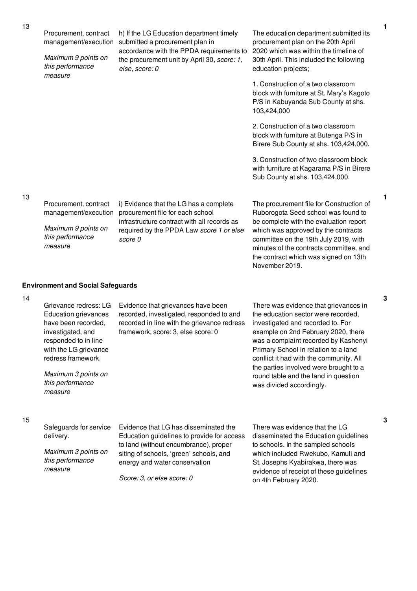14

Procurement, contract management/execution submitted a procurement plan in *Maximum 9 points on this performance measure* h) If the LG Education department timely accordance with the PPDA requirements to the procurement unit by April 30, *score: 1, else, score: 0* The education department submitted its procurement plan on the 20th April 2020 which was within the timeline of 30th April. This included the following education projects; 1. Construction of a two classroom block with furniture at St. Mary's Kagoto P/S in Kabuyanda Sub County at shs. 103,424,000 2. Construction of a two classroom block with furniture at Butenga P/S in Birere Sub County at shs. 103,424,000. 3. Construction of two classroom block with furniture at Kagarama P/S in Birere Sub County at shs. 103,424,000. Procurement, contract management/execution *Maximum 9 points on this performance measure* i) Evidence that the LG has a complete procurement file for each school infrastructure contract with all records as required by the PPDA Law *score 1 or else score 0* The procurement file for Construction of Ruborogota Seed school was found to be complete with the evaluation report which was approved by the contracts committee on the 19th July 2019, with minutes of the contracts committee, and the contract which was signed on 13th November 2019. **Environment and Social Safeguards** Grievance redress: LG Evidence that grievances have been There was evidence that grievances in

Education grievances have been recorded, investigated, and responded to in line with the LG grievance redress framework.

*Maximum 3 points on this performance measure*

recorded, investigated, responded to and recorded in line with the grievance redress framework, score: 3, else score: 0

the education sector were recorded, investigated and recorded to. For example on 2nd February 2020, there was a complaint recorded by Kashenyi Primary School in relation to a land conflict it had with the community. All the parties involved were brought to a round table and the land in question was divided accordingly.

Safeguards for service delivery. *Maximum 3 points on*

*this performance measure*

Evidence that LG has disseminated the Education guidelines to provide for access to land (without encumbrance), proper siting of schools, 'green' schools, and energy and water conservation

*Score: 3, or else score: 0*

There was evidence that the LG disseminated the Education guidelines to schools. In the sampled schools which included Rwekubo, Kamuli and St. Josephs Kyabirakwa, there was evidence of receipt of these guidelines on 4th February 2020.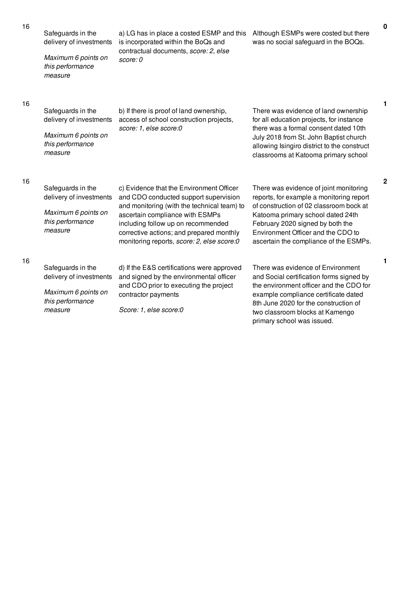Safeguards in the

*Maximum 6 points on this performance measure*

delivery of investments is incorporated within the BoQs and a) LG has in place a costed ESMP and this Although ESMPs were costed but there contractual documents, *score: 2, else score: 0*

was no social safeguard in the BOQs.

**1**

**2**

**1**

| 16 | Safeguards in the                       | b) If there is proof of land ownership,                           |
|----|-----------------------------------------|-------------------------------------------------------------------|
|    | delivery of investments                 | access of school construction projects,<br>score: 1, else score:0 |
|    | Maximum 6 points on<br>this performance |                                                                   |
|    | measure                                 |                                                                   |
|    |                                         |                                                                   |

There was evidence of land ownership for all education projects, for instance there was a formal consent dated 10th July 2018 from St. John Baptist church allowing Isingiro district to the construct classrooms at Katooma primary school

## 16

| Safeguards in the<br>delivery of investments<br>Maximum 6 points on<br>this performance<br>measure | c) Evidence that the Environment Officer<br>and CDO conducted support supervision<br>and monitoring (with the technical team) to<br>ascertain compliance with ESMPs<br>including follow up on recommended<br>corrective actions; and prepared monthly<br>monitoring reports, score: 2, else score: 0 | There was evidence of joint monitoring<br>reports, for example a monitoring report<br>of construction of 02 classroom bock at<br>Katooma primary school dated 24th<br>February 2020 signed by both the<br>Environment Officer and the CDO to<br>ascertain the compliance of the ESMPs. |
|----------------------------------------------------------------------------------------------------|------------------------------------------------------------------------------------------------------------------------------------------------------------------------------------------------------------------------------------------------------------------------------------------------------|----------------------------------------------------------------------------------------------------------------------------------------------------------------------------------------------------------------------------------------------------------------------------------------|
| Safeguards in the<br>delivery of investments<br>Maximum 6 points on<br>this performance<br>measure | d) If the E&S certifications were approved<br>and signed by the environmental officer<br>and CDO prior to executing the project<br>contractor payments<br>Score: 1, else score:0                                                                                                                     | There was evidence of Environment<br>and Social certification forms signed by<br>the environment officer and the CDO for<br>example compliance certificate dated<br>8th June 2020 for the construction of<br>two classroom blocks at Kamengo<br>primary school was issued.             |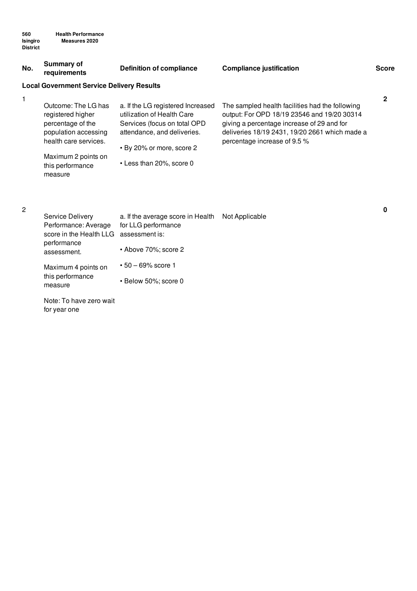| No. | <b>Summary of</b><br>requirements                                                                                                                                    | <b>Definition of compliance</b>                                                                                                                                                         | <b>Compliance justification</b>                                                                                                                                                                                                | <b>Score</b> |
|-----|----------------------------------------------------------------------------------------------------------------------------------------------------------------------|-----------------------------------------------------------------------------------------------------------------------------------------------------------------------------------------|--------------------------------------------------------------------------------------------------------------------------------------------------------------------------------------------------------------------------------|--------------|
|     | <b>Local Government Service Delivery Results</b>                                                                                                                     |                                                                                                                                                                                         |                                                                                                                                                                                                                                |              |
|     | Outcome: The LG has<br>registered higher<br>percentage of the<br>population accessing<br>health care services.<br>Maximum 2 points on<br>this performance<br>measure | a. If the LG registered Increased<br>utilization of Health Care<br>Services (focus on total OPD<br>attendance, and deliveries.<br>• By 20% or more, score 2<br>• Less than 20%, score 0 | The sampled health facilities had the following<br>output: For OPD 18/19 23546 and 19/20 30314<br>giving a percentage increase of 29 and for<br>deliveries 18/19 2431, 19/20 2661 which made a<br>percentage increase of 9.5 % | 2            |

## 2

| Service Delivery<br>Performance: Average | a. If the average score in Health<br>for LLG performance | Not Applicable |
|------------------------------------------|----------------------------------------------------------|----------------|
| score in the Health LLG                  | assessment is:                                           |                |
| performance<br>assessment.               | • Above 70%; score 2                                     |                |
| Maximum 4 points on                      | $\cdot$ 50 – 69% score 1                                 |                |
| this performance<br>measure              | • Below 50%; score 0                                     |                |

Note: To have zero wait for year one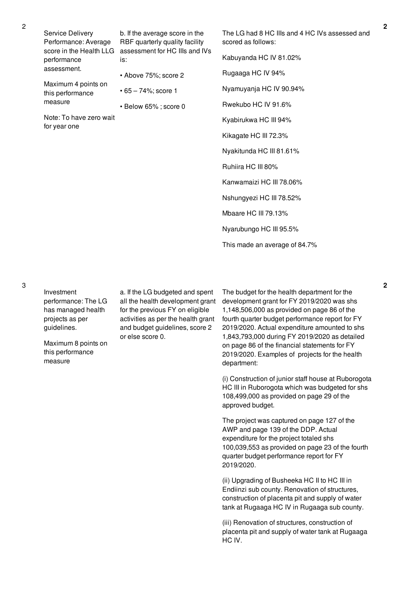Service Delivery Performance: Average score in the Health LLG assessment for HC IIIs and IVs performance assessment. Maximum 4 points on this performance measure Note: To have zero wait for year one b. If the average score in the RBF quarterly quality facility is: • Above 75%; score 2 • 65 – 74%; score 1 • Below 65% ; score 0 The LG had 8 HC IIIs and 4 HC IVs assessed and scored as follows: Kabuyanda HC IV 81.02% Rugaaga HC IV 94% Nyamuyanja HC IV 90.94% Rwekubo HC IV 91.6% Kyabirukwa HC III 94% Kikagate HC III 72.3% Nyakitunda HC III 81.61% Ruhiira HC III 80% Kanwamaizi HC III 78.06% Nshungyezi HC III 78.52% Mbaare HC III 79.13%

Nyarubungo HC III 95.5%

This made an average of 84.7%

3

Investment performance: The LG has managed health projects as per guidelines.

Maximum 8 points on this performance measure

a. If the LG budgeted and spent all the health development grant for the previous FY on eligible activities as per the health grant and budget guidelines, score 2 or else score 0.

The budget for the health department for the development grant for FY 2019/2020 was shs 1,148,506,000 as provided on page 86 of the fourth quarter budget performance report for FY 2019/2020. Actual expenditure amounted to shs 1,843,793,000 during FY 2019/2020 as detailed on page 86 of the financial statements for FY 2019/2020. Examples of projects for the health department:

(i) Construction of junior staff house at Ruborogota HC III in Ruborogota which was budgeted for shs 108,499,000 as provided on page 29 of the approved budget.

The project was captured on page 127 of the AWP and page 139 of the DDP. Actual expenditure for the project totaled shs 100,039,553 as provided on page 23 of the fourth quarter budget performance report for FY 2019/2020.

(ii) Upgrading of Busheeka HC II to HC III in Endiinzi sub county. Renovation of structures, construction of placenta pit and supply of water tank at Rugaaga HC IV in Rugaaga sub county.

(iii) Renovation of structures, construction of placenta pit and supply of water tank at Rugaaga HC IV.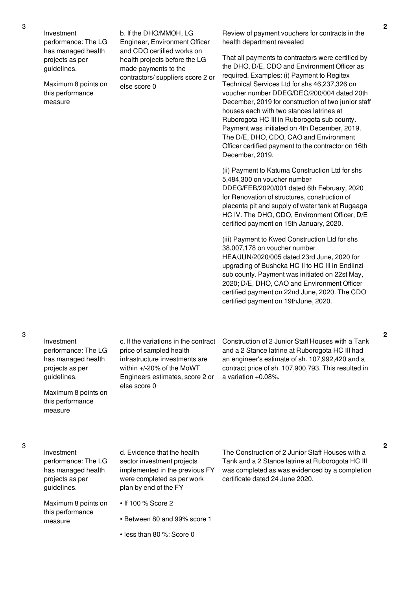Investment performance: The LG has managed health projects as per guidelines.

Maximum 8 points on this performance measure

b. If the DHO/MMOH, LG Engineer, Environment Officer and CDO certified works on health projects before the LG made payments to the contractors/ suppliers score 2 or else score 0

Review of payment vouchers for contracts in the health department revealed

That all payments to contractors were certified by the DHO, D/E, CDO and Environment Officer as required. Examples: (i) Payment to Regitex Technical Services Ltd for shs 46,237,326 on voucher number DDEG/DEC/200/004 dated 20th December, 2019 for construction of two junior staff houses each with two stances latrines at Ruborogota HC III in Ruborogota sub county. Payment was initiated on 4th December, 2019. The D/E, DHO, CDO, CAO and Environment Officer certified payment to the contractor on 16th December, 2019.

(ii) Payment to Katuma Construction Ltd for shs 5,484,300 on voucher number DDEG/FEB/2020/001 dated 6th February, 2020 for Renovation of structures, construction of placenta pit and supply of water tank at Rugaaga HC IV. The DHO, CDO, Environment Officer, D/E certified payment on 15th January, 2020.

(iii) Payment to Kwed Construction Ltd for shs 38,007,178 on voucher number HEA/JUN/2020/005 dated 23rd June, 2020 for upgrading of Busheka HC II to HC III in Endiinzi sub county. Payment was initiated on 22st May, 2020; D/E, DHO, CAO and Environment Officer certified payment on 22nd June, 2020. The CDO certified payment on 19thJune, 2020.

Investment performance: The LG has managed health projects as per guidelines.

Maximum 8 points on this performance measure

price of sampled health infrastructure investments are within +/-20% of the MoWT Engineers estimates, score 2 or else score 0

c. If the variations in the contract Construction of 2 Junior Staff Houses with a Tank and a 2 Stance latrine at Ruborogota HC III had an engineer's estimate of sh. 107,992,420 and a contract price of sh. 107,900,793. This resulted in a variation +0.08%.

Investment performance: The LG has managed health projects as per guidelines.

Maximum 8 points on this performance measure

d. Evidence that the health sector investment projects implemented in the previous FY were completed as per work plan by end of the FY

• Between 80 and 99% score 1

• less than 80 %: Score 0

• If 100 % Score 2

The Construction of 2 Junior Staff Houses with a Tank and a 2 Stance latrine at Ruborogota HC III was completed as was evidenced by a completion certificate dated 24 June 2020.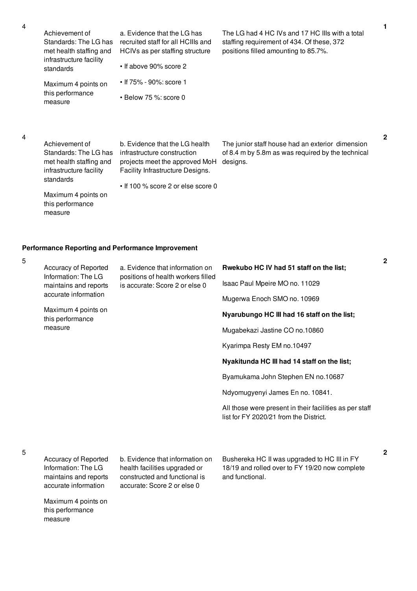| Achievement of                       | a. Evidence that the LC    |
|--------------------------------------|----------------------------|
| Standards: The LG has                | recruited staff for all HC |
| met health staffing and              | HCIVs as per staffing s    |
| infrastructure facility<br>standards | • If above 90% score 2     |
| Maximum 4 points on                  | • If 75% - 90%: score 1    |
| this performance                     | D . L 7 P . O 0            |

Evidence that the LG has ruited staff for all HCIIIs and HCIVs as per staffing structure

• Below 75 %: score 0

The LG had 4 HC IVs and 17 HC IIIs with a total staffing requirement of 434. Of these, 372 positions filled amounting to 85.7%.

The junior staff house had an exterior dimension

**1**

### 4

Achievement of Standards: The LG has met health staffing and infrastructure facility standards

measure

infrastructure construction projects meet the approved MoH Facility Infrastructure Designs.

b. Evidence that the LG health

• If 100 % score 2 or else score 0

Maximum 4 points on this performance measure

of 8.4 m by 5.8m as was required by the technical designs.

**2**

## **Performance Reporting and Performance Improvement**

| 5 |                                                                                                                                                    |                                                                                                         |                                                                                                   |
|---|----------------------------------------------------------------------------------------------------------------------------------------------------|---------------------------------------------------------------------------------------------------------|---------------------------------------------------------------------------------------------------|
|   | Accuracy of Reported<br>Information: The LG<br>maintains and reports<br>accurate information<br>Maximum 4 points on<br>this performance<br>measure | a. Evidence that information on<br>positions of health workers filled<br>is accurate: Score 2 or else 0 | Rwekubo HC IV had 51 staff on the list;                                                           |
|   |                                                                                                                                                    |                                                                                                         | Isaac Paul Mpeire MO no. 11029                                                                    |
|   |                                                                                                                                                    |                                                                                                         | Mugerwa Enoch SMO no. 10969                                                                       |
|   |                                                                                                                                                    |                                                                                                         | Nyarubungo HC III had 16 staff on the list;                                                       |
|   |                                                                                                                                                    |                                                                                                         | Mugabekazi Jastine CO no.10860                                                                    |
|   |                                                                                                                                                    |                                                                                                         | Kyarimpa Resty EM no.10497                                                                        |
|   |                                                                                                                                                    |                                                                                                         | Nyakitunda HC III had 14 staff on the list;                                                       |
|   |                                                                                                                                                    |                                                                                                         | Byamukama John Stephen EN no.10687                                                                |
|   |                                                                                                                                                    |                                                                                                         | Ndyomugyenyi James En no. 10841.                                                                  |
|   |                                                                                                                                                    |                                                                                                         | All those were present in their facilities as per staff<br>list for FY 2020/21 from the District. |
|   |                                                                                                                                                    |                                                                                                         |                                                                                                   |
| 5 | Accuracy of Reported                                                                                                                               | b. Evidence that information on                                                                         | Bushereka HC II was upgraded to HC III in FY                                                      |
|   |                                                                                                                                                    |                                                                                                         |                                                                                                   |

5

Information: The LG maintains and reports accurate information

Maximum 4 points on this performance measure

health facilities upgraded or constructed and functional is accurate: Score 2 or else 0

18/19 and rolled over to FY 19/20 now complete and functional.

**2**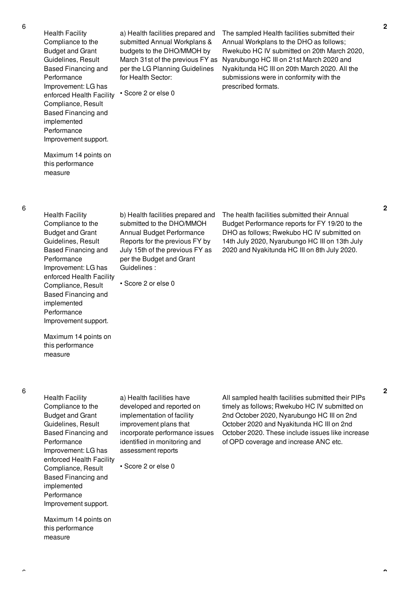Health Facility Compliance to the Budget and Grant Guidelines, Result Based Financing and Performance Improvement: LG has enforced Health Facility Compliance, Result Based Financing and implemented Performance Improvement support.

Maximum 14 points on this performance

measure

a) Health facilities prepared and submitted Annual Workplans & budgets to the DHO/MMOH by March 31st of the previous FY as per the LG Planning Guidelines for Health Sector:

• Score 2 or else 0

The sampled Health facilities submitted their Annual Workplans to the DHO as follows; Rwekubo HC IV submitted on 20th March 2020, Nyarubungo HC III on 21st March 2020 and Nyakitunda HC III on 20th March 2020. All the submissions were in conformity with the prescribed formats.

6

Health Facility Compliance to the Budget and Grant Guidelines, Result Based Financing and Performance Improvement: LG has enforced Health Facility Compliance, Result Based Financing and implemented Performance Improvement support.

b) Health facilities prepared and submitted to the DHO/MMOH Annual Budget Performance Reports for the previous FY by July 15th of the previous FY as per the Budget and Grant Guidelines :

• Score 2 or else 0

The health facilities submitted their Annual Budget Performance reports for FY 19/20 to the DHO as follows; Rwekubo HC IV submitted on 14th July 2020, Nyarubungo HC III on 13th July 2020 and Nyakitunda HC III on 8th July 2020.

Maximum 14 points on this performance measure

Health Facility Compliance to the Budget and Grant Guidelines, Result Based Financing and Performance Improvement: LG has enforced Health Facility Compliance, Result Based Financing and implemented **Performance** Improvement support.

Maximum 14 points on this performance

measure

a) Health facilities have developed and reported on implementation of facility improvement plans that incorporate performance issues identified in monitoring and assessment reports

• Score 2 or else 0

All sampled health facilities submitted their PIPs timely as follows; Rwekubo HC IV submitted on 2nd October 2020, Nyarubungo HC III on 2nd October 2020 and Nyakitunda HC III on 2nd October 2020. These include issues like increase of OPD coverage and increase ANC etc.

**2**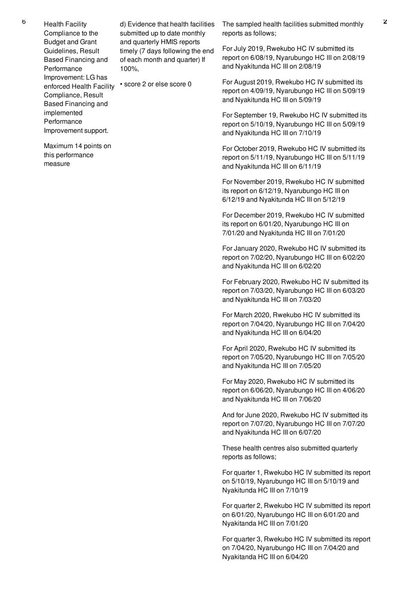<sup>6</sup> Health Facility Compliance to the Budget and Grant Guidelines, Result Based Financing and **Performance** Improvement: LG has enforced Health Facility • score 2 or else score 0 Compliance, Result Based Financing and implemented Performance Improvement support.

> Maximum 14 points on this performance

measure

d) Evidence that health facilities submitted up to date monthly and quarterly HMIS reports timely (7 days following the end of each month and quarter) If 100%,

The sampled health facilities submitted monthly reports as follows;

For July 2019, Rwekubo HC IV submitted its report on 6/08/19, Nyarubungo HC III on 2/08/19 and Nyakitunda HC III on 2/08/19

For August 2019, Rwekubo HC IV submitted its report on 4/09/19, Nyarubungo HC III on 5/09/19 and Nyakitunda HC III on 5/09/19

For September 19, Rwekubo HC IV submitted its report on 5/10/19, Nyarubungo HC III on 5/09/19 and Nyakitunda HC III on 7/10/19

For October 2019, Rwekubo HC IV submitted its report on 5/11/19, Nyarubungo HC III on 5/11/19 and Nyakitunda HC III on 6/11/19

For November 2019, Rwekubo HC IV submitted its report on 6/12/19, Nyarubungo HC III on 6/12/19 and Nyakitunda HC III on 5/12/19

For December 2019, Rwekubo HC IV submitted its report on 6/01/20, Nyarubungo HC III on 7/01/20 and Nyakitunda HC III on 7/01/20

For January 2020, Rwekubo HC IV submitted its report on 7/02/20, Nyarubungo HC III on 6/02/20 and Nyakitunda HC III on 6/02/20

For February 2020, Rwekubo HC IV submitted its report on 7/03/20, Nyarubungo HC III on 6/03/20 and Nyakitunda HC III on 7/03/20

For March 2020, Rwekubo HC IV submitted its report on 7/04/20, Nyarubungo HC III on 7/04/20 and Nyakitunda HC III on 6/04/20

For April 2020, Rwekubo HC IV submitted its report on 7/05/20, Nyarubungo HC III on 7/05/20 and Nyakitunda HC III on 7/05/20

For May 2020, Rwekubo HC IV submitted its report on 6/06/20, Nyarubungo HC III on 4/06/20 and Nyakitunda HC III on 7/06/20

And for June 2020, Rwekubo HC IV submitted its report on 7/07/20, Nyarubungo HC III on 7/07/20 and Nyakitunda HC III on 6/07/20

These health centres also submitted quarterly reports as follows;

For quarter 1, Rwekubo HC IV submitted its report on 5/10/19, Nyarubungo HC III on 5/10/19 and Nyakitunda HC III on 7/10/19

For quarter 2, Rwekubo HC IV submitted its report on 6/01/20, Nyarubungo HC III on 6/01/20 and Nyakitanda HC III on 7/01/20

For quarter 3, Rwekubo HC IV submitted its report on 7/04/20, Nyarubungo HC III on 7/04/20 and Nyakitanda HC III on 6/04/20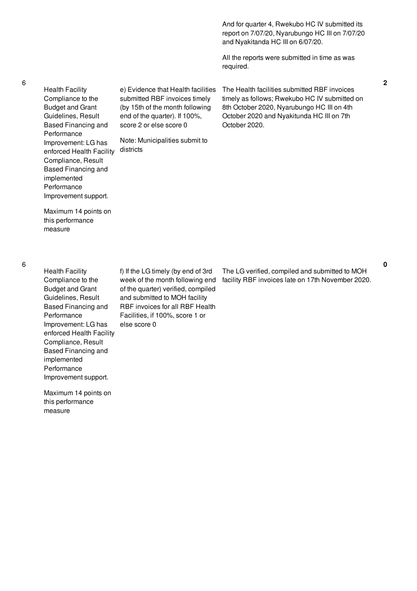And for quarter 4, Rwekubo HC IV submitted its report on 7/07/20, Nyarubungo HC III on 7/07/20 and Nyakitanda HC III on 6/07/20.

All the reports were submitted in time as was required.

The Health facilities submitted RBF invoices timely as follows; Rwekubo HC IV submitted on 8th October 2020, Nyarubungo HC III on 4th October 2020 and Nyakitunda HC III on 7th

October 2020.

Health Facility Compliance to the Budget and Grant Guidelines, Result Based Financing and Performance Improvement: LG has enforced Health Facility districts Compliance, Result Based Financing and implemented Performance Improvement support.

Maximum 14 points on this performance measure

6

6

Health Facility Compliance to the Budget and Grant Guidelines, Result Based Financing and Performance Improvement: LG has enforced Health Facility Compliance, Result Based Financing and implemented **Performance** Improvement support. f) If the LG timely (by end of 3rd

Maximum 14 points on this performance

measure

week of the month following end of the quarter) verified, compiled and submitted to MOH facility RBF invoices for all RBF Health Facilities, if 100%, score 1 or else score 0

e) Evidence that Health facilities submitted RBF invoices timely (by 15th of the month following end of the quarter). If 100%, score 2 or else score 0

Note: Municipalities submit to

The LG verified, compiled and submitted to MOH facility RBF invoices late on 17th November 2020.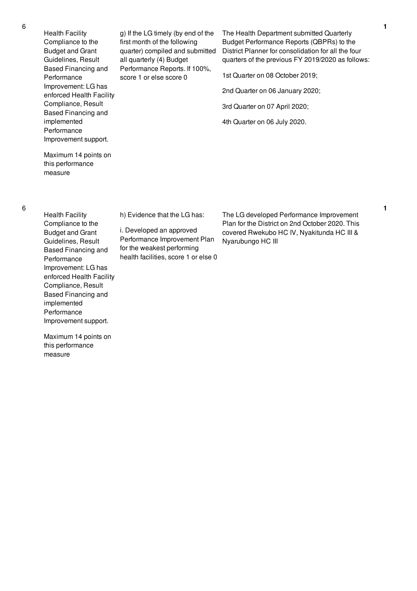Maximum 14 points on this performance measure Health Facility Compliance to the Budget and Grant Guidelines, Result Based Financing and Performance Improvement: LG has enforced Health Facility Compliance, Result Based Financing and implemented

Performance

measure

Improvement support.

Maximum 14 points on this performance

h) Evidence that the LG has:

i. Developed an approved Performance Improvement Plan for the weakest performing health facilities, score 1 or else 0

The LG developed Performance Improvement Plan for the District on 2nd October 2020. This covered Rwekubo HC IV, Nyakitunda HC III & Nyarubungo HC III

The Health Department submitted Quarterly Budget Performance Reports (QBPRs) to the District Planner for consolidation for all the four quarters of the previous FY 2019/2020 as follows:

1st Quarter on 08 October 2019;

2nd Quarter on 06 January 2020;

3rd Quarter on 07 April 2020;

4th Quarter on 06 July 2020.

6

Compliance, Result Based Financing and implemented Performance Improvement support.

Health Facility Compliance to the Budget and Grant Guidelines, Result Based Financing and

Performance

Improvement: LG has enforced Health Facility g) If the LG timely (by end of the first month of the following quarter) compiled and submitted all quarterly (4) Budget Performance Reports. If 100%, score 1 or else score 0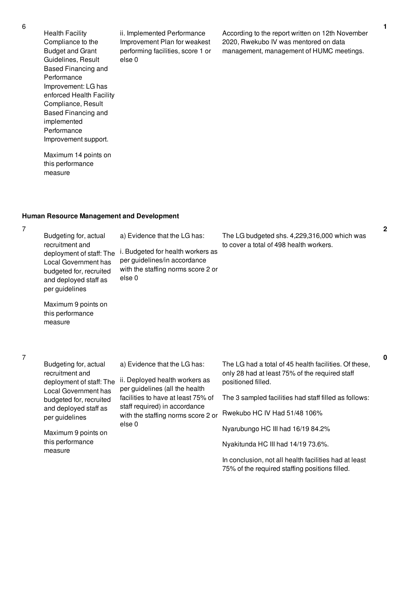Health Facility Compliance to the Budget and Grant Guidelines, Result Based Financing and Performance Improvement: LG has enforced Health Facility Compliance, Result Based Financing and implemented Performance Improvement support.

ii. Implemented Performance Improvement Plan for weakest performing facilities, score 1 or else 0

According to the report written on 12th November 2020, Rwekubo IV was mentored on data management, management of HUMC meetings.

Maximum 14 points on this performance measure

### **Human Resource Management and Development**

7

Budgeting for, actual recruitment and deployment of staff: The i. Budgeted for health workers as Local Government has budgeted for, recruited and deployed staff as per guidelines a) Evidence that the LG has: per guidelines/in accordance with the staffing norms score 2 or else 0 The LG budgeted shs. 4,229,316,000 which was to cover a total of 498 health workers.

Maximum 9 points on this performance measure

## 7

Budgeting for, actual recruitment and deployment of staff: The ii. Deployed health workers as Local Government has budgeted for, recruited and deployed staff as per guidelines Maximum 9 points on this performance measure a) Evidence that the LG has: per guidelines (all the health facilities to have at least 75% of staff required) in accordance with the staffing norms score 2 or else 0 The LG had a total of 45 health facilities. Of these, only 28 had at least 75% of the required staff positioned filled. The 3 sampled facilities had staff filled as follows: Rwekubo HC IV Had 51/48 106% Nyarubungo HC III had 16/19 84.2% Nyakitunda HC III had 14/19 73.6%.

In conclusion, not all health facilities had at least 75% of the required staffing positions filled.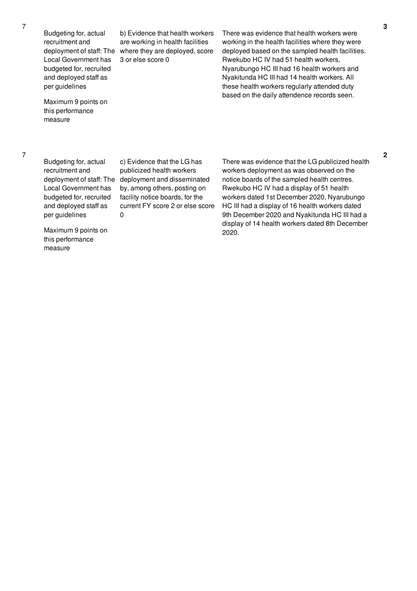Budgeting for, actual recruitment and Local Government has budgeted for, recruited and deployed staff as per guidelines

Maximum 9 points on this performance measure

deployment of staff: The where they are deployed, score b) Evidence that health workers are working in health facilities 3 or else score 0

There was evidence that health workers were working in the health facilities where they were deployed based on the sampled health facilities. Rwekubo HC IV had 51 health workers, Nyarubungo HC III had 16 health workers and Nyakitunda HC III had 14 health workers. All these health workers regularly attended duty based on the daily attendence records seen.

Budgeting for, actual recruitment and Local Government has budgeted for, recruited and deployed staff as per guidelines

deployment of staff: The deployment and disseminated c) Evidence that the LG has publicized health workers by, among others, posting on facility notice boards, for the current FY score 2 or else score 0

There was evidence that the LG publicized health workers deployment as was observed on the notice boards of the sampled health centres. Rwekubo HC IV had a display of 51 health workers dated 1st December 2020, Nyarubungo HC III had a display of 16 health workers dated 9th December 2020 and Nyakitunda HC III had a display of 14 health workers dated 8th December 2020.

Maximum 9 points on this performance measure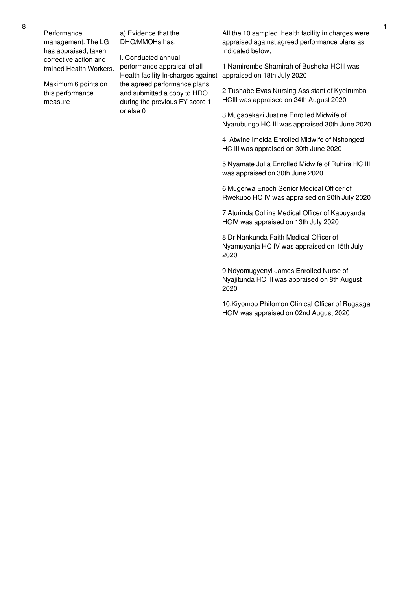Performance management: The LG has appraised, taken corrective action and trained Health Workers.

Maximum 6 points on this performance measure

a) Evidence that the DHO/MMOHs has:

i. Conducted annual performance appraisal of all Health facility In-charges against the agreed performance plans and submitted a copy to HRO during the previous FY score 1 or else 0

All the 10 sampled health facility in charges were appraised against agreed performance plans as indicated below;

1.Namirembe Shamirah of Busheka HCIII was appraised on 18th July 2020

2.Tushabe Evas Nursing Assistant of Kyeirumba HCIII was appraised on 24th August 2020

3.Mugabekazi Justine Enrolled Midwife of Nyarubungo HC III was appraised 30th June 2020

4. Atwine Imelda Enrolled Midwife of Nshongezi HC III was appraised on 30th June 2020

5.Nyamate Julia Enrolled Midwife of Ruhira HC III was appraised on 30th June 2020

6.Mugerwa Enoch Senior Medical Officer of Rwekubo HC IV was appraised on 20th July 2020

7.Aturinda Collins Medical Officer of Kabuyanda HCIV was appraised on 13th July 2020

8.Dr Nankunda Faith Medical Officer of Nyamuyanja HC IV was appraised on 15th July 2020

9.Ndyomugyenyi James Enrolled Nurse of Nyajitunda HC III was appraised on 8th August 2020

10.Kiyombo Philomon Clinical Officer of Rugaaga HCIV was appraised on 02nd August 2020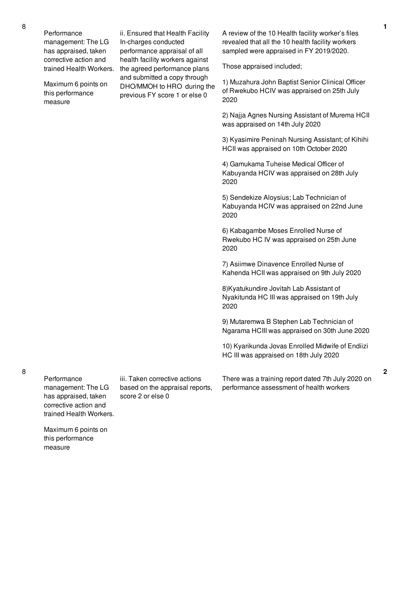Performance management: The LG has appraised, taken corrective action and trained Health Workers.

Maximum 6 points on this performance measure

ii. Ensured that Health Facility In-charges conducted performance appraisal of all health facility workers against the agreed performance plans and submitted a copy through DHO/MMOH to HRO during the previous FY score 1 or else 0

A review of the 10 Health facility worker's files revealed that all the 10 health facility workers sampled were appraised in FY 2019/2020.

Those appraised included;

1) Muzahura John Baptist Senior Clinical Officer of Rwekubo HCIV was appraised on 25th July 2020

2) Najja Agnes Nursing Assistant of Murema HCII was appraised on 14th July 2020

3) Kyasimire Peninah Nursing Assistant; of Kihihi HCII was appraised on 10th October 2020

4) Gamukama Tuheise Medical Officer of Kabuyanda HCIV was appraised on 28th July 2020

5) Sendekize Aloysius; Lab Technician of Kabuyanda HCIV was appraised on 22nd June 2020

6) Kabagambe Moses Enrolled Nurse of Rwekubo HC IV was appraised on 25th June 2020

7) Asiimwe Dinavence Enrolled Nurse of Kahenda HCII was appraised on 9th July 2020

8)Kyatukundire Jovitah Lab Assistant of Nyakitunda HC III was appraised on 19th July 2020

9) Mutaremwa B Stephen Lab Technician of Ngarama HCIII was appraised on 30th June 2020

10) Kyarikunda Jovas Enrolled Midwife of Endiizi HC III was appraised on 18th July 2020

There was a training report dated 7th July 2020 on performance assessment of health workers

**Performance** management: The LG has appraised, taken corrective action and

8

iii. Taken corrective actions based on the appraisal reports, score 2 or else 0

trained Health Workers. Maximum 6 points on this performance

measure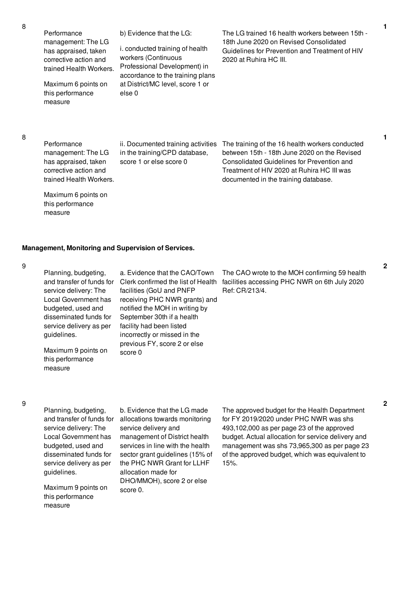Performance management: The LG has appraised, taken corrective action and trained Health Workers.

Maximum 6 points on this performance measure

b) Evidence that the LG:

i. conducted training of health workers (Continuous Professional Development) in accordance to the training plans at District/MC level, score 1 or else 0

The LG trained 16 health workers between 15th - 18th June 2020 on Revised Consolidated Guidelines for Prevention and Treatment of HIV 2020 at Ruhira HC III.

8

Performance management: The LG has appraised, taken corrective action and trained Health Workers.

Maximum 6 points on this performance measure

ii. Documented training activities in the training/CPD database, score 1 or else score 0

The training of the 16 health workers conducted between 15th - 18th June 2020 on the Revised Consolidated Guidelines for Prevention and Treatment of HIV 2020 at Ruhira HC III was documented in the training database.

## **Management, Monitoring and Supervision of Services.**

9

| Planning, budgeting,<br>and transfer of funds for<br>service delivery: The<br>Local Government has<br>budgeted, used and<br>disseminated funds for<br>service delivery as per<br>guidelines. | a. Evidence that the CAO/Town<br>Clerk confirmed the list of Health<br>facilities (GoU and PNFP<br>receiving PHC NWR grants) and<br>notified the MOH in writing by<br>September 30th if a health<br>facility had been listed<br>incorrectly or missed in the | The CAO wrote to the MOH confirming 59 health<br>facilities accessing PHC NWR on 6th July 2020<br>Ref: CR/213/4. |
|----------------------------------------------------------------------------------------------------------------------------------------------------------------------------------------------|--------------------------------------------------------------------------------------------------------------------------------------------------------------------------------------------------------------------------------------------------------------|------------------------------------------------------------------------------------------------------------------|
| Maximum 9 points on<br>this performance                                                                                                                                                      | previous FY, score 2 or else<br>score 0                                                                                                                                                                                                                      |                                                                                                                  |

### 9

Planning, budgeting, and transfer of funds for service delivery: The Local Government has budgeted, used and disseminated funds for service delivery as per guidelines.

measure

Maximum 9 points on this performance measure

b. Evidence that the LG made allocations towards monitoring service delivery and management of District health services in line with the health sector grant guidelines (15% of the PHC NWR Grant for LLHF allocation made for DHO/MMOH), score 2 or else score 0.

The approved budget for the Health Department for FY 2019/2020 under PHC NWR was shs 493,102,000 as per page 23 of the approved budget. Actual allocation for service delivery and management was shs 73,965,300 as per page 23 of the approved budget, which was equivalent to 15%.

**1**

**1**

**2**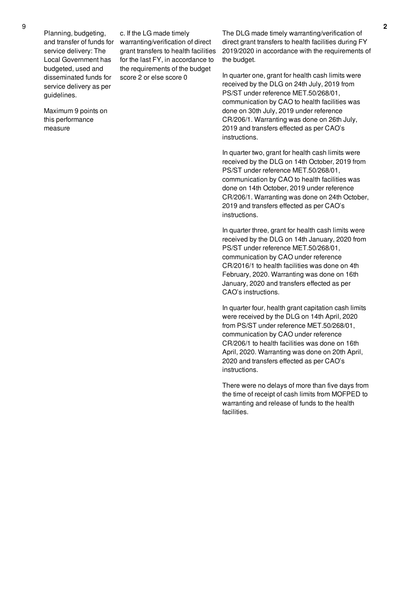Planning, budgeting, and transfer of funds for service delivery: The Local Government has budgeted, used and disseminated funds for service delivery as per guidelines.

c. If the LG made timely warranting/verification of direct grant transfers to health facilities for the last FY, in accordance to the requirements of the budget score 2 or else score 0

Maximum 9 points on this performance measure

The DLG made timely warranting/verification of direct grant transfers to health facilities during FY 2019/2020 in accordance with the requirements of the budget.

In quarter one, grant for health cash limits were received by the DLG on 24th July, 2019 from PS/ST under reference MET.50/268/01, communication by CAO to health facilities was done on 30th July, 2019 under reference CR/206/1. Warranting was done on 26th July, 2019 and transfers effected as per CAO's instructions.

In quarter two, grant for health cash limits were received by the DLG on 14th October, 2019 from PS/ST under reference MET.50/268/01, communication by CAO to health facilities was done on 14th October, 2019 under reference CR/206/1. Warranting was done on 24th October, 2019 and transfers effected as per CAO's instructions.

In quarter three, grant for health cash limits were received by the DLG on 14th January, 2020 from PS/ST under reference MET.50/268/01, communication by CAO under reference CR/2016/1 to health facilities was done on 4th February, 2020. Warranting was done on 16th January, 2020 and transfers effected as per CAO's instructions.

In quarter four, health grant capitation cash limits were received by the DLG on 14th April, 2020 from PS/ST under reference MET.50/268/01, communication by CAO under reference CR/206/1 to health facilities was done on 16th April, 2020. Warranting was done on 20th April, 2020 and transfers effected as per CAO's instructions.

There were no delays of more than five days from the time of receipt of cash limits from MOFPED to warranting and release of funds to the health facilities.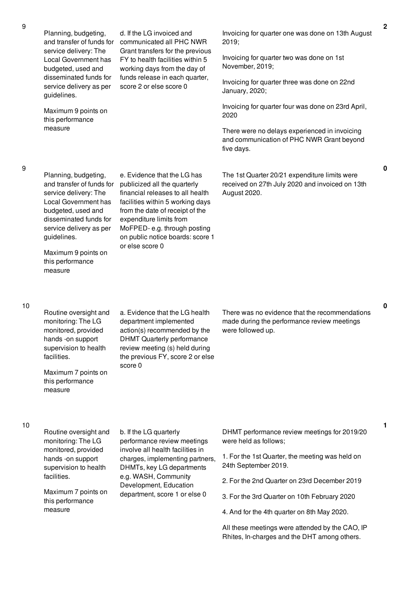| Local Government has<br>budgeted, used and<br>disseminated funds for<br>service delivery as per<br>guidelines.<br>Maximum 9 points on                                                                                                                     | FY to health facilities within 5<br>working days from the day of<br>funds release in each quarter,<br>score 2 or else score 0                                                                                                                                                           | Invoicing for quarter two was done on 1st<br>November, 2019;<br>Invoicing for quarter three was done on 22nd<br>January, 2020;                                                                                                                                                                  |
|-----------------------------------------------------------------------------------------------------------------------------------------------------------------------------------------------------------------------------------------------------------|-----------------------------------------------------------------------------------------------------------------------------------------------------------------------------------------------------------------------------------------------------------------------------------------|-------------------------------------------------------------------------------------------------------------------------------------------------------------------------------------------------------------------------------------------------------------------------------------------------|
|                                                                                                                                                                                                                                                           |                                                                                                                                                                                                                                                                                         |                                                                                                                                                                                                                                                                                                 |
|                                                                                                                                                                                                                                                           |                                                                                                                                                                                                                                                                                         |                                                                                                                                                                                                                                                                                                 |
| this performance                                                                                                                                                                                                                                          |                                                                                                                                                                                                                                                                                         | Invoicing for quarter four was done on 23rd April,<br>2020                                                                                                                                                                                                                                      |
| measure                                                                                                                                                                                                                                                   |                                                                                                                                                                                                                                                                                         | There were no delays experienced in invoicing<br>and communication of PHC NWR Grant beyond<br>five days.                                                                                                                                                                                        |
| Planning, budgeting,<br>and transfer of funds for<br>service delivery: The<br><b>Local Government has</b><br>budgeted, used and<br>disseminated funds for<br>service delivery as per<br>guidelines.<br>Maximum 9 points on<br>this performance<br>measure | e. Evidence that the LG has<br>publicized all the quarterly<br>financial releases to all health<br>facilities within 5 working days<br>from the date of receipt of the<br>expenditure limits from<br>MoFPED-e.g. through posting<br>on public notice boards: score 1<br>or else score 0 | The 1st Quarter 20/21 expenditure limits were<br>received on 27th July 2020 and invoiced on 13th<br>August 2020.                                                                                                                                                                                |
| Routine oversight and<br>monitoring: The LG<br>monitored, provided<br>hands -on support<br>supervision to health<br>facilities.<br>Maximum 7 points on<br>this performance<br>measure                                                                     | a. Evidence that the LG health<br>department implemented<br>action(s) recommended by the<br><b>DHMT Quarterly performance</b><br>review meeting (s) held during<br>the previous FY, score 2 or else<br>score 0                                                                          | There was no evidence that the recommendations<br>made during the performance review meetings<br>were followed up.                                                                                                                                                                              |
| Routine oversight and<br>monitoring: The LG<br>monitored, provided<br>hands -on support<br>supervision to health<br>facilities.<br>Maximum 7 points on<br>this performance                                                                                | b. If the LG quarterly<br>performance review meetings<br>involve all health facilities in<br>charges, implementing partners,<br>DHMTs, key LG departments<br>e.g. WASH, Community<br>Development, Education<br>department, score 1 or else 0                                            | DHMT performance review meetings for 2019/20<br>were held as follows;<br>1. For the 1st Quarter, the meeting was held on<br>24th September 2019.<br>2. For the 2nd Quarter on 23rd December 2019<br>3. For the 3rd Quarter on 10th February 2020<br>4. And for the 4th quarter on 8th May 2020. |
|                                                                                                                                                                                                                                                           |                                                                                                                                                                                                                                                                                         |                                                                                                                                                                                                                                                                                                 |

**0**

**0**

**1**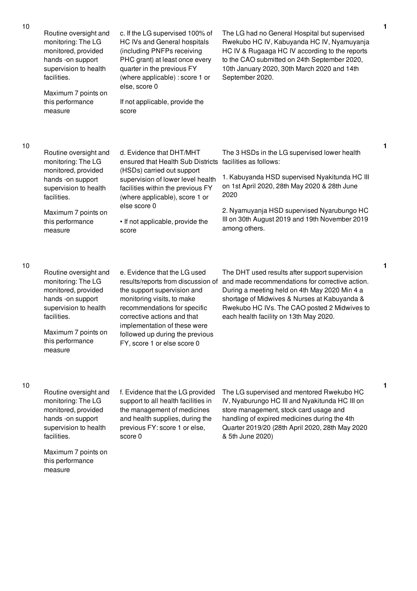| 10 | Routine oversight and<br>monitoring: The LG<br>monitored, provided<br>hands -on support<br>supervision to health<br>facilities.<br>Maximum 7 points on<br>this performance<br>measure | c. If the LG supervised 100% of<br>HC IVs and General hospitals<br>(including PNFPs receiving<br>PHC grant) at least once every<br>quarter in the previous FY<br>(where applicable) : score 1 or<br>else, score 0<br>If not applicable, provide the<br>score                                     | The LG had no General Hospital but supervised<br>Rwekubo HC IV, Kabuyanda HC IV, Nyamuyanja<br>HC IV & Rugaaga HC IV according to the reports<br>to the CAO submitted on 24th September 2020,<br>10th January 2020, 30th March 2020 and 14th<br>September 2020.                                  | 1 |
|----|---------------------------------------------------------------------------------------------------------------------------------------------------------------------------------------|--------------------------------------------------------------------------------------------------------------------------------------------------------------------------------------------------------------------------------------------------------------------------------------------------|--------------------------------------------------------------------------------------------------------------------------------------------------------------------------------------------------------------------------------------------------------------------------------------------------|---|
| 10 | Routine oversight and<br>monitoring: The LG<br>monitored, provided<br>hands -on support<br>supervision to health<br>facilities.<br>Maximum 7 points on<br>this performance<br>measure | d. Evidence that DHT/MHT<br>ensured that Health Sub Districts<br>(HSDs) carried out support<br>supervision of lower level health<br>facilities within the previous FY<br>(where applicable), score 1 or<br>else score 0<br>• If not applicable, provide the<br>score                             | The 3 HSDs in the LG supervised lower health<br>facilities as follows:<br>1. Kabuyanda HSD supervised Nyakitunda HC III<br>on 1st April 2020, 28th May 2020 & 28th June<br>2020<br>2. Nyamuyanja HSD supervised Nyarubungo HC<br>III on 30th August 2019 and 19th November 2019<br>among others. | 1 |
| 10 | Routine oversight and<br>monitoring: The LG<br>monitored, provided<br>hands -on support<br>supervision to health<br>facilities.<br>Maximum 7 points on<br>this performance<br>measure | e. Evidence that the LG used<br>results/reports from discussion of<br>the support supervision and<br>monitoring visits, to make<br>recommendations for specific<br>corrective actions and that<br>implementation of these were<br>followed up during the previous<br>FY, score 1 or else score 0 | The DHT used results after support supervision<br>and made recommendations for corrective action.<br>During a meeting held on 4th May 2020 Min 4 a<br>shortage of Midwives & Nurses at Kabuyanda &<br>Rwekubo HC IVs. The CAO posted 2 Midwives to<br>each health facility on 13th May 2020.     | 1 |
| 10 |                                                                                                                                                                                       |                                                                                                                                                                                                                                                                                                  |                                                                                                                                                                                                                                                                                                  | 1 |

Routine oversight and monitoring: The LG monitored, provided hands -on support supervision to health facilities. f. Evidence that the LG provided support to all health facilities in the management of medicines and health supplies, during the previous FY: score 1 or else, score 0 The LG supervised and mentored Rwekubo HC IV, Nyaburungo HC III and Nyakitunda HC III on store management, stock card usage and handling of expired medicines during the 4th Quarter 2019/20 (28th April 2020, 28th May 2020 & 5th June 2020)

Maximum 7 points on this performance measure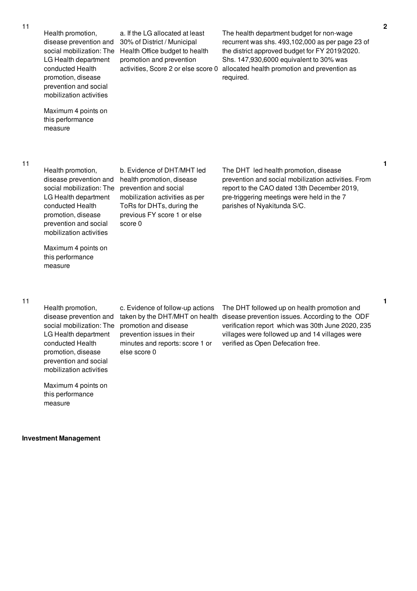| 11 | Health promotion,<br>disease prevention and<br>social mobilization: The<br>LG Health department<br>conducted Health<br>promotion, disease<br>prevention and social<br>mobilization activities | a. If the LG allocated at least<br>30% of District / Municipal<br>Health Office budget to health<br>promotion and prevention<br>activities, Score 2 or else score 0                       | The health department budget for non-wage<br>recurrent was shs. 493,102,000 as per page 23 of<br>the district approved budget for FY 2019/2020.<br>Shs. 147,930,6000 equivalent to 30% was<br>allocated health promotion and prevention as<br>required. |
|----|-----------------------------------------------------------------------------------------------------------------------------------------------------------------------------------------------|-------------------------------------------------------------------------------------------------------------------------------------------------------------------------------------------|---------------------------------------------------------------------------------------------------------------------------------------------------------------------------------------------------------------------------------------------------------|
|    | Maximum 4 points on<br>this performance<br>measure                                                                                                                                            |                                                                                                                                                                                           |                                                                                                                                                                                                                                                         |
| 11 | Health promotion,<br>disease prevention and<br>social mobilization: The<br>LG Health department<br>conducted Health<br>promotion, disease<br>prevention and social<br>mobilization activities | b. Evidence of DHT/MHT led<br>health promotion, disease<br>prevention and social<br>mobilization activities as per<br>ToRs for DHTs, during the<br>previous FY score 1 or else<br>score 0 | The DHT led health promotion, disease<br>prevention and social mobilization activities. From<br>report to the CAO dated 13th December 2019,<br>pre-triggering meetings were held in the 7<br>parishes of Nyakitunda S/C.                                |

Health promotion, disease prevention and LG Health department conducted Health promotion, disease prevention and social mobilization activities

Maximum 4 points on this performance

measure

Maximum 4 points on this performance measure

**Investment Management**

social mobilization: The promotion and disease c. Evidence of follow-up actions prevention issues in their minutes and reports: score 1 or else score 0

taken by the DHT/MHT on health disease prevention issues. According to the ODF The DHT followed up on health promotion and verification report which was 30th June 2020, 235 villages were followed up and 14 villages were verified as Open Defecation free.

**1**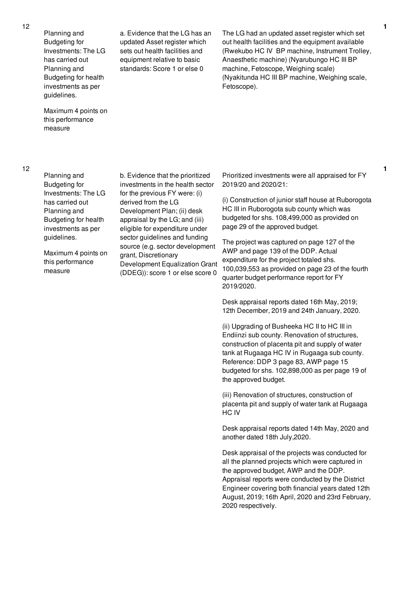Planning and Budgeting for Investments: The LG has carried out Planning and Budgeting for health investments as per guidelines.

Maximum 4 points on this performance measure

12

Planning and Budgeting for Investments: The LG has carried out Planning and Budgeting for health investments as per guidelines.

Maximum 4 points on this performance measure

sets out health facilities and equipment relative to basic standards: Score 1 or else 0

a. Evidence that the LG has an updated Asset register which

The LG had an updated asset register which set out health facilities and the equipment available (Rwekubo HC IV BP machine, Instrument Trolley, Anaesthetic machine) (Nyarubungo HC III BP machine, Fetoscope, Weighing scale) (Nyakitunda HC III BP machine, Weighing scale, Fetoscope).

b. Evidence that the prioritized investments in the health sector for the previous FY were: (i) derived from the LG Development Plan; (ii) desk appraisal by the LG; and (iii) eligible for expenditure under sector guidelines and funding source (e.g. sector development grant, Discretionary Development Equalization Grant (DDEG)): score 1 or else score 0

Prioritized investments were all appraised for FY 2019/20 and 2020/21:

(i) Construction of junior staff house at Ruborogota HC III in Ruborogota sub county which was budgeted for shs. 108,499,000 as provided on page 29 of the approved budget.

The project was captured on page 127 of the AWP and page 139 of the DDP. Actual expenditure for the project totaled shs. 100,039,553 as provided on page 23 of the fourth quarter budget performance report for FY 2019/2020.

Desk appraisal reports dated 16th May, 2019; 12th December, 2019 and 24th January, 2020.

(ii) Upgrading of Busheeka HC II to HC III in Endiinzi sub county. Renovation of structures, construction of placenta pit and supply of water tank at Rugaaga HC IV in Rugaaga sub county. Reference: DDP 3 page 83, AWP page 15 budgeted for shs. 102,898,000 as per page 19 of the approved budget.

(iii) Renovation of structures, construction of placenta pit and supply of water tank at Rugaaga HC IV

Desk appraisal reports dated 14th May, 2020 and another dated 18th July,2020.

Desk appraisal of the projects was conducted for all the planned projects which were captured in the approved budget, AWP and the DDP. Appraisal reports were conducted by the District Engineer covering both financial years dated 12th August, 2019; 16th April, 2020 and 23rd February, 2020 respectively.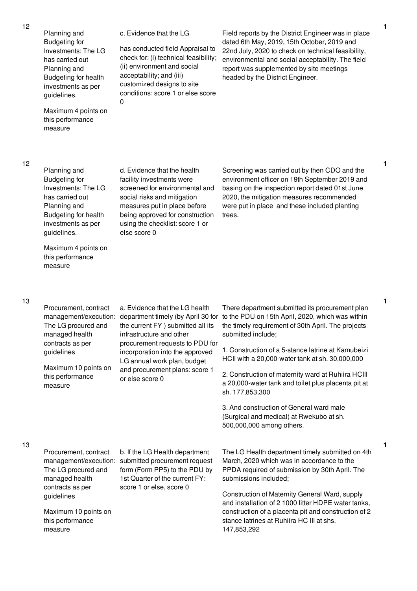Planning and Budgeting for Investments: The LG has carried out Planning and Budgeting for health investments as per guidelines.

Maximum 4 points on this performance measure

c. Evidence that the LG

has conducted field Appraisal to check for: (i) technical feasibility; (ii) environment and social acceptability; and (iii) customized designs to site conditions: score 1 or else score 0

Field reports by the District Engineer was in place dated 6th May, 2019, 15th October, 2019 and 22nd July, 2020 to check on technical feasibility, environmental and social acceptability. The field report was supplemented by site meetings headed by the District Engineer.

12

Planning and Budgeting for Investments: The LG has carried out Planning and Budgeting for health investments as per guidelines.

Maximum 4 points on this performance measure

d. Evidence that the health facility investments were screened for environmental and social risks and mitigation measures put in place before being approved for construction using the checklist: score 1 or else score 0

Screening was carried out by then CDO and the environment officer on 19th September 2019 and basing on the inspection report dated 01st June 2020, the mitigation measures recommended were put in place and these included planting trees.

### 13

13

| Procurement, contract<br>management/execution:<br>The LG procured and<br>managed health<br>contracts as per<br>guidelines<br>Maximum 10 points on<br>this performance<br>measure | a. Evidence that the LG health<br>department timely (by April 30 for<br>the current FY ) submitted all its<br>infrastructure and other<br>procurement requests to PDU for<br>incorporation into the approved<br>LG annual work plan, budget<br>and procurement plans: score 1<br>or else score 0 | There department submitted its procurement plan<br>to the PDU on 15th April, 2020, which was within<br>the timely requirement of 30th April. The projects<br>submitted include;<br>1. Construction of a 5-stance latrine at Kamubeizi<br>HCII with a 20,000-water tank at sh. 30,000,000<br>2. Construction of maternity ward at Ruhiira HCIII<br>a 20,000-water tank and toilet plus placenta pit at<br>sh. 177,853,300 |
|----------------------------------------------------------------------------------------------------------------------------------------------------------------------------------|--------------------------------------------------------------------------------------------------------------------------------------------------------------------------------------------------------------------------------------------------------------------------------------------------|--------------------------------------------------------------------------------------------------------------------------------------------------------------------------------------------------------------------------------------------------------------------------------------------------------------------------------------------------------------------------------------------------------------------------|
|                                                                                                                                                                                  |                                                                                                                                                                                                                                                                                                  | 3. And construction of General ward male<br>(Surgical and medical) at Rwekubo at sh.<br>500,000,000 among others.                                                                                                                                                                                                                                                                                                        |
| Procurement, contract<br>management/execution:<br>The LG procured and<br>managed health<br>contracts as per                                                                      | b. If the LG Health department<br>submitted procurement request<br>form (Form PP5) to the PDU by<br>1st Quarter of the current FY:<br>score 1 or else, score 0                                                                                                                                   | The LG Health department timely submitted on 4th<br>March, 2020 which was in accordance to the<br>PPDA required of submission by 30th April. The<br>submissions included;                                                                                                                                                                                                                                                |
| guidelines<br>Maximum 10 points on<br>this performance<br>measure                                                                                                                |                                                                                                                                                                                                                                                                                                  | Construction of Maternity General Ward, supply<br>and installation of 2 1000 litter HDPE water tanks,<br>construction of a placenta pit and construction of 2<br>stance latrines at Ruhiira HC III at shs.<br>147,853,292                                                                                                                                                                                                |

**1**

**1**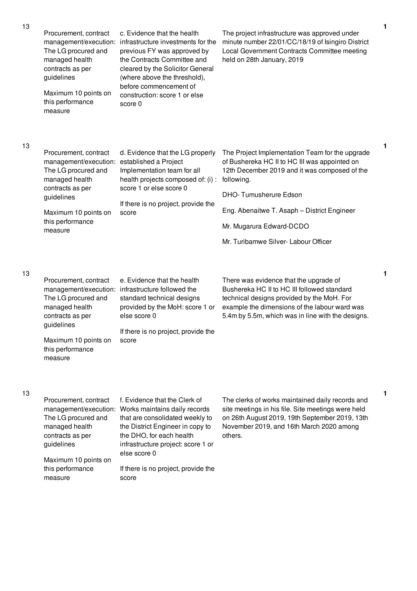|  | Procurement, contract<br>management/execution:<br>The LG procured and<br>managed health<br>contracts as per<br>guidelines<br>Maximum 10 points on<br>this performance<br>measure                       | c. Evidence that the health<br>infrastructure investments for the<br>previous FY was approved by<br>the Contracts Committee and<br>cleared by the Solicitor General<br>(where above the threshold),<br>before commencement of<br>construction: score 1 or else<br>score 0 | The project infrastructure was approved under<br>minute number 22/01/CC/18/19 of Isingiro District<br>Local Government Contracts Committee meeting<br>held on 28th January, 2019 |
|--|--------------------------------------------------------------------------------------------------------------------------------------------------------------------------------------------------------|---------------------------------------------------------------------------------------------------------------------------------------------------------------------------------------------------------------------------------------------------------------------------|----------------------------------------------------------------------------------------------------------------------------------------------------------------------------------|
|  | Procurement, contract<br>management/execution: established a Project<br>The LG procured and<br>managed health<br>contracts as per<br>guidelines<br>Maximum 10 points on<br>this performance<br>measure | d. Evidence that the LG properly<br>Implementation team for all<br>health projects composed of: (i) :<br>score 1 or else score 0<br>If there is no project, provide the<br>score                                                                                          | The Project Implementation Team for the upgrade<br>of Bushereka HC II to HC III was appointed on<br>12th December 2019 and it was composed of the<br>following.                  |
|  |                                                                                                                                                                                                        |                                                                                                                                                                                                                                                                           | DHO-Tumusherure Edson                                                                                                                                                            |
|  |                                                                                                                                                                                                        |                                                                                                                                                                                                                                                                           | Eng. Abenaitwe T. Asaph - District Engineer                                                                                                                                      |
|  |                                                                                                                                                                                                        |                                                                                                                                                                                                                                                                           | Mr. Mugarura Edward-DCDO                                                                                                                                                         |
|  |                                                                                                                                                                                                        |                                                                                                                                                                                                                                                                           | Mr. Turibamwe Silver-Labour Officer                                                                                                                                              |
|  |                                                                                                                                                                                                        |                                                                                                                                                                                                                                                                           |                                                                                                                                                                                  |
|  |                                                                                                                                                                                                        |                                                                                                                                                                                                                                                                           |                                                                                                                                                                                  |

| Procurement, contract | e. Evidence that the health                       | There was evidence that the upgrade of            |
|-----------------------|---------------------------------------------------|---------------------------------------------------|
|                       | management/execution: infrastructure followed the | Bushereka HC II to HC III followed standard       |
| The LG procured and   | standard technical designs                        | technical designs provided by the MoH. For        |
| managed health        | provided by the MoH: score 1 or                   | example the dimensions of the labour ward was     |
| contracts as per      | else score 0                                      | 5.4m by 5.5m, which was in line with the designs. |
| guidelines            |                                                   |                                                   |
|                       | If there is no project, provide the               |                                                   |
| Maximum 10 points on  | score                                             |                                                   |
| this performance      |                                                   |                                                   |
| measure               |                                                   |                                                   |

13

13

|                       | f. Evidence that the Clerk of       | The clerks of work   |
|-----------------------|-------------------------------------|----------------------|
| Procurement, contract |                                     |                      |
| management/execution: | Works maintains daily records       | site meetings in his |
| The LG procured and   | that are consolidated weekly to     | on 26th August 20    |
| managed health        | the District Engineer in copy to    | November 2019, a     |
| contracts as per      | the DHO, for each health            | others.              |
| guidelines            | infrastructure project: score 1 or  |                      |
|                       | else score 0                        |                      |
| Maximum 10 points on  |                                     |                      |
| this performance      | If there is no project, provide the |                      |
| measure               | score                               |                      |
|                       |                                     |                      |

s maintained daily records and site meetings in his file. Site meetings were held on 26th August 2019, 19th September 2019, 13th and 16th March 2020 among

**1**

**1**

**1**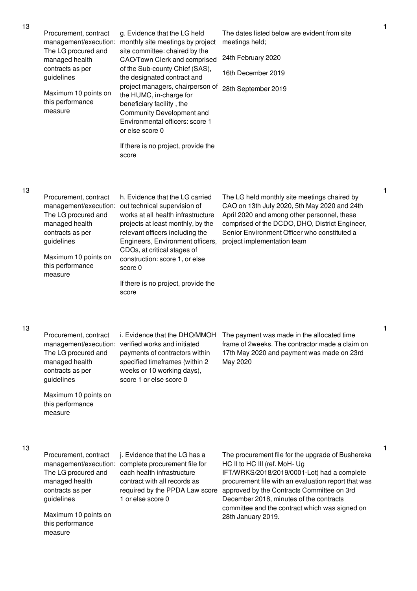| 13 | Procurement, contract<br>The LG procured and<br>managed health<br>contracts as per<br>guidelines<br>Maximum 10 points on<br>this performance<br>measure | g. Evidence that the LG held<br>management/execution: monthly site meetings by project<br>site committee: chaired by the<br>CAO/Town Clerk and comprised<br>of the Sub-county Chief (SAS),<br>the designated contract and<br>project managers, chairperson of<br>the HUMC, in-charge for<br>beneficiary facility, the<br>Community Development and<br>Environmental officers: score 1<br>or else score 0<br>If there is no project, provide the<br>score | The dates listed below are evident from site<br>meetings held;<br>24th February 2020<br>16th December 2019<br>28th September 2019                                                                                                                                                                                                                         | 1 |
|----|---------------------------------------------------------------------------------------------------------------------------------------------------------|----------------------------------------------------------------------------------------------------------------------------------------------------------------------------------------------------------------------------------------------------------------------------------------------------------------------------------------------------------------------------------------------------------------------------------------------------------|-----------------------------------------------------------------------------------------------------------------------------------------------------------------------------------------------------------------------------------------------------------------------------------------------------------------------------------------------------------|---|
| 13 | Procurement, contract<br>The LG procured and<br>managed health<br>contracts as per<br>guidelines<br>Maximum 10 points on<br>this performance<br>measure | h. Evidence that the LG carried<br>management/execution: out technical supervision of<br>works at all health infrastructure<br>projects at least monthly, by the<br>relevant officers including the<br>Engineers, Environment officers,<br>CDOs, at critical stages of<br>construction: score 1, or else<br>score 0<br>If there is no project, provide the<br>score                                                                                      | The LG held monthly site meetings chaired by<br>CAO on 13th July 2020, 5th May 2020 and 24th<br>April 2020 and among other personnel, these<br>comprised of the DCDO, DHO, District Engineer,<br>Senior Environment Officer who constituted a<br>project implementation team                                                                              | 1 |
| 13 | The LG procured and<br>managed health<br>contracts as per<br>guidelines<br>Maximum 10 points on<br>this performance<br>measure                          | management/execution: verified works and initiated<br>payments of contractors within<br>specified timeframes (within 2<br>weeks or 10 working days),<br>score 1 or else score 0                                                                                                                                                                                                                                                                          | Procurement, contract i. Evidence that the DHO/MMOH The payment was made in the allocated time<br>frame of 2weeks. The contractor made a claim on<br>17th May 2020 and payment was made on 23rd<br>May 2020                                                                                                                                               | 1 |
| 13 | Procurement, contract<br>The LG procured and<br>managed health<br>contracts as per<br>guidelines<br>Maximum 10 points on<br>this performance<br>measure | j. Evidence that the LG has a<br>management/execution: complete procurement file for<br>each health infrastructure<br>contract with all records as<br>required by the PPDA Law score<br>1 or else score 0                                                                                                                                                                                                                                                | The procurement file for the upgrade of Bushereka<br>HC II to HC III (ref. MoH- Ug<br>IFT/WRKS/2018/2019/0001-Lot) had a complete<br>procurement file with an evaluation report that was<br>approved by the Contracts Committee on 3rd<br>December 2018, minutes of the contracts<br>committee and the contract which was signed on<br>28th January 2019. | 1 |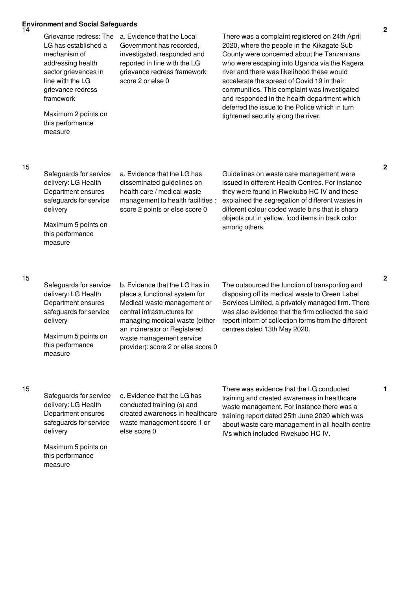# **Environment and Social Safeguards** 14

Grievance redress: The LG has established a mechanism of addressing health sector grievances in line with the LG grievance redress framework

a. Evidence that the Local Government has recorded, investigated, responded and reported in line with the LG grievance redress framework score 2 or else 0

Maximum 2 points on this performance measure

There was a complaint registered on 24th April 2020, where the people in the Kikagate Sub County were concerned about the Tanzanians who were escaping into Uganda via the Kagera river and there was likelihood these would accelerate the spread of Covid 19 in their communities. This complaint was investigated and responded in the health department which deferred the issue to the Police which in turn tightened security along the river.

## 15

Safeguards for service delivery: LG Health Department ensures safeguards for service delivery

Maximum 5 points on this performance

measure

a. Evidence that the LG has disseminated guidelines on health care / medical waste management to health facilities : score 2 points or else score 0

issued in different Health Centres. For instance they were found in Rwekubo HC IV and these explained the segregation of different wastes in different colour coded waste bins that is sharp objects put in yellow, food items in back color among others.

Guidelines on waste care management were

### 15

Safeguards for service delivery: LG Health Department ensures safeguards for service delivery

Maximum 5 points on this performance measure

b. Evidence that the LG has in place a functional system for Medical waste management or central infrastructures for managing medical waste (either an incinerator or Registered waste management service provider): score 2 or else score 0

The outsourced the function of transporting and disposing off its medical waste to Green Label Services Limited, a privately managed firm. There was also evidence that the firm collected the said report inform of collection forms from the different centres dated 13th May 2020.

## 15

Safeguards for service delivery: LG Health Department ensures safeguards for service delivery

c. Evidence that the LG has conducted training (s) and created awareness in healthcare waste management score 1 or else score 0

There was evidence that the LG conducted training and created awareness in healthcare waste management. For instance there was a training report dated 25th June 2020 which was about waste care management in all health centre IVs which included Rwekubo HC IV.

Maximum 5 points on this performance measure

**2**

**2**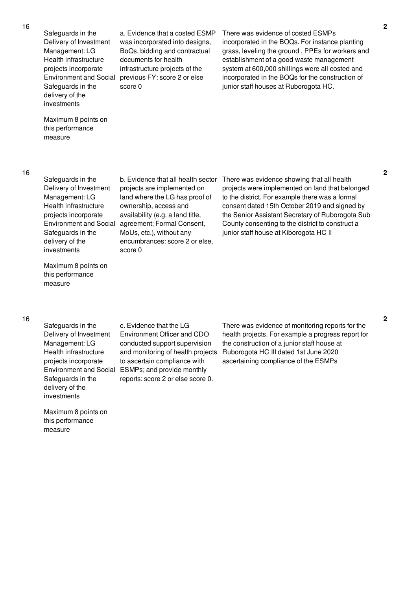Safeguards in the Delivery of Investment Management: LG Health infrastructure projects incorporate Safeguards in the delivery of the investments

Environment and Social previous FY: score 2 or else a. Evidence that a costed ESMP was incorporated into designs, BoQs, bidding and contractual documents for health infrastructure projects of the score 0

There was evidence of costed ESMPs incorporated in the BOQs. For instance planting grass, leveling the ground , PPEs for workers and establishment of a good waste management system at 600,000 shillings were all costed and incorporated in the BOQs for the construction of junior staff houses at Ruborogota HC.

Maximum 8 points on this performance measure

16

Safeguards in the Delivery of Investment Management: LG Health infrastructure projects incorporate Safeguards in the delivery of the investments

Maximum 8 points on this performance measure

Environment and Social agreement; Formal Consent, b. Evidence that all health sector projects are implemented on land where the LG has proof of ownership, access and availability (e.g. a land title, MoUs, etc.), without any encumbrances: score 2 or else, score 0

There was evidence showing that all health projects were implemented on land that belonged to the district. For example there was a formal consent dated 15th October 2019 and signed by the Senior Assistant Secretary of Ruborogota Sub County consenting to the district to construct a junior staff house at Kiborogota HC II

### 16

Safeguards in the Delivery of Investment Management: LG Health infrastructure projects incorporate Environment and Social Safeguards in the delivery of the investments

Maximum 8 points on this performance measure

c. Evidence that the LG Environment Officer and CDO conducted support supervision and monitoring of health projects to ascertain compliance with ESMPs; and provide monthly reports: score 2 or else score 0.

There was evidence of monitoring reports for the health projects. For example a progress report for the construction of a junior staff house at Ruborogota HC III dated 1st June 2020 ascertaining compliance of the ESMPs

**2**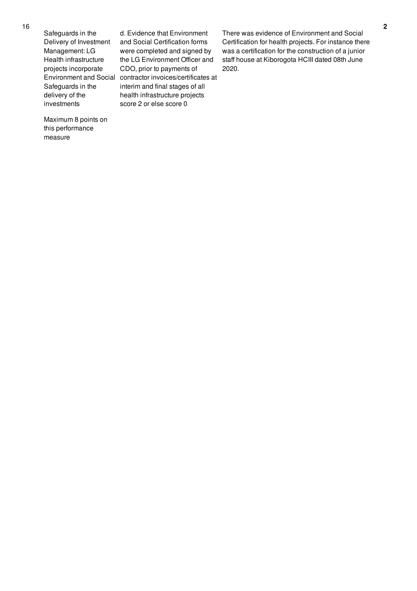Safeguards in the Delivery of Investment Management: LG Health infrastructure projects incorporate Safeguards in the delivery of the investments

Environment and Social contractor invoices/certificates at d. Evidence that Environment and Social Certification forms were completed and signed by the LG Environment Officer and CDO, prior to payments of interim and final stages of all health infrastructure projects score 2 or else score 0

There was evidence of Environment and Social Certification for health projects. For instance there was a certification for the construction of a junior staff house at Kiborogota HCIII dated 08th June 2020.

Maximum 8 points on this performance measure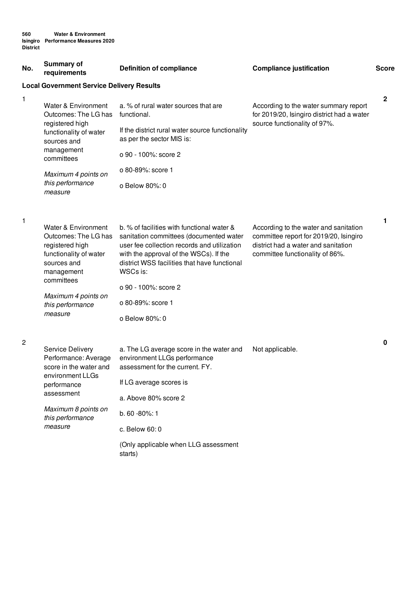| No.          | <b>Summary of</b><br>requirements                                                                                                   | <b>Definition of compliance</b>                                                                                                                                                                                                            | <b>Compliance justification</b>                                                                                                                           | <b>Score</b> |
|--------------|-------------------------------------------------------------------------------------------------------------------------------------|--------------------------------------------------------------------------------------------------------------------------------------------------------------------------------------------------------------------------------------------|-----------------------------------------------------------------------------------------------------------------------------------------------------------|--------------|
|              | <b>Local Government Service Delivery Results</b>                                                                                    |                                                                                                                                                                                                                                            |                                                                                                                                                           |              |
| $\mathbf{1}$ | Water & Environment<br>Outcomes: The LG has<br>registered high                                                                      | a. % of rural water sources that are<br>functional.                                                                                                                                                                                        | According to the water summary report<br>for 2019/20, Isingiro district had a water<br>source functionality of 97%.                                       | $\mathbf 2$  |
|              | functionality of water<br>sources and                                                                                               | If the district rural water source functionality<br>as per the sector MIS is:                                                                                                                                                              |                                                                                                                                                           |              |
|              | management<br>committees                                                                                                            | o 90 - 100%: score 2                                                                                                                                                                                                                       |                                                                                                                                                           |              |
|              | Maximum 4 points on                                                                                                                 | o 80-89%: score 1                                                                                                                                                                                                                          |                                                                                                                                                           |              |
|              | this performance<br>measure                                                                                                         | o Below 80%: 0                                                                                                                                                                                                                             |                                                                                                                                                           |              |
| 1            |                                                                                                                                     |                                                                                                                                                                                                                                            |                                                                                                                                                           | 1            |
|              | Water & Environment<br>Outcomes: The LG has<br>registered high<br>functionality of water<br>sources and<br>management<br>committees | b. % of facilities with functional water &<br>sanitation committees (documented water<br>user fee collection records and utilization<br>with the approval of the WSCs). If the<br>district WSS facilities that have functional<br>WSCs is: | According to the water and sanitation<br>committee report for 2019/20, Isingiro<br>district had a water and sanitation<br>committee functionality of 86%. |              |
|              |                                                                                                                                     | o 90 - 100%: score 2                                                                                                                                                                                                                       |                                                                                                                                                           |              |
|              | Maximum 4 points on<br>this performance                                                                                             | o 80-89%: score 1                                                                                                                                                                                                                          |                                                                                                                                                           |              |
|              | measure                                                                                                                             | o Below 80%: 0                                                                                                                                                                                                                             |                                                                                                                                                           |              |
| 2            | Service Delivery<br>Performance: Average<br>score in the water and                                                                  | a. The LG average score in the water and<br>environment LLGs performance<br>assessment for the current. FY.                                                                                                                                | Not applicable.                                                                                                                                           | 0            |
|              | environment LLGs<br>performance                                                                                                     | If LG average scores is                                                                                                                                                                                                                    |                                                                                                                                                           |              |
|              | assessment                                                                                                                          | a. Above 80% score 2                                                                                                                                                                                                                       |                                                                                                                                                           |              |
|              | Maximum 8 points on<br>this performance                                                                                             | b. 60 - 80%: 1                                                                                                                                                                                                                             |                                                                                                                                                           |              |
|              | measure                                                                                                                             | c. Below 60: 0                                                                                                                                                                                                                             |                                                                                                                                                           |              |
|              |                                                                                                                                     | (Only applicable when LLG assessment<br>starts)                                                                                                                                                                                            |                                                                                                                                                           |              |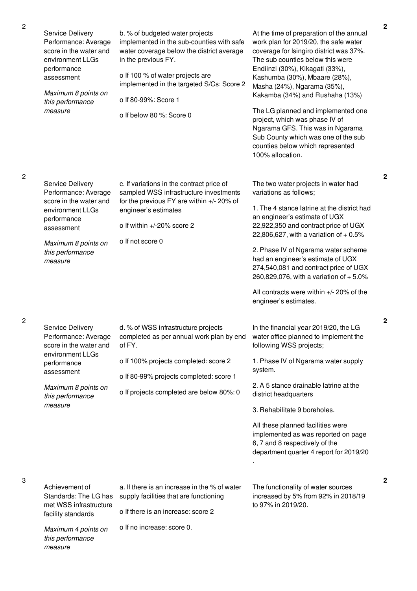| Service Delivery<br>Performance: Average<br>score in the water and<br>environment LLGs<br>performance<br>assessment<br>Maximum 8 points on<br>this performance<br>measure | b. % of budgeted water projects<br>implemented in the sub-counties with safe<br>water coverage below the district average<br>in the previous FY.<br>o If 100 % of water projects are<br>implemented in the targeted S/Cs: Score 2<br>o If 80-99%: Score 1<br>o If below 80 %: Score 0 | At the time of preparation of the annual<br>work plan for 2019/20, the safe water<br>coverage for Isingiro district was 37%.<br>The sub counties below this were<br>Endiinzi (30%), Kikagati (33%),<br>Kashumba (30%), Mbaare (28%),<br>Masha (24%), Ngarama (35%),<br>Kakamba (34%) and Rushaha (13%)<br>The LG planned and implemented one<br>project, which was phase IV of<br>Ngarama GFS. This was in Ngarama<br>Sub County which was one of the sub<br>counties below which represented<br>100% allocation. |
|---------------------------------------------------------------------------------------------------------------------------------------------------------------------------|---------------------------------------------------------------------------------------------------------------------------------------------------------------------------------------------------------------------------------------------------------------------------------------|-------------------------------------------------------------------------------------------------------------------------------------------------------------------------------------------------------------------------------------------------------------------------------------------------------------------------------------------------------------------------------------------------------------------------------------------------------------------------------------------------------------------|
| Service Delivery<br>Performance: Average<br>score in the water and<br>environment LLGs<br>performance<br>assessment<br>Maximum 8 points on<br>this performance<br>measure | c. If variations in the contract price of<br>sampled WSS infrastructure investments<br>for the previous FY are within +/- 20% of<br>engineer's estimates<br>o If within +/-20% score 2<br>o If not score 0                                                                            | The two water projects in water had<br>variations as follows;<br>1. The 4 stance latrine at the district had<br>an engineer's estimate of UGX<br>22,922,350 and contract price of UGX<br>22,806,627, with a variation of $+0.5%$<br>2. Phase IV of Ngarama water scheme<br>had an engineer's estimate of UGX<br>274,540,081 and contract price of UGX<br>260,829,076, with a variation of $+5.0\%$<br>All contracts were within +/- 20% of the<br>engineer's estimates.                                           |
| Service Delivery<br>Performance: Average<br>score in the water and<br>environment LLGs<br>performance<br>assessment<br>Maximum 8 points on<br>this performance<br>measure | d. % of WSS infrastructure projects<br>completed as per annual work plan by end<br>of FY.<br>o If 100% projects completed: score 2<br>o If 80-99% projects completed: score 1<br>o If projects completed are below 80%: 0                                                             | In the financial year 2019/20, the LG<br>water office planned to implement the<br>following WSS projects;<br>1. Phase IV of Ngarama water supply<br>system.<br>2. A 5 stance drainable latrine at the<br>district headquarters<br>3. Rehabilitate 9 boreholes.<br>All these planned facilities were<br>implemented as was reported on page<br>6, 7 and 8 respectively of the<br>department quarter 4 report for 2019/20                                                                                           |
| Achievement of<br>Standards: The LG has<br>met WSS infrastructure<br>facility standards<br>Maximum 4 points on<br>this performance                                        | a. If there is an increase in the % of water<br>supply facilities that are functioning<br>o If there is an increase: score 2<br>o If no increase: score 0.                                                                                                                            | The functionality of water sources<br>increased by 5% from 92% in 2018/19<br>to 97% in 2019/20.                                                                                                                                                                                                                                                                                                                                                                                                                   |

2

**2**

**2**

**2**

**2**

3

*measure*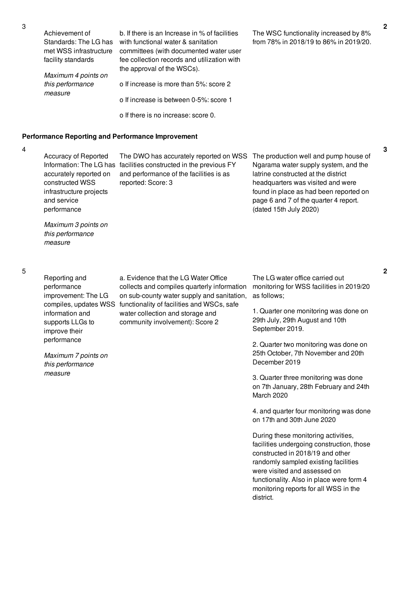| Achievement of<br>Standards: The LG has<br>met WSS infrastructure<br>facility standards | b. If there is an Increase in % of facilities<br>with functional water & sanitation<br>committees (with documented water user<br>fee collection records and utilization with<br>the approval of the WSCs). |
|-----------------------------------------------------------------------------------------|------------------------------------------------------------------------------------------------------------------------------------------------------------------------------------------------------------|
| Maximum 4 points on<br>this performance                                                 | o If increase is more than 5%: score 2                                                                                                                                                                     |
| measure                                                                                 | o If increase is between 0-5%; score 1                                                                                                                                                                     |
|                                                                                         | o If there is no increase: score 0.                                                                                                                                                                        |

## **Performance Reporting and Performance Improvement**

4

Accuracy of Reported accurately reported on constructed WSS infrastructure projects and service performance

Information: The LG has facilities constructed in the previous FY and performance of the facilities is as reported: Score: 3

The DWO has accurately reported on WSS The production well and pump house of Ngarama water supply system, and the latrine constructed at the district headquarters was visited and were found in place as had been reported on page 6 and 7 of the quarter 4 report. (dated 15th July 2020)

The WSC functionality increased by 8% from 78% in 2018/19 to 86% in 2019/20.

*Maximum 3 points on this performance measure*

5

Reporting and performance improvement: The LG information and supports LLGs to improve their performance

*Maximum 7 points on this performance*

*measure*

compiles, updates WSS functionality of facilities and WSCs, safe a. Evidence that the LG Water Office collects and compiles quarterly information on sub-county water supply and sanitation, water collection and storage and community involvement): Score 2

The LG water office carried out monitoring for WSS facilities in 2019/20 as follows;

1. Quarter one monitoring was done on 29th July, 29th August and 10th September 2019.

2. Quarter two monitoring was done on 25th October, 7th November and 20th December 2019

3. Quarter three monitoring was done on 7th January, 28th February and 24th March 2020

4. and quarter four monitoring was done on 17th and 30th June 2020

During these monitoring activities, facilities undergoing construction, those constructed in 2018/19 and other randomly sampled existing facilities were visited and assessed on functionality. Also in place were form 4 monitoring reports for all WSS in the district.

**2**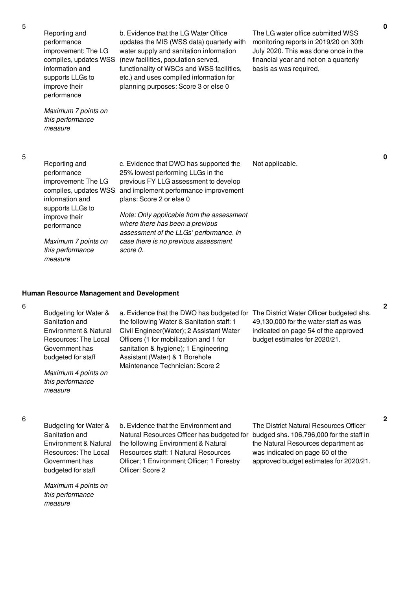| Reporting and       |
|---------------------|
| performance         |
| improvement: The LG |
|                     |

information and supports LLGs to improve their performance

compiles, updates WSS (new facilities, population served, b. Evidence that the LG Water Office updates the MIS (WSS data) quarterly with water supply and sanitation information functionality of WSCs and WSS facilities, etc.) and uses compiled information for planning purposes: Score 3 or else 0

The LG water office submitted WSS monitoring reports in 2019/20 on 30th July 2020. This was done once in the financial year and not on a quarterly basis as was required.

*Maximum 7 points on this performance measure*

5

5

| Reporting and<br>performance<br>improvement: The LG<br>compiles, updates WSS<br>information and | c. Evidence that DWO has supported the<br>25% lowest performing LLGs in the<br>previous FY LLG assessment to develop<br>and implement performance improvement<br>plans: Score 2 or else 0 | Not applicable. |
|-------------------------------------------------------------------------------------------------|-------------------------------------------------------------------------------------------------------------------------------------------------------------------------------------------|-----------------|
| supports LLGs to<br>improve their<br>performance                                                | Note: Only applicable from the assessment<br>where there has been a previous<br>assessment of the LLGs' performance. In                                                                   |                 |
| Maximum 7 points on<br>this performance<br>measure                                              | case there is no previous assessment<br>score 0.                                                                                                                                          |                 |

### **Human Resource Management and Development**

#### 6

Budgeting for Water & Sanitation and Environment & Natural Resources: The Local Government has budgeted for staff *Maximum 4 points on this performance measure* a. Evidence that the DWO has budgeted for The District Water Officer budgeted shs. the following Water & Sanitation staff: 1 Civil Engineer(Water); 2 Assistant Water Officers (1 for mobilization and 1 for sanitation & hygiene); 1 Engineering Assistant (Water) & 1 Borehole Maintenance Technician: Score 2 49,130,000 for the water staff as was indicated on page 54 of the approved budget estimates for 2020/21.

6

Budgeting for Water & Sanitation and Environment & Natural Resources: The Local Government has budgeted for staff

*Maximum 4 points on this performance measure*

b. Evidence that the Environment and Natural Resources Officer has budgeted for budged shs. 106,796,000 for the staff in the following Environment & Natural Resources staff: 1 Natural Resources Officer; 1 Environment Officer; 1 Forestry Officer: Score 2

The District Natural Resources Officer the Natural Resources department as was indicated on page 60 of the approved budget estimates for 2020/21. **2**

**0**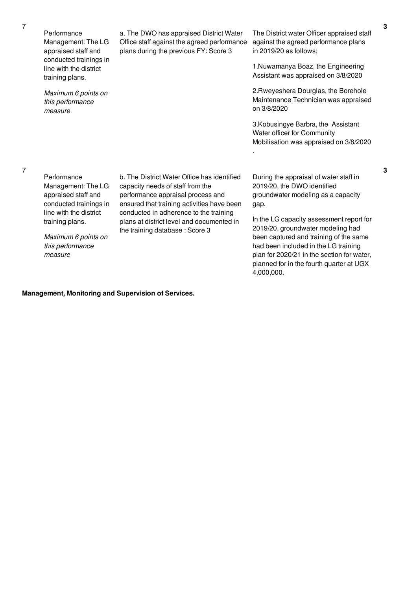*measure*

Performance Management: The LG appraised staff and conducted trainings in line with the district training plans. *Maximum 6 points on this performance measure* a. The DWO has appraised District Water Office staff against the agreed performance plans during the previous FY: Score 3 The District water Officer appraised staff against the agreed performance plans in 2019/20 as follows; 1.Nuwamanya Boaz, the Engineering Assistant was appraised on 3/8/2020 2.Rweyeshera Dourglas, the Borehole Maintenance Technician was appraised on 3/8/2020 3.Kobusingye Barbra, the Assistant Water officer for Community Mobilisation was appraised on 3/8/2020 . Performance Management: The LG appraised staff and conducted trainings in line with the district training plans. *Maximum 6 points on this performance* b. The District Water Office has identified capacity needs of staff from the performance appraisal process and ensured that training activities have been conducted in adherence to the training plans at district level and documented in the training database : Score 3 During the appraisal of water staff in 2019/20, the DWO identified groundwater modeling as a capacity gap. In the LG capacity assessment report for 2019/20, groundwater modeling had been captured and training of the same had been included in the LG training

## **Management, Monitoring and Supervision of Services.**

**3**

**3**

plan for 2020/21 in the section for water, planned for in the fourth quarter at UGX

4,000,000.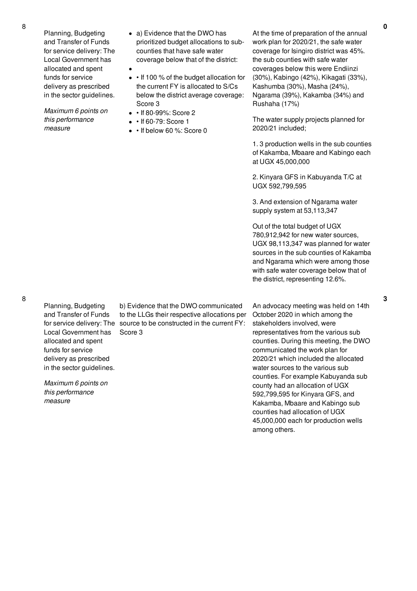Planning, Budgeting and Transfer of Funds for service delivery: The Local Government has allocated and spent funds for service delivery as prescribed in the sector guidelines.

*Maximum 6 points on this performance measure*

- a) Evidence that the DWO has prioritized budget allocations to subcounties that have safe water coverage below that of the district:
- If 100 % of the budget allocation for the current FY is allocated to S/Cs below the district average coverage: Score 3
- If 80-99%: Score 2
- $\bullet$   $\cdot$  If 60-79: Score 1
- If below 60 %: Score 0

At the time of preparation of the annual work plan for 2020/21, the safe water coverage for Isingiro district was 45%. the sub counties with safe water coverages below this were Endiinzi (30%), Kabingo (42%), Kikagati (33%), Kashumba (30%), Masha (24%), Ngarama (39%), Kakamba (34%) and Rushaha (17%)

The water supply projects planned for 2020/21 included;

1. 3 production wells in the sub counties of Kakamba, Mbaare and Kabingo each at UGX 45,000,000

2. Kinyara GFS in Kabuyanda T/C at UGX 592,799,595

3. And extension of Ngarama water supply system at 53,113,347

Out of the total budget of UGX 780,912,942 for new water sources, UGX 98,113,347 was planned for water sources in the sub counties of Kakamba and Ngarama which were among those with safe water coverage below that of the district, representing 12.6%.

An advocacy meeting was held on 14th October 2020 in which among the stakeholders involved, were representatives from the various sub counties. During this meeting, the DWO communicated the work plan for 2020/21 which included the allocated water sources to the various sub counties. For example Kabuyanda sub county had an allocation of UGX 592,799,595 for Kinyara GFS, and Kakamba, Mbaare and Kabingo sub counties had allocation of UGX 45,000,000 each for production wells among others.

Planning, Budgeting and Transfer of Funds Local Government has allocated and spent funds for service delivery as prescribed in the sector guidelines.

*Maximum 6 points on this performance measure*

for service delivery: The source to be constructed in the current FY: b) Evidence that the DWO communicated to the LLGs their respective allocations per Score 3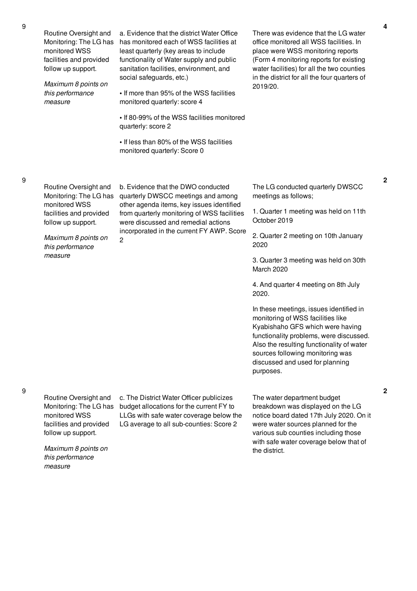| Routine Oversight and<br>Monitoring: The LG has<br>monitored WSS<br>facilities and provided<br>follow up support.<br>Maximum 8 points on<br>this performance<br>measure | a. Evidence that the district Water Office<br>has monitored each of WSS facilities at<br>least quarterly (key areas to include<br>functionality of Water supply and public<br>sanitation facilities, environment, and<br>social safeguards, etc.)<br>. If more than 95% of the WSS facilities<br>monitored quarterly: score 4<br>• If 80-99% of the WSS facilities monitored<br>quarterly: score 2<br>. If less than 80% of the WSS facilities<br>monitored quarterly: Score 0 | There was evidence that the LG water<br>office monitored all WSS facilities. In<br>place were WSS monitoring reports<br>(Form 4 monitoring reports for existing<br>water facilities) for all the two counties<br>in the district for all the four quarters of<br>2019/20.                                                                                                                                                                                                                                                                                                 |
|-------------------------------------------------------------------------------------------------------------------------------------------------------------------------|--------------------------------------------------------------------------------------------------------------------------------------------------------------------------------------------------------------------------------------------------------------------------------------------------------------------------------------------------------------------------------------------------------------------------------------------------------------------------------|---------------------------------------------------------------------------------------------------------------------------------------------------------------------------------------------------------------------------------------------------------------------------------------------------------------------------------------------------------------------------------------------------------------------------------------------------------------------------------------------------------------------------------------------------------------------------|
| Routine Oversight and<br>Monitoring: The LG has<br>monitored WSS<br>facilities and provided<br>follow up support.<br>Maximum 8 points on<br>this performance<br>measure | b. Evidence that the DWO conducted<br>quarterly DWSCC meetings and among<br>other agenda items, key issues identified<br>from quarterly monitoring of WSS facilities<br>were discussed and remedial actions<br>incorporated in the current FY AWP. Score<br>$\overline{c}$                                                                                                                                                                                                     | The LG conducted quarterly DWSCC<br>meetings as follows;<br>1. Quarter 1 meeting was held on 11th<br>October 2019<br>2. Quarter 2 meeting on 10th January<br>2020<br>3. Quarter 3 meeting was held on 30th<br>March 2020<br>4. And quarter 4 meeting on 8th July<br>2020.<br>In these meetings, issues identified in<br>monitoring of WSS facilities like<br>Kyabishaho GFS which were having<br>functionality problems, were discussed.<br>Also the resulting functionality of water<br>sources following monitoring was<br>discussed and used for planning<br>purposes. |
| Routine Oversight and<br>Monitoring: The LG has<br>monitored WSS<br>facilities and provided<br>follow up support.<br>Maximum 8 points on<br>this performance<br>measure | c. The District Water Officer publicizes<br>budget allocations for the current FY to<br>LLGs with safe water coverage below the<br>LG average to all sub-counties: Score 2                                                                                                                                                                                                                                                                                                     | The water department budget<br>breakdown was displayed on the LG<br>notice board dated 17th July 2020. On it<br>were water sources planned for the<br>various sub counties including those<br>with safe water coverage below that of<br>the district.                                                                                                                                                                                                                                                                                                                     |

**2**

**2**

9

9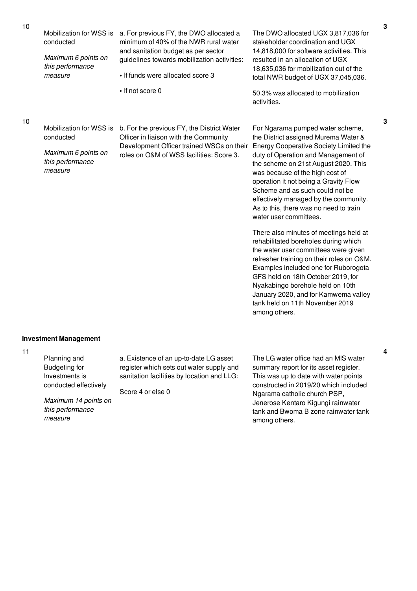| 10 | Mobilization for WSS is<br>conducted<br>Maximum 6 points on<br>this performance<br>measure                                             | a. For previous FY, the DWO allocated a<br>minimum of 40% of the NWR rural water<br>and sanitation budget as per sector<br>guidelines towards mobilization activities:<br>• If funds were allocated score 3<br>• If not score 0 | The DWO allocated UGX 3,817,036 for<br>stakeholder coordination and UGX<br>14,818,000 for software activities. This<br>resulted in an allocation of UGX<br>18,635,036 for mobilization out of the<br>total NWR budget of UGX 37,045,036.<br>50.3% was allocated to mobilization<br>activities.                                                                                    |
|----|----------------------------------------------------------------------------------------------------------------------------------------|---------------------------------------------------------------------------------------------------------------------------------------------------------------------------------------------------------------------------------|-----------------------------------------------------------------------------------------------------------------------------------------------------------------------------------------------------------------------------------------------------------------------------------------------------------------------------------------------------------------------------------|
| 10 | Mobilization for WSS is<br>conducted                                                                                                   | b. For the previous FY, the District Water<br>Officer in liaison with the Community                                                                                                                                             | For Ngarama pumped water scheme,<br>the District assigned Murema Water &                                                                                                                                                                                                                                                                                                          |
|    | Maximum 6 points on<br>this performance<br>measure                                                                                     | Development Officer trained WSCs on their<br>roles on O&M of WSS facilities: Score 3.                                                                                                                                           | Energy Cooperative Society Limited the<br>duty of Operation and Management of<br>the scheme on 21st August 2020. This<br>was because of the high cost of<br>operation it not being a Gravity Flow<br>Scheme and as such could not be<br>effectively managed by the community.<br>As to this, there was no need to train<br>water user committees.                                 |
|    |                                                                                                                                        |                                                                                                                                                                                                                                 | There also minutes of meetings held at<br>rehabilitated boreholes during which<br>the water user committees were given<br>refresher training on their roles on O&M.<br>Examples included one for Ruborogota<br>GFS held on 18th October 2019, for<br>Nyakabingo borehole held on 10th<br>January 2020, and for Kamwema valley<br>tank held on 11th November 2019<br>among others. |
|    | <b>Investment Management</b>                                                                                                           |                                                                                                                                                                                                                                 |                                                                                                                                                                                                                                                                                                                                                                                   |
| 11 | Planning and<br><b>Budgeting for</b><br>Investments is<br>conducted effectively<br>Maximum 14 points on<br>this performance<br>measure | a. Existence of an up-to-date LG asset<br>register which sets out water supply and<br>sanitation facilities by location and LLG:<br>Score 4 or else 0                                                                           | The LG water office had an MIS water<br>summary report for its asset register.<br>This was up to date with water points<br>constructed in 2019/20 which included<br>Ngarama catholic church PSP,<br>Jenerose Kentaro Kigungi rainwater<br>tank and Bwoma B zone rainwater tank<br>among others.                                                                                   |

**3**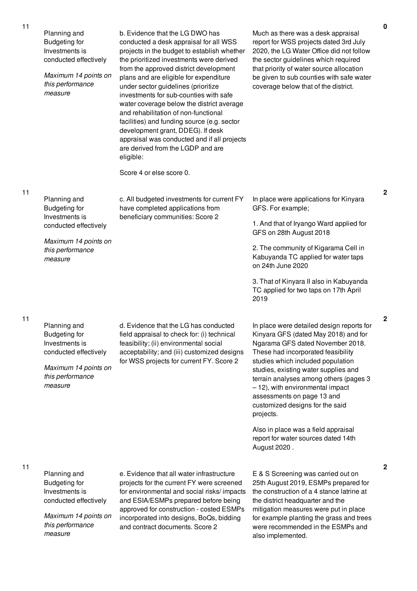| Planning and<br><b>Budgeting for</b><br>Investments is<br>conducted effectively<br>Maximum 14 points on<br>this performance<br>measure | b. Evidence that the LG DWO has<br>conducted a desk appraisal for all WSS<br>projects in the budget to establish whether<br>the prioritized investments were derived<br>from the approved district development<br>plans and are eligible for expenditure<br>under sector guidelines (prioritize<br>investments for sub-counties with safe<br>water coverage below the district average<br>and rehabilitation of non-functional<br>facilities) and funding source (e.g. sector<br>development grant, DDEG). If desk<br>appraisal was conducted and if all projects<br>are derived from the LGDP and are<br>eligible:<br>Score 4 or else score 0. | Much as there was a desk appraisal<br>report for WSS projects dated 3rd July<br>2020, the LG Water Office did not follow<br>the sector guidelines which required<br>that priority of water source allocation<br>be given to sub counties with safe water<br>coverage below that of the district.                                                                                                                                                                                                   |
|----------------------------------------------------------------------------------------------------------------------------------------|-------------------------------------------------------------------------------------------------------------------------------------------------------------------------------------------------------------------------------------------------------------------------------------------------------------------------------------------------------------------------------------------------------------------------------------------------------------------------------------------------------------------------------------------------------------------------------------------------------------------------------------------------|----------------------------------------------------------------------------------------------------------------------------------------------------------------------------------------------------------------------------------------------------------------------------------------------------------------------------------------------------------------------------------------------------------------------------------------------------------------------------------------------------|
| Planning and<br><b>Budgeting for</b><br>Investments is<br>conducted effectively<br>Maximum 14 points on<br>this performance<br>measure | c. All budgeted investments for current FY<br>have completed applications from<br>beneficiary communities: Score 2                                                                                                                                                                                                                                                                                                                                                                                                                                                                                                                              | In place were applications for Kinyara<br>GFS. For example;<br>1. And that of Iryango Ward applied for<br>GFS on 28th August 2018<br>2. The community of Kigarama Cell in<br>Kabuyanda TC applied for water taps<br>on 24th June 2020<br>3. That of Kinyara II also in Kabuyanda<br>TC applied for two taps on 17th April<br>2019                                                                                                                                                                  |
| Planning and<br><b>Budgeting for</b><br>Investments is<br>conducted effectively<br>Maximum 14 points on<br>this performance<br>measure | d. Evidence that the LG has conducted<br>field appraisal to check for: (i) technical<br>feasibility; (ii) environmental social<br>acceptability; and (iii) customized designs<br>for WSS projects for current FY. Score 2                                                                                                                                                                                                                                                                                                                                                                                                                       | In place were detailed design reports for<br>Kinyara GFS (dated May 2018) and for<br>Ngarama GFS dated November 2018.<br>These had incorporated feasibility<br>studies which included population<br>studies, existing water supplies and<br>terrain analyses among others (pages 3<br>- 12), with environmental impact<br>assessments on page 13 and<br>customized designs for the said<br>projects.<br>Also in place was a field appraisal<br>report for water sources dated 14th<br>August 2020. |
| Planning and<br><b>Budgeting for</b><br>Investments is<br>conducted effectively<br>Maximum 14 points on<br>this performance<br>measure | e. Evidence that all water infrastructure<br>projects for the current FY were screened<br>for environmental and social risks/impacts<br>and ESIA/ESMPs prepared before being<br>approved for construction - costed ESMPs<br>incorporated into designs, BoQs, bidding<br>and contract documents. Score 2                                                                                                                                                                                                                                                                                                                                         | E & S Screening was carried out on<br>25th August 2019, ESMPs prepared for<br>the construction of a 4 stance latrine at<br>the district headquarter and the<br>mitigation measures were put in place<br>for example planting the grass and trees<br>were recommended in the ESMPs and<br>also implemented.                                                                                                                                                                                         |

11

11

11

**2**

**2**

**2**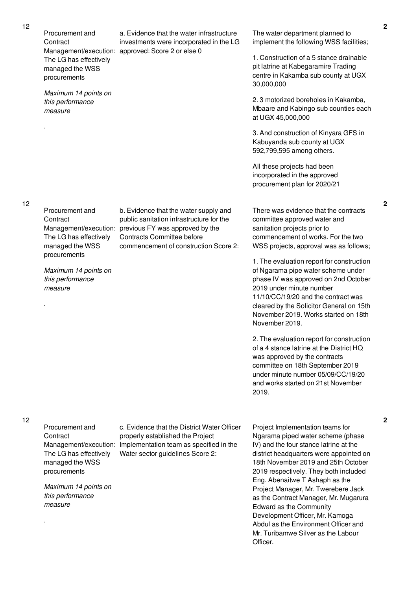Procurement and **Contract** Management/execution: approved: Score 2 or else 0 The LG has effectively managed the WSS procurements

*Maximum 14 points on this performance measure*

Procurement and

The LG has effectively managed the WSS procurements

*Maximum 14 points on this performance*

Management/execution: previous FY was approved by the

b. Evidence that the water supply and public sanitation infrastructure for the

commencement of construction Score 2:

Contracts Committee before

**Contract** 

*measure*

.

.

12

a. Evidence that the water infrastructure investments were incorporated in the LG The water department planned to implement the following WSS facilities;

> 1. Construction of a 5 stance drainable pit latrine at Kabegaramire Trading centre in Kakamba sub county at UGX 30,000,000

2. 3 motorized boreholes in Kakamba, Mbaare and Kabingo sub counties each at UGX 45,000,000

3. And construction of Kinyara GFS in Kabuyanda sub county at UGX 592,799,595 among others.

All these projects had been incorporated in the approved procurement plan for 2020/21

There was evidence that the contracts committee approved water and sanitation projects prior to commencement of works. For the two WSS projects, approval was as follows;

1. The evaluation report for construction of Ngarama pipe water scheme under phase IV was approved on 2nd October 2019 under minute number 11/10/CC/19/20 and the contract was cleared by the Solicitor General on 15th November 2019. Works started on 18th November 2019.

2. The evaluation report for construction of a 4 stance latrine at the District HQ was approved by the contracts committee on 18th September 2019 under minute number 05/09/CC/19/20 and works started on 21st November 2019.

12

Procurement and **Contract** Management/execution: Implementation team as specified in the The LG has effectively managed the WSS procurements *Maximum 14 points on this performance measure* . c. Evidence that the District Water Officer properly established the Project Water sector guidelines Score 2: Project Implementation teams for

Ngarama piped water scheme (phase IV) and the four stance latrine at the district headquarters were appointed on 18th November 2019 and 25th October 2019 respectively. They both included Eng. Abenaitwe T Ashaph as the Project Manager, Mr. Twerebere Jack as the Contract Manager, Mr. Mugarura Edward as the Community Development Officer, Mr. Kamoga Abdul as the Environment Officer and Mr. Turibamwe Silver as the Labour Officer.

**2**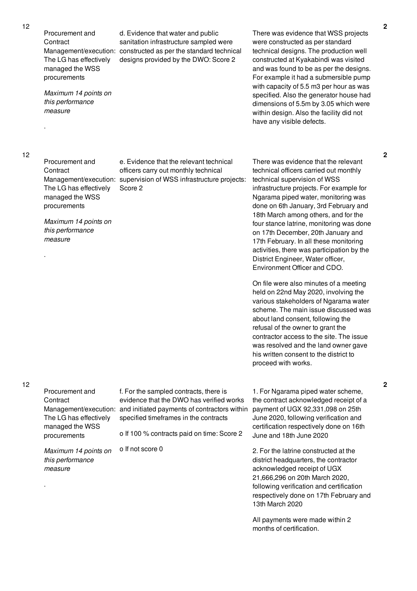12

12

Procurement and **Contract** Management/execution: constructed as per the standard technical The LG has effectively managed the WSS procurements *Maximum 14 points on this performance measure* . d. Evidence that water and public sanitation infrastructure sampled were designs provided by the DWO: Score 2 There was evidence that WSS projects were constructed as per standard technical designs. The production well constructed at Kyakabindi was visited and was found to be as per the designs. For example it had a submersible pump with capacity of 5.5 m3 per hour as was specified. Also the generator house had dimensions of 5.5m by 3.05 which were within design. Also the facility did not have any visible defects. Procurement and **Contract** Management/execution: supervision of WSS infrastructure projects: The LG has effectively managed the WSS procurements *Maximum 14 points on this performance measure* . e. Evidence that the relevant technical officers carry out monthly technical Score 2 There was evidence that the relevant technical officers carried out monthly technical supervision of WSS infrastructure projects. For example for Ngarama piped water, monitoring was done on 6th January, 3rd February and 18th March among others, and for the four stance latrine, monitoring was done on 17th December, 20th January and 17th February. In all these monitoring activities, there was participation by the District Engineer, Water officer, Environment Officer and CDO. On file were also minutes of a meeting held on 22nd May 2020, involving the various stakeholders of Ngarama water scheme. The main issue discussed was about land consent, following the refusal of the owner to grant the contractor access to the site. The issue was resolved and the land owner gave his written consent to the district to proceed with works. Procurement and **Contract** Management/execution: and initiated payments of contractors within The LG has effectively managed the WSS procurements *Maximum 14 points on this performance measure* . f. For the sampled contracts, there is evidence that the DWO has verified works specified timeframes in the contracts o If 100 % contracts paid on time: Score 2 o If not score 0 1. For Ngarama piped water scheme, the contract acknowledged receipt of a payment of UGX 92,331,098 on 25th June 2020, following verification and certification respectively done on 16th June and 18th June 2020 2. For the latrine constructed at the district headquarters, the contractor acknowledged receipt of UGX 21,666,296 on 20th March 2020, following verification and certification respectively done on 17th February and 13th March 2020 All payments were made within 2

months of certification.

**2**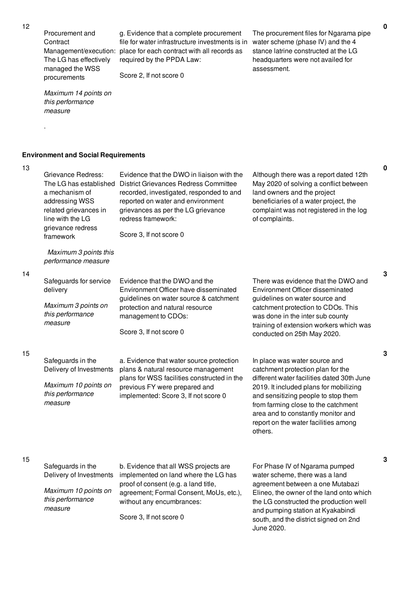Procurement and **Contract** The LG has effectively managed the WSS procurements

Management/execution: place for each contract with all records as g. Evidence that a complete procurement file for water infrastructure investments is in water scheme (phase IV) and the 4 required by the PPDA Law:

Score 2, If not score 0

The procurement files for Ngarama pipe stance latrine constructed at the LG headquarters were not availed for assessment.

*Maximum 14 points on this performance measure*

.

13

14

15

## **Environment and Social Requirements**

| Grievance Redress:<br>The LG has established<br>a mechanism of<br>addressing WSS<br>related grievances in<br>line with the LG<br>grievance redress<br>framework | Evidence that the DWO in liaison with the<br>District Grievances Redress Committee<br>recorded, investigated, responded to and<br>reported on water and environment<br>grievances as per the LG grievance<br>redress framework:<br>Score 3, If not score 0 | Although there was a report dated 12th<br>May 2020 of solving a conflict between<br>land owners and the project<br>beneficiaries of a water project, the<br>complaint was not registered in the log<br>of complaints.                                                                                                             |
|-----------------------------------------------------------------------------------------------------------------------------------------------------------------|------------------------------------------------------------------------------------------------------------------------------------------------------------------------------------------------------------------------------------------------------------|-----------------------------------------------------------------------------------------------------------------------------------------------------------------------------------------------------------------------------------------------------------------------------------------------------------------------------------|
| Maximum 3 points this<br>performance measure                                                                                                                    |                                                                                                                                                                                                                                                            |                                                                                                                                                                                                                                                                                                                                   |
| Safeguards for service<br>delivery<br>Maximum 3 points on<br>this performance<br>measure                                                                        | Evidence that the DWO and the<br>Environment Officer have disseminated<br>guidelines on water source & catchment<br>protection and natural resource<br>management to CDOs:<br>Score 3, If not score 0                                                      | There was evidence that the DWO and<br>Environment Officer disseminated<br>guidelines on water source and<br>catchment protection to CDOs. This<br>was done in the inter sub county<br>training of extension workers which was<br>conducted on 25th May 2020.                                                                     |
| Safeguards in the<br>Delivery of Investments<br>Maximum 10 points on<br>this performance<br>measure                                                             | a. Evidence that water source protection<br>plans & natural resource management<br>plans for WSS facilities constructed in the<br>previous FY were prepared and<br>implemented: Score 3, If not score 0                                                    | In place was water source and<br>catchment protection plan for the<br>different water facilities dated 30th June<br>2019. It included plans for mobilizing<br>and sensitizing people to stop them<br>from farming close to the catchment<br>area and to constantly monitor and<br>report on the water facilities among<br>others. |
| Safeguards in the                                                                                                                                               | b. Evidence that all WSS projects are                                                                                                                                                                                                                      | For Phase IV of Ngarama pumped                                                                                                                                                                                                                                                                                                    |

**0**

**3**

15

| Safeguards in the       | b. Evidence that all WSS projects are   | For Phase IV of Ngarama pumped           |
|-------------------------|-----------------------------------------|------------------------------------------|
| Delivery of Investments | implemented on land where the LG has    | water scheme, there was a land           |
|                         | proof of consent (e.g. a land title,    | agreement between a one Mutabazi         |
| Maximum 10 points on    | agreement; Formal Consent, MoUs, etc.), | Elineo, the owner of the land onto which |
| this performance        | without any encumbrances:               | the LG constructed the production well   |
| measure                 |                                         | and pumping station at Kyakabindi        |
|                         | Score 3, If not score 0                 | south, and the district signed on 2nd    |
|                         |                                         | June 2020.                               |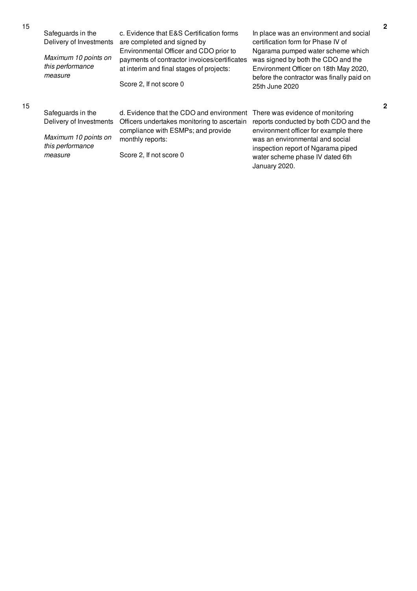| 10 | Safeguards in the<br>Delivery of Investments<br>Maximum 10 points on<br>this performance<br>measure | c. Evidence that E&S Certification forms<br>are completed and signed by<br>Environmental Officer and CDO prior to<br>payments of contractor invoices/certificates<br>at interim and final stages of projects:<br>Score 2, If not score 0 | In place was an environment and social<br>certification form for Phase IV of<br>Ngarama pumped water scheme which<br>was signed by both the CDO and the<br>Environment Officer on 18th May 2020,<br>before the contractor was finally paid on<br>25th June 2020 |
|----|-----------------------------------------------------------------------------------------------------|------------------------------------------------------------------------------------------------------------------------------------------------------------------------------------------------------------------------------------------|-----------------------------------------------------------------------------------------------------------------------------------------------------------------------------------------------------------------------------------------------------------------|
| 15 | Safeguards in the<br>Delivery of Investments<br>Maximum 10 points on<br>this performance<br>measure | d. Evidence that the CDO and environment<br>Officers undertakes monitoring to ascertain<br>compliance with ESMPs; and provide<br>monthly reports:<br>Score 2, If not score 0                                                             | There was evidence of monitoring<br>reports conducted by both CDO and the<br>environment officer for example there<br>was an environmental and social<br>inspection report of Ngarama piped<br>water scheme phase IV dated 6th<br>January 2020.                 |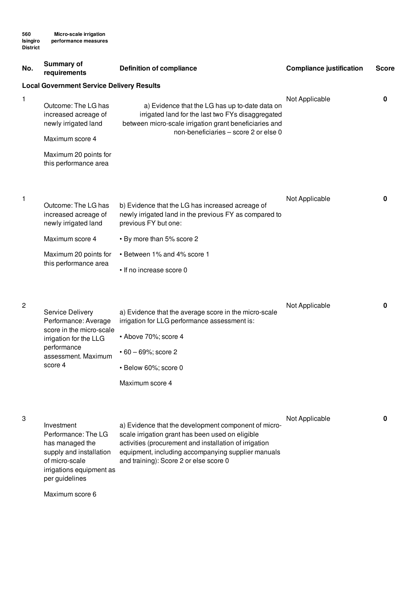| No.            | Summary of<br>requirements                                                                                                                      | <b>Definition of compliance</b>                                                                                                                                                                                                                                    | <b>Compliance justification</b> | <b>Score</b> |
|----------------|-------------------------------------------------------------------------------------------------------------------------------------------------|--------------------------------------------------------------------------------------------------------------------------------------------------------------------------------------------------------------------------------------------------------------------|---------------------------------|--------------|
|                | <b>Local Government Service Delivery Results</b>                                                                                                |                                                                                                                                                                                                                                                                    |                                 |              |
| 1              | Outcome: The LG has<br>increased acreage of<br>newly irrigated land<br>Maximum score 4<br>Maximum 20 points for                                 | a) Evidence that the LG has up to-date data on<br>irrigated land for the last two FYs disaggregated<br>between micro-scale irrigation grant beneficiaries and<br>non-beneficiaries - score 2 or else 0                                                             | Not Applicable                  | 0            |
| 1              | this performance area<br>Outcome: The LG has<br>increased acreage of<br>newly irrigated land                                                    | b) Evidence that the LG has increased acreage of<br>newly irrigated land in the previous FY as compared to<br>previous FY but one:                                                                                                                                 | Not Applicable                  | 0            |
|                | Maximum score 4                                                                                                                                 | • By more than 5% score 2                                                                                                                                                                                                                                          |                                 |              |
|                | Maximum 20 points for<br>this performance area                                                                                                  | • Between 1% and 4% score 1<br>• If no increase score 0                                                                                                                                                                                                            |                                 |              |
| $\overline{c}$ | Service Delivery<br>Performance: Average<br>score in the micro-scale<br>irrigation for the LLG<br>performance<br>assessment. Maximum<br>score 4 | a) Evidence that the average score in the micro-scale<br>irrigation for LLG performance assessment is:<br>• Above 70%; score 4<br>$\cdot$ 60 - 69%; score 2<br>· Below 60%; score 0<br>Maximum score 4                                                             | Not Applicable                  | 0            |
| 3              | Investment<br>Performance: The LG<br>has managed the<br>supply and installation<br>of micro-scale                                               | a) Evidence that the development component of micro-<br>scale irrigation grant has been used on eligible<br>activities (procurement and installation of irrigation<br>equipment, including accompanying supplier manuals<br>and training): Score 2 or else score 0 | Not Applicable                  | 0            |

Maximum score 6

per guidelines

irrigations equipment as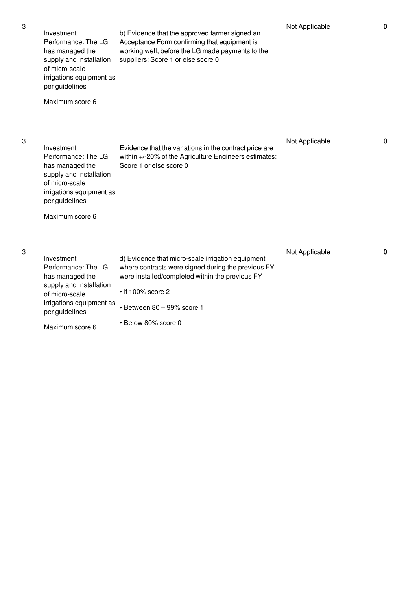| Investment<br>Performance: The LG<br>has managed the<br>supply and installation<br>of micro-scale<br>irrigations equipment as<br>per guidelines<br>Maximum score 6 | b) Evidence that the approved farmer signed an<br>Acceptance Form confirming that equipment is<br>working well, before the LG made payments to the<br>suppliers: Score 1 or else score 0                                                   | Not Applicable | 0           |
|--------------------------------------------------------------------------------------------------------------------------------------------------------------------|--------------------------------------------------------------------------------------------------------------------------------------------------------------------------------------------------------------------------------------------|----------------|-------------|
| Investment<br>Performance: The LG<br>has managed the<br>supply and installation<br>of micro-scale<br>irrigations equipment as<br>per guidelines<br>Maximum score 6 | Evidence that the variations in the contract price are<br>within +/-20% of the Agriculture Engineers estimates:<br>Score 1 or else score 0                                                                                                 | Not Applicable | 0           |
| Investment<br>Performance: The LG<br>has managed the<br>supply and installation<br>of micro-scale<br>irrigations equipment as<br>per guidelines<br>Maximum score 6 | d) Evidence that micro-scale irrigation equipment<br>where contracts were signed during the previous FY<br>were installed/completed within the previous FY<br>$\cdot$ If 100% score 2<br>· Between 80 - 99% score 1<br>• Below 80% score 0 | Not Applicable | $\mathbf 0$ |

3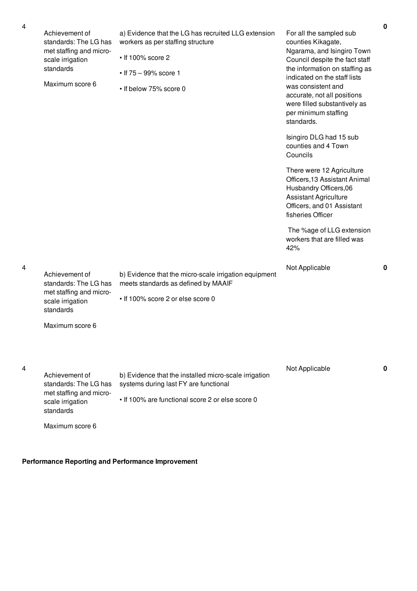|   |                                             |                                                                                              |                                                                                                                                                                         | 0 |
|---|---------------------------------------------|----------------------------------------------------------------------------------------------|-------------------------------------------------------------------------------------------------------------------------------------------------------------------------|---|
| 4 | Achievement of<br>standards: The LG has     | a) Evidence that the LG has recruited LLG extension<br>workers as per staffing structure     | For all the sampled sub<br>counties Kikagate,                                                                                                                           |   |
|   | met staffing and micro-<br>scale irrigation | • If 100% score 2                                                                            | Ngarama, and Isingiro Town<br>Council despite the fact staff                                                                                                            |   |
|   | standards<br>Maximum score 6                | • If $75 - 99\%$ score 1                                                                     | the information on staffing as<br>indicated on the staff lists                                                                                                          |   |
|   |                                             | • If below 75% score 0                                                                       | was consistent and<br>accurate, not all positions<br>were filled substantively as<br>per minimum staffing<br>standards.                                                 |   |
|   |                                             |                                                                                              | Isingiro DLG had 15 sub<br>counties and 4 Town<br>Councils                                                                                                              |   |
|   |                                             |                                                                                              | There were 12 Agriculture<br>Officers, 13 Assistant Animal<br>Husbandry Officers, 06<br><b>Assistant Agriculture</b><br>Officers, and 01 Assistant<br>fisheries Officer |   |
|   |                                             |                                                                                              | The %age of LLG extension<br>workers that are filled was<br>42%                                                                                                         |   |
| 4 | Achievement of<br>standards: The LG has     | b) Evidence that the micro-scale irrigation equipment<br>meets standards as defined by MAAIF | Not Applicable                                                                                                                                                          | 0 |

• If 100% score 2 or else score 0

Maximum score 6

scale irrigation standards

met staffing and micro-

4

| Achievement of<br>standards: The LG has<br>met staffing and micro-<br>scale irrigation<br>standards | b) Evidence that the installed micro-scale irrigation<br>systems during last FY are functional<br>• If 100% are functional score 2 or else score 0 | Not Applicable |  |
|-----------------------------------------------------------------------------------------------------|----------------------------------------------------------------------------------------------------------------------------------------------------|----------------|--|
| Maximum score 6                                                                                     |                                                                                                                                                    |                |  |

**Performance Reporting and Performance Improvement**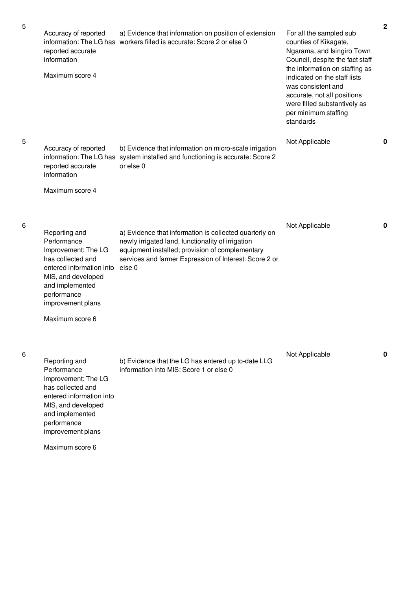| Accuracy of reported<br>reported accurate<br>information<br>Maximum score 4                                                                                                                          | a) Evidence that information on position of extension<br>information: The LG has workers filled is accurate: Score 2 or else 0                                                                                                     | For all the sampled sub<br>counties of Kikagate,<br>Ngarama, and Isingiro Town<br>Council, despite the fact staff<br>the information on staffing as<br>indicated on the staff lists<br>was consistent and<br>accurate, not all positions<br>were filled substantively as<br>per minimum staffing<br>standards | $\mathbf 2$ |
|------------------------------------------------------------------------------------------------------------------------------------------------------------------------------------------------------|------------------------------------------------------------------------------------------------------------------------------------------------------------------------------------------------------------------------------------|---------------------------------------------------------------------------------------------------------------------------------------------------------------------------------------------------------------------------------------------------------------------------------------------------------------|-------------|
| Accuracy of reported<br>reported accurate<br>information                                                                                                                                             | b) Evidence that information on micro-scale irrigation<br>information: The LG has system installed and functioning is accurate: Score 2<br>or else 0                                                                               | Not Applicable                                                                                                                                                                                                                                                                                                | 0           |
| Maximum score 4                                                                                                                                                                                      |                                                                                                                                                                                                                                    |                                                                                                                                                                                                                                                                                                               |             |
| Reporting and<br>Performance<br>Improvement: The LG<br>has collected and<br>entered information into<br>MIS, and developed<br>and implemented<br>performance<br>improvement plans<br>Maximum score 6 | a) Evidence that information is collected quarterly on<br>newly irrigated land, functionality of irrigation<br>equipment installed; provision of complementary<br>services and farmer Expression of Interest: Score 2 or<br>else 0 | Not Applicable                                                                                                                                                                                                                                                                                                | 0           |
| Reporting and<br>Performance<br>Improvement: The LG<br>has collected and<br>entered information into<br>MIS, and developed<br>and implemented<br>performance<br>improvement plans                    | b) Evidence that the LG has entered up to-date LLG<br>information into MIS: Score 1 or else 0                                                                                                                                      | Not Applicable                                                                                                                                                                                                                                                                                                | 0           |

Maximum score 6

5

5

6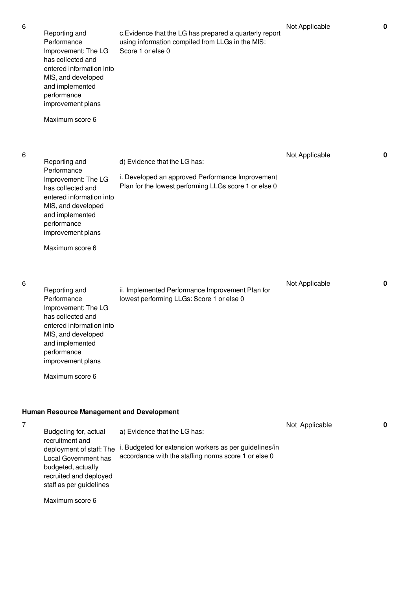Not Applicable **0**

| 6 | Reporting and<br>Performance<br>Improvement: The LG<br>has collected and<br>entered information into<br>MIS, and developed<br>and implemented<br>performance<br>improvement plans<br>Maximum score 6                                           | c. Evidence that the LG has prepared a quarterly report<br>using information compiled from LLGs in the MIS:<br>Score 1 or else 0               | Not Applicable | 0 |
|---|------------------------------------------------------------------------------------------------------------------------------------------------------------------------------------------------------------------------------------------------|------------------------------------------------------------------------------------------------------------------------------------------------|----------------|---|
| 6 | Reporting and<br>Performance<br>Improvement: The LG<br>has collected and<br>entered information into<br>MIS, and developed<br>and implemented<br>performance<br>improvement plans<br>Maximum score 6                                           | d) Evidence that the LG has:<br>i. Developed an approved Performance Improvement<br>Plan for the lowest performing LLGs score 1 or else 0      | Not Applicable | 0 |
| 6 | Reporting and<br>Performance<br>Improvement: The LG<br>has collected and<br>entered information into<br>MIS, and developed<br>and implemented<br>performance<br>improvement plans<br>Maximum score 6                                           | ii. Implemented Performance Improvement Plan for<br>lowest performing LLGs: Score 1 or else 0                                                  | Not Applicable | 0 |
| 7 | <b>Human Resource Management and Development</b><br>Budgeting for, actual<br>recruitment and<br>deployment of staff: The<br>Local Government has<br>budgeted, actually<br>recruited and deployed<br>staff as per guidelines<br>Maximum score 6 | a) Evidence that the LG has:<br>i. Budgeted for extension workers as per guidelines/in<br>accordance with the staffing norms score 1 or else 0 | Not Applicable | 0 |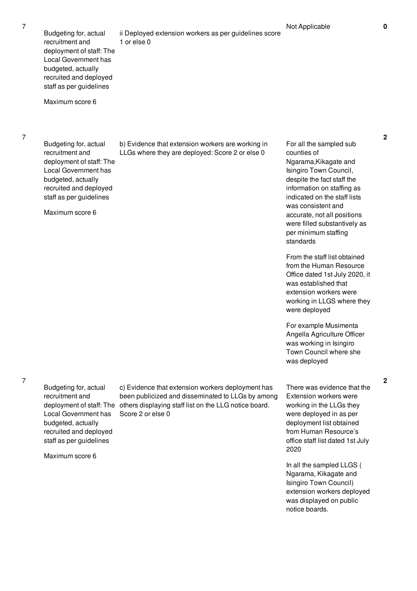1 or else 0

Maximum score 6

7

7

Budgeting for, actual recruitment and deployment of staff: The Local Government has budgeted, actually recruited and deployed staff as per guidelines

Maximum score 6

b) Evidence that extension workers are working in LLGs where they are deployed: Score 2 or else 0

ii Deployed extension workers as per guidelines score

For all the sampled sub counties of Ngarama,Kikagate and Isingiro Town Council, despite the fact staff the information on staffing as indicated on the staff lists was consistent and accurate, not all positions were filled substantively as per minimum staffing standards

From the staff list obtained from the Human Resource Office dated 1st July 2020, it was established that extension workers were working in LLGS where they were deployed

For example Musimenta Angella Agriculture Officer was working in Isingiro Town Council where she was deployed

7

Budgeting for, actual recruitment and Local Government has budgeted, actually recruited and deployed staff as per guidelines

Maximum score 6

deployment of staff: The others displaying staff list on the LLG notice board. c) Evidence that extension workers deployment has been publicized and disseminated to LLGs by among Score 2 or else 0

There was evidence that the Extension workers were working in the LLGs they were deployed in as per deployment list obtained from Human Resource's office staff list dated 1st July 2020

In all the sampled LLGS ( Ngarama, Kikagate and Isingiro Town Council) extension workers deployed was displayed on public notice boards.

**2**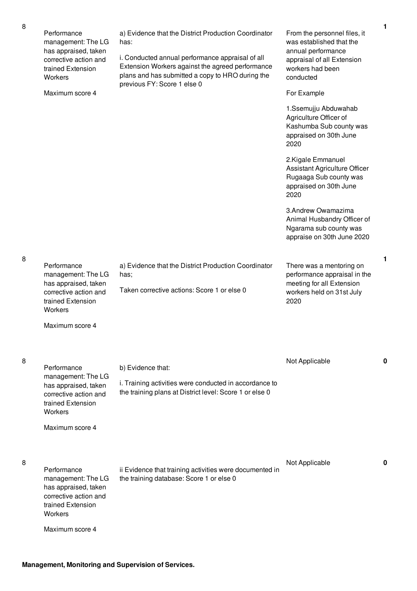Performance management: The LG has appraised, taken corrective action and trained Extension **Workers** 

Maximum score 4

a) Evidence that the District Production Coordinator has:

i. Conducted annual performance appraisal of all Extension Workers against the agreed performance plans and has submitted a copy to HRO during the previous FY: Score 1 else 0

a) Evidence that the District Production Coordinator

Taken corrective actions: Score 1 or else 0

From the personnel files, it was established that the annual performance appraisal of all Extension workers had been conducted

### For Example

1.Ssemujju Abduwahab Agriculture Officer of Kashumba Sub county was appraised on 30th June 2020

2.Kigale Emmanuel Assistant Agriculture Officer Rugaaga Sub county was appraised on 30th June 2020

3.Andrew Owamazima Animal Husbandry Officer of Ngarama sub county was appraise on 30th June 2020

There was a mentoring on performance appraisal in the meeting for all Extension workers held on 31st July 2020

Maximum score 4

trained Extension

Maximum score 4

**Workers** 

**Performance** 

**Workers** 

management: The LG has appraised, taken corrective action and trained Extension

has;

8

8

8

**Performance** management: The LG has appraised, taken corrective action and trained Extension **Workers** Maximum score 4 b) Evidence that: i. Training activities were conducted in accordance to the training plans at District level: Score 1 or else 0 Not Applicable **0** Performance management: The LG has appraised, taken corrective action and ii Evidence that training activities were documented in the training database: Score 1 or else 0 Not Applicable **0**

**1**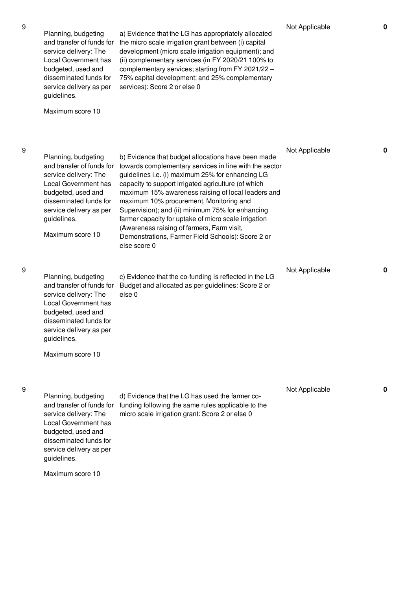9

9

9

| Planning, budgeting<br>and transfer of funds for<br>service delivery: The<br>Local Government has<br>budgeted, used and<br>disseminated funds for<br>service delivery as per<br>guidelines.<br>Maximum score 10 | a) Evidence that the LG has appropriately allocated<br>the micro scale irrigation grant between (i) capital<br>development (micro scale irrigation equipment); and<br>(ii) complementary services (in FY 2020/21 100% to<br>complementary services; starting from FY 2021/22 -<br>75% capital development; and 25% complementary<br>services): Score 2 or else 0                                                                                                                                                                                        | Not Applicable | $\mathbf 0$ |
|-----------------------------------------------------------------------------------------------------------------------------------------------------------------------------------------------------------------|---------------------------------------------------------------------------------------------------------------------------------------------------------------------------------------------------------------------------------------------------------------------------------------------------------------------------------------------------------------------------------------------------------------------------------------------------------------------------------------------------------------------------------------------------------|----------------|-------------|
| Planning, budgeting<br>and transfer of funds for<br>service delivery: The<br>Local Government has<br>budgeted, used and<br>disseminated funds for<br>service delivery as per<br>guidelines.<br>Maximum score 10 | b) Evidence that budget allocations have been made<br>towards complementary services in line with the sector<br>guidelines i.e. (i) maximum 25% for enhancing LG<br>capacity to support irrigated agriculture (of which<br>maximum 15% awareness raising of local leaders and<br>maximum 10% procurement, Monitoring and<br>Supervision); and (ii) minimum 75% for enhancing<br>farmer capacity for uptake of micro scale irrigation<br>(Awareness raising of farmers, Farm visit,<br>Demonstrations, Farmer Field Schools): Score 2 or<br>else score 0 | Not Applicable | $\mathbf 0$ |
| Planning, budgeting<br>and transfer of funds for<br>service delivery: The<br>Local Government has<br>budgeted, used and<br>disseminated funds for<br>service delivery as per<br>guidelines.<br>Maximum score 10 | c) Evidence that the co-funding is reflected in the LG<br>Budget and allocated as per guidelines: Score 2 or<br>else <sub>0</sub>                                                                                                                                                                                                                                                                                                                                                                                                                       | Not Applicable | $\mathbf 0$ |
| Planning, budgeting<br>and transfer of funds for<br>service delivery: The<br><b>Local Government has</b><br>budgeted, used and                                                                                  | d) Evidence that the LG has used the farmer co-<br>funding following the same rules applicable to the<br>micro scale irrigation grant: Score 2 or else 0                                                                                                                                                                                                                                                                                                                                                                                                | Not Applicable | 0           |

Maximum score 10

guidelines.

disseminated funds for service delivery as per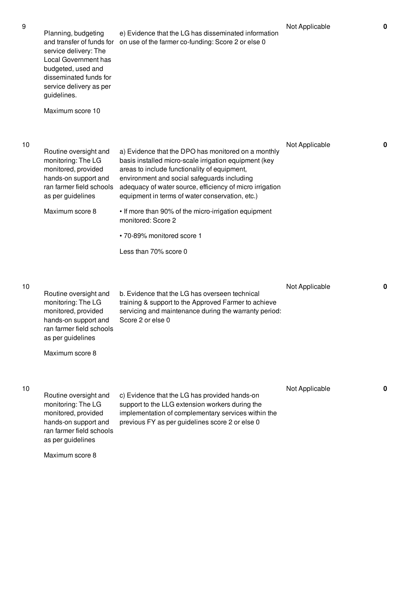| 9  | Planning, budgeting<br>and transfer of funds for<br>service delivery: The<br>Local Government has<br>budgeted, used and<br>disseminated funds for<br>service delivery as per<br>guidelines.<br>Maximum score 10 | e) Evidence that the LG has disseminated information<br>on use of the farmer co-funding: Score 2 or else 0                                                                                                                                                                                                                                                                                                                             | Not Applicable | $\mathbf 0$ |
|----|-----------------------------------------------------------------------------------------------------------------------------------------------------------------------------------------------------------------|----------------------------------------------------------------------------------------------------------------------------------------------------------------------------------------------------------------------------------------------------------------------------------------------------------------------------------------------------------------------------------------------------------------------------------------|----------------|-------------|
| 10 | Routine oversight and<br>monitoring: The LG<br>monitored, provided<br>hands-on support and<br>ran farmer field schools<br>as per guidelines<br>Maximum score 8                                                  | a) Evidence that the DPO has monitored on a monthly<br>basis installed micro-scale irrigation equipment (key<br>areas to include functionality of equipment,<br>environment and social safeguards including<br>adequacy of water source, efficiency of micro irrigation<br>equipment in terms of water conservation, etc.)<br>• If more than 90% of the micro-irrigation equipment<br>monitored: Score 2<br>• 70-89% monitored score 1 | Not Applicable | $\mathbf 0$ |
|    |                                                                                                                                                                                                                 | Less than 70% score 0                                                                                                                                                                                                                                                                                                                                                                                                                  |                |             |
| 10 | Routine oversight and<br>monitoring: The LG<br>monitored, provided<br>hands-on support and<br>ran farmer field schools<br>as per guidelines<br>Maximum score 8                                                  | b. Evidence that the LG has overseen technical<br>training & support to the Approved Farmer to achieve<br>servicing and maintenance during the warranty period:<br>Score 2 or else 0                                                                                                                                                                                                                                                   | Not Applicable | $\mathbf 0$ |
| 10 | Routine oversight and<br>monitoring: The LG<br>monitored, provided<br>hands-on support and<br>ran farmer field schools<br>as per guidelines<br>Maximum score 8                                                  | c) Evidence that the LG has provided hands-on<br>support to the LLG extension workers during the<br>implementation of complementary services within the<br>previous FY as per guidelines score 2 or else 0                                                                                                                                                                                                                             | Not Applicable | 0           |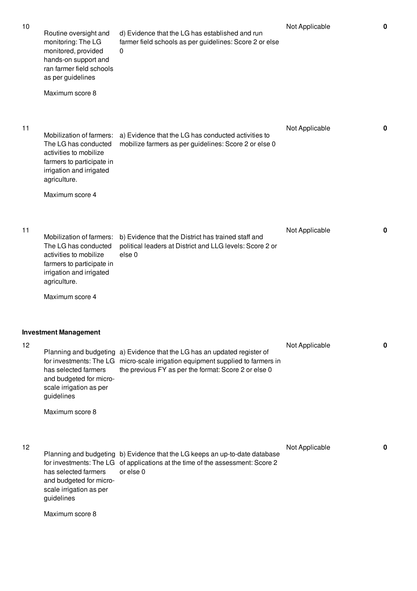| 10 | Routine oversight and<br>monitoring: The LG<br>monitored, provided<br>hands-on support and<br>ran farmer field schools<br>as per guidelines<br>Maximum score 8         | d) Evidence that the LG has established and run<br>farmer field schools as per guidelines: Score 2 or else<br>0                                                                              | Not Applicable | $\mathbf 0$ |
|----|------------------------------------------------------------------------------------------------------------------------------------------------------------------------|----------------------------------------------------------------------------------------------------------------------------------------------------------------------------------------------|----------------|-------------|
| 11 | Mobilization of farmers:<br>The LG has conducted<br>activities to mobilize<br>farmers to participate in<br>irrigation and irrigated<br>agriculture.<br>Maximum score 4 | a) Evidence that the LG has conducted activities to<br>mobilize farmers as per guidelines: Score 2 or else 0                                                                                 | Not Applicable | $\mathbf 0$ |
| 11 | Mobilization of farmers:<br>The LG has conducted<br>activities to mobilize<br>farmers to participate in<br>irrigation and irrigated<br>agriculture.<br>Maximum score 4 | b) Evidence that the District has trained staff and<br>political leaders at District and LLG levels: Score 2 or<br>else <sub>0</sub>                                                         | Not Applicable | $\mathbf 0$ |
| 12 | <b>Investment Management</b><br>for investments: The LG<br>has selected farmers<br>and budgeted for micro-<br>scale irrigation as per<br>guidelines<br>Maximum score 8 | Planning and budgeting a) Evidence that the LG has an updated register of<br>micro-scale irrigation equipment supplied to farmers in<br>the previous FY as per the format: Score 2 or else 0 | Not Applicable | $\mathbf 0$ |
| 12 | for investments: The LG<br>has selected farmers<br>and budgeted for micro-<br>scale irrigation as per<br>guidelines<br>Maximum score 8                                 | Planning and budgeting b) Evidence that the LG keeps an up-to-date database<br>of applications at the time of the assessment: Score 2<br>or else 0                                           | Not Applicable | $\mathbf 0$ |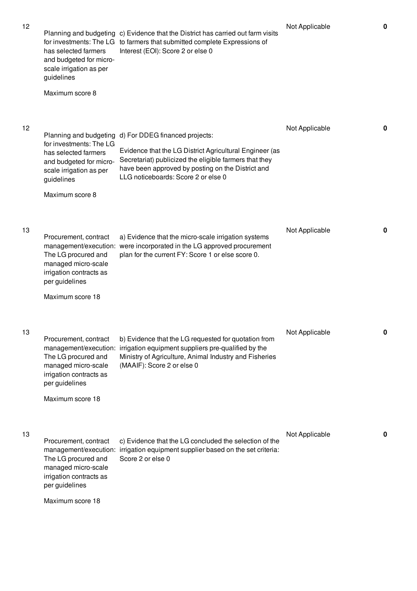| 12 | for investments: The LG<br>has selected farmers<br>and budgeted for micro-<br>scale irrigation as per<br>guidelines<br>Maximum score 8 | Planning and budgeting d) For DDEG financed projects:<br>Evidence that the LG District Agricultural Engineer (as<br>Secretariat) publicized the eligible farmers that they<br>have been approved by posting on the District and<br>LLG noticeboards: Score 2 or else 0 | Not Applicable | 0 |
|----|----------------------------------------------------------------------------------------------------------------------------------------|------------------------------------------------------------------------------------------------------------------------------------------------------------------------------------------------------------------------------------------------------------------------|----------------|---|
| 13 | Procurement, contract<br>The LG procured and<br>managed micro-scale<br>irrigation contracts as<br>per guidelines<br>Maximum score 18   | a) Evidence that the micro-scale irrigation systems<br>management/execution: were incorporated in the LG approved procurement<br>plan for the current FY: Score 1 or else score 0.                                                                                     | Not Applicable | 0 |
| 13 | Procurement, contract<br>The LG procured and<br>managed micro-scale<br>irrigation contracts as<br>per guidelines<br>Maximum score 18   | b) Evidence that the LG requested for quotation from<br>management/execution: irrigation equipment suppliers pre-qualified by the<br>Ministry of Agriculture, Animal Industry and Fisheries<br>(MAAIF): Score 2 or else 0                                              | Not Applicable | 0 |
| 13 | Procurement, contract<br>The LG procured and<br>managed micro-scale<br>irrigation contracts as<br>per guidelines<br>Maximum score 18   | c) Evidence that the LG concluded the selection of the<br>management/execution: irrigation equipment supplier based on the set criteria:<br>Score 2 or else 0                                                                                                          | Not Applicable | 0 |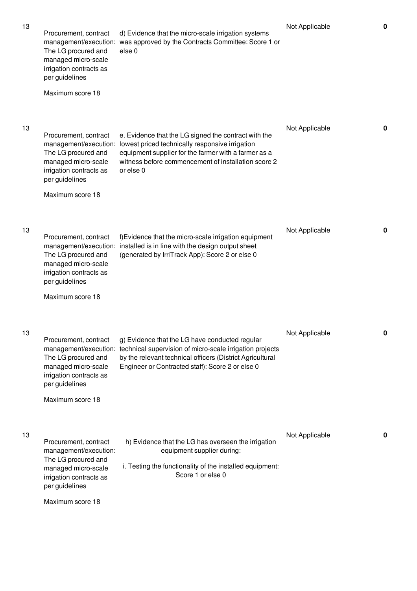| 13 | Procurement, contract<br>The LG procured and<br>managed micro-scale<br>irrigation contracts as<br>per guidelines                          | d) Evidence that the micro-scale irrigation systems<br>management/execution: was approved by the Contracts Committee: Score 1 or<br>else <sub>0</sub>                                                                               | Not Applicable | $\mathbf 0$ |
|----|-------------------------------------------------------------------------------------------------------------------------------------------|-------------------------------------------------------------------------------------------------------------------------------------------------------------------------------------------------------------------------------------|----------------|-------------|
|    | Maximum score 18                                                                                                                          |                                                                                                                                                                                                                                     |                |             |
| 13 | Procurement, contract<br>management/execution:<br>The LG procured and<br>managed micro-scale<br>irrigation contracts as<br>per guidelines | e. Evidence that the LG signed the contract with the<br>lowest priced technically responsive irrigation<br>equipment supplier for the farmer with a farmer as a<br>witness before commencement of installation score 2<br>or else 0 | Not Applicable | 0           |
|    | Maximum score 18                                                                                                                          |                                                                                                                                                                                                                                     |                |             |
| 13 | Procurement, contract<br>The LG procured and<br>managed micro-scale<br>irrigation contracts as<br>per guidelines                          | f)Evidence that the micro-scale irrigation equipment<br>management/execution: installed is in line with the design output sheet<br>(generated by IrriTrack App): Score 2 or else 0                                                  | Not Applicable | 0           |
|    | Maximum score 18                                                                                                                          |                                                                                                                                                                                                                                     |                |             |
| 13 | Procurement, contract<br>management/execution:<br>The LG procured and<br>managed micro-scale<br>irrigation contracts as<br>per guidelines | g) Evidence that the LG have conducted regular<br>technical supervision of micro-scale irrigation projects<br>by the relevant technical officers (District Agricultural<br>Engineer or Contracted staff): Score 2 or else 0         | Not Applicable | 0           |
|    | Maximum score 18                                                                                                                          |                                                                                                                                                                                                                                     |                |             |
| 13 | Procurement, contract<br>management/execution:<br>The LG procured and<br>managed micro-scale<br>irrigation contracts as<br>per guidelines | h) Evidence that the LG has overseen the irrigation<br>equipment supplier during:<br>i. Testing the functionality of the installed equipment:<br>Score 1 or else 0                                                                  | Not Applicable | 0           |
|    | Maximum score 18                                                                                                                          |                                                                                                                                                                                                                                     |                |             |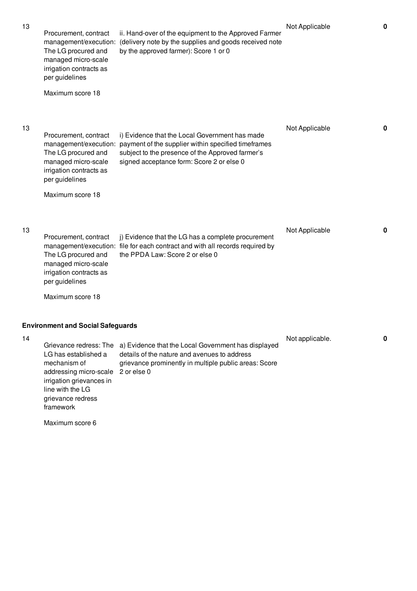| 13 | Procurement, contract<br>management/execution:<br>The LG procured and<br>managed micro-scale<br>irrigation contracts as<br>per guidelines | ii. Hand-over of the equipment to the Approved Farmer<br>(delivery note by the supplies and goods received note<br>by the approved farmer): Score 1 or 0                                               | Not Applicable  | $\mathbf 0$  |
|----|-------------------------------------------------------------------------------------------------------------------------------------------|--------------------------------------------------------------------------------------------------------------------------------------------------------------------------------------------------------|-----------------|--------------|
|    | Maximum score 18                                                                                                                          |                                                                                                                                                                                                        |                 |              |
| 13 | Procurement, contract<br>management/execution:<br>The LG procured and<br>managed micro-scale<br>irrigation contracts as<br>per guidelines | i) Evidence that the Local Government has made<br>payment of the supplier within specified timeframes<br>subject to the presence of the Approved farmer's<br>signed acceptance form: Score 2 or else 0 | Not Applicable  | $\mathbf{0}$ |
|    | Maximum score 18                                                                                                                          |                                                                                                                                                                                                        |                 |              |
| 13 | Procurement, contract<br>The LG procured and<br>managed micro-scale<br>irrigation contracts as<br>per guidelines                          | j) Evidence that the LG has a complete procurement<br>management/execution: file for each contract and with all records required by<br>the PPDA Law: Score 2 or else 0                                 | Not Applicable  | $\mathbf{0}$ |
|    | Maximum score 18                                                                                                                          |                                                                                                                                                                                                        |                 |              |
|    | <b>Environment and Social Safeguards</b>                                                                                                  |                                                                                                                                                                                                        |                 |              |
| 14 | Grievance redress: The<br>LG has established a<br>mechanism of                                                                            | a) Evidence that the Local Government has displayed<br>details of the nature and avenues to address<br>grievance prominently in multiple public areas: Score                                           | Not applicable. | $\bf{0}$     |

Maximum score 6

addressing micro-scale irrigation grievances in line with the LG grievance redress framework

2 or else 0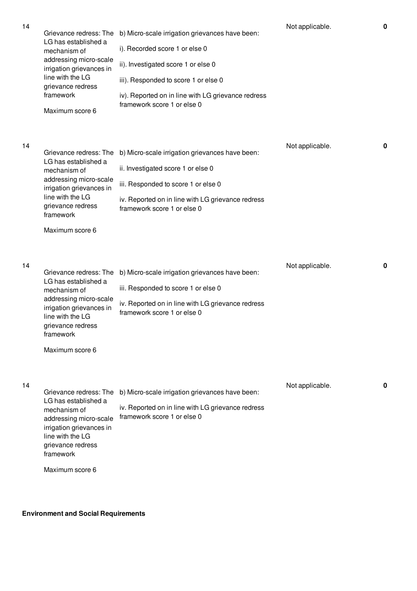| 14 | Grievance redress: The<br>LG has established a<br>mechanism of<br>addressing micro-scale<br>irrigation grievances in<br>line with the LG<br>grievance redress<br>framework<br>Maximum score 6 | b) Micro-scale irrigation grievances have been:<br>i). Recorded score 1 or else 0<br>ii). Investigated score 1 or else 0<br>iii). Responded to score 1 or else 0<br>iv). Reported on in line with LG grievance redress<br>framework score 1 or else 0 | Not applicable. | $\mathbf 0$ |
|----|-----------------------------------------------------------------------------------------------------------------------------------------------------------------------------------------------|-------------------------------------------------------------------------------------------------------------------------------------------------------------------------------------------------------------------------------------------------------|-----------------|-------------|
| 14 | Grievance redress: The<br>LG has established a<br>mechanism of<br>addressing micro-scale<br>irrigation grievances in<br>line with the LG<br>grievance redress<br>framework<br>Maximum score 6 | b) Micro-scale irrigation grievances have been:<br>ii. Investigated score 1 or else 0<br>iii. Responded to score 1 or else 0<br>iv. Reported on in line with LG grievance redress<br>framework score 1 or else 0                                      | Not applicable. | $\mathbf 0$ |
| 14 | Grievance redress: The<br>LG has established a<br>mechanism of<br>addressing micro-scale<br>irrigation grievances in<br>line with the LG<br>grievance redress<br>framework<br>Maximum score 6 | b) Micro-scale irrigation grievances have been:<br>iii. Responded to score 1 or else 0<br>iv. Reported on in line with LG grievance redress<br>framework score 1 or else 0                                                                            | Not applicable. | $\mathbf 0$ |
| 14 | Grievance redress: The<br>LG has established a<br>mechanism of<br>addressing micro-scale<br>irrigation grievances in<br>line with the LG<br>grievance redress<br>framework<br>Maximum score 6 | b) Micro-scale irrigation grievances have been:<br>iv. Reported on in line with LG grievance redress<br>framework score 1 or else 0                                                                                                                   | Not applicable. | 0           |

**Environment and Social Requirements**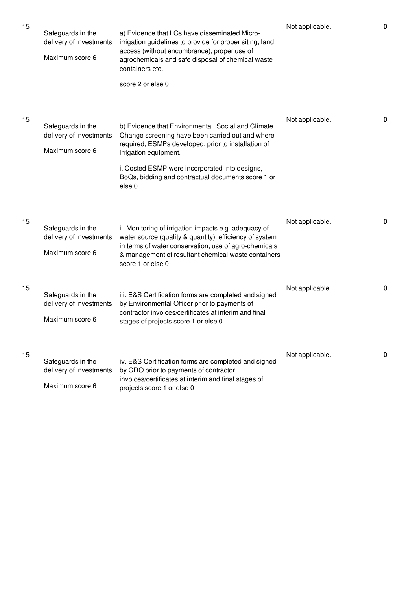| 15 | Safeguards in the<br>delivery of investments<br>Maximum score 6 | a) Evidence that LGs have disseminated Micro-<br>irrigation guidelines to provide for proper siting, land<br>access (without encumbrance), proper use of<br>agrochemicals and safe disposal of chemical waste<br>containers etc.<br>score 2 or else 0                                                               | Not applicable. | 0           |
|----|-----------------------------------------------------------------|---------------------------------------------------------------------------------------------------------------------------------------------------------------------------------------------------------------------------------------------------------------------------------------------------------------------|-----------------|-------------|
| 15 | Safeguards in the<br>delivery of investments<br>Maximum score 6 | b) Evidence that Environmental, Social and Climate<br>Change screening have been carried out and where<br>required, ESMPs developed, prior to installation of<br>irrigation equipment.<br>i. Costed ESMP were incorporated into designs,<br>BoQs, bidding and contractual documents score 1 or<br>else <sub>0</sub> | Not applicable. | $\mathbf 0$ |
| 15 | Safeguards in the<br>delivery of investments<br>Maximum score 6 | ii. Monitoring of irrigation impacts e.g. adequacy of<br>water source (quality & quantity), efficiency of system<br>in terms of water conservation, use of agro-chemicals<br>& management of resultant chemical waste containers<br>score 1 or else 0                                                               | Not applicable. | $\mathbf 0$ |
| 15 | Safeguards in the<br>delivery of investments<br>Maximum score 6 | iii. E&S Certification forms are completed and signed<br>by Environmental Officer prior to payments of<br>contractor invoices/certificates at interim and final<br>stages of projects score 1 or else 0                                                                                                             | Not applicable. | $\mathbf 0$ |
| 15 | Safeguards in the<br>delivery of investments<br>Maximum score 6 | iv. E&S Certification forms are completed and signed<br>by CDO prior to payments of contractor<br>invoices/certificates at interim and final stages of<br>projects score 1 or else 0                                                                                                                                | Not applicable. | 0           |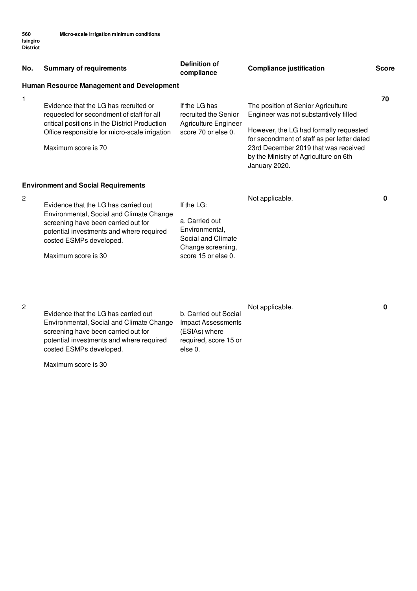| No. | <b>Summary of requirements</b>                                                                                                                                                                                        | <b>Definition of</b><br>compliance                                                                               | <b>Compliance justification</b>                                                                                                                                                                                                                                        | <b>Score</b> |
|-----|-----------------------------------------------------------------------------------------------------------------------------------------------------------------------------------------------------------------------|------------------------------------------------------------------------------------------------------------------|------------------------------------------------------------------------------------------------------------------------------------------------------------------------------------------------------------------------------------------------------------------------|--------------|
|     | <b>Human Resource Management and Development</b>                                                                                                                                                                      |                                                                                                                  |                                                                                                                                                                                                                                                                        |              |
| 1   | Evidence that the LG has recruited or<br>requested for secondment of staff for all<br>critical positions in the District Production<br>Office responsible for micro-scale irrigation<br>Maximum score is 70           | If the LG has<br>recruited the Senior<br><b>Agriculture Engineer</b><br>score 70 or else 0.                      | The position of Senior Agriculture<br>Engineer was not substantively filled<br>However, the LG had formally requested<br>for secondment of staff as per letter dated<br>23rd December 2019 that was received<br>by the Ministry of Agriculture on 6th<br>January 2020. | 70           |
|     | <b>Environment and Social Requirements</b>                                                                                                                                                                            |                                                                                                                  |                                                                                                                                                                                                                                                                        |              |
| 2   | Evidence that the LG has carried out<br>Environmental, Social and Climate Change<br>screening have been carried out for<br>potential investments and where required<br>costed ESMPs developed.<br>Maximum score is 30 | If the LG:<br>a. Carried out<br>Environmental,<br>Social and Climate<br>Change screening,<br>score 15 or else 0. | Not applicable.                                                                                                                                                                                                                                                        | 0            |

(ESIAs) where required, score 15 or

else 0.

### 2

Evidence that the LG has carried out Environmental, Social and Climate Change screening have been carried out for potential investments and where required costed ESMPs developed.

Maximum score is 30

b. Carried out Social Impact Assessments Not applicable. **0**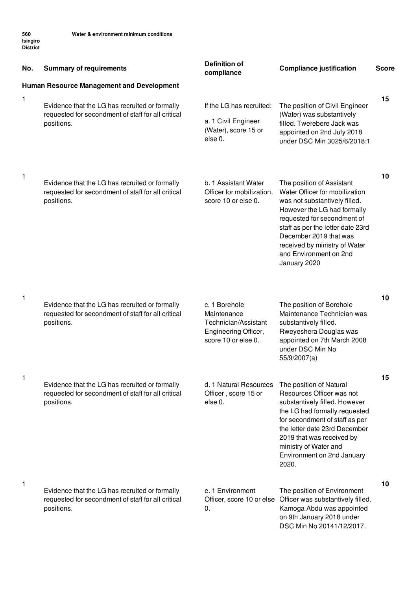| No. | <b>Summary of requirements</b>                                                                                     | <b>Definition of</b><br>compliance                                                                  | <b>Compliance justification</b>                                                                                                                                                                                                                                                                      | <b>Score</b> |
|-----|--------------------------------------------------------------------------------------------------------------------|-----------------------------------------------------------------------------------------------------|------------------------------------------------------------------------------------------------------------------------------------------------------------------------------------------------------------------------------------------------------------------------------------------------------|--------------|
|     | <b>Human Resource Management and Development</b>                                                                   |                                                                                                     |                                                                                                                                                                                                                                                                                                      |              |
| 1   | Evidence that the LG has recruited or formally<br>requested for secondment of staff for all critical<br>positions. | If the LG has recruited:<br>a. 1 Civil Engineer<br>(Water), score 15 or<br>else 0.                  | The position of Civil Engineer<br>(Water) was substantively<br>filled. Twerebere Jack was<br>appointed on 2nd July 2018<br>under DSC Min 3025/6/2018:1                                                                                                                                               | 15           |
| 1   | Evidence that the LG has recruited or formally<br>requested for secondment of staff for all critical<br>positions. | b. 1 Assistant Water<br>Officer for mobilization,<br>score 10 or else 0.                            | The position of Assistant<br>Water Officer for mobilization<br>was not substantively filled.<br>However the LG had formally<br>requested for secondment of<br>staff as per the letter date 23rd<br>December 2019 that was<br>received by ministry of Water<br>and Environment on 2nd<br>January 2020 | 10           |
| 1   | Evidence that the LG has recruited or formally<br>requested for secondment of staff for all critical<br>positions. | c. 1 Borehole<br>Maintenance<br>Technician/Assistant<br>Engineering Officer,<br>score 10 or else 0. | The position of Borehole<br>Maintenance Technician was<br>substantively filled.<br>Rweyeshera Douglas was<br>appointed on 7th March 2008<br>under DSC Min No<br>55/9/2007(a)                                                                                                                         | 10           |
| 1   | Evidence that the LG has recruited or formally<br>requested for secondment of staff for all critical<br>positions. | d. 1 Natural Resources<br>Officer, score 15 or<br>else 0.                                           | The position of Natural<br>Resources Officer was not<br>substantively filled. However<br>the LG had formally requested<br>for secondment of staff as per<br>the letter date 23rd December<br>2019 that was received by<br>ministry of Water and<br>Environment on 2nd January<br>2020.               | 15           |
| 1   | Evidence that the LG has recruited or formally<br>requested for secondment of staff for all critical<br>positions. | e. 1 Environment<br>Officer, score 10 or else<br>0.                                                 | The position of Environment<br>Officer was substantively filled.<br>Kamoga Abdu was appointed<br>on 9th January 2018 under<br>DSC Min No 20141/12/2017.                                                                                                                                              | 10           |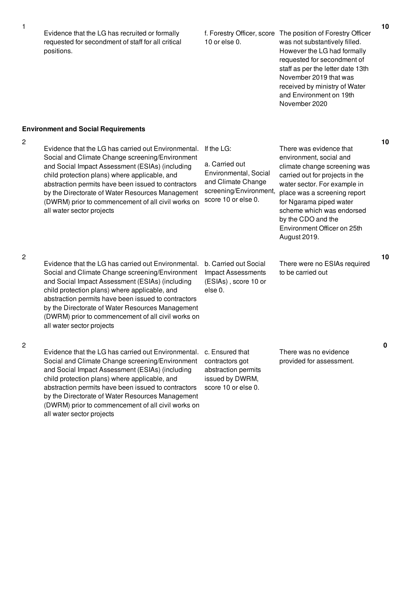Evidence that the LG has recruited or formally requested for secondment of staff for all critical positions.

# 10 or else 0.

f. Forestry Officer, score The position of Forestry Officer was not substantively filled. However the LG had formally requested for secondment of staff as per the letter date 13th November 2019 that was received by ministry of Water and Environment on 19th November 2020

### **Environment and Social Requirements**

2

Evidence that the LG has carried out Environmental. Social and Climate Change screening/Environment and Social Impact Assessment (ESIAs) (including child protection plans) where applicable, and abstraction permits have been issued to contractors by the Directorate of Water Resources Management (DWRM) prior to commencement of all civil works on all water sector projects

If the LG:

a. Carried out Environmental, Social and Climate Change screening/Environment, score 10 or else 0.

There was evidence that environment, social and climate change screening was carried out for projects in the water sector. For example in place was a screening report for Ngarama piped water scheme which was endorsed by the CDO and the Environment Officer on 25th August 2019.

There were no ESIAs required to be carried out

2

2

Evidence that the LG has carried out Environmental. b. Carried out Social Social and Climate Change screening/Environment and Social Impact Assessment (ESIAs) (including child protection plans) where applicable, and abstraction permits have been issued to contractors by the Directorate of Water Resources Management (DWRM) prior to commencement of all civil works on all water sector projects

Social and Climate Change screening/Environment and Social Impact Assessment (ESIAs) (including child protection plans) where applicable, and abstraction permits have been issued to contractors by the Directorate of Water Resources Management (DWRM) prior to commencement of all civil works on

all water sector projects

Evidence that the LG has carried out Environmental. c. Ensured that contractors got

> abstraction permits issued by DWRM, score 10 or else 0.

Impact Assessments (ESIAs) , score 10 or

else 0.

There was no evidence provided for assessment. **10**

**10**

**10**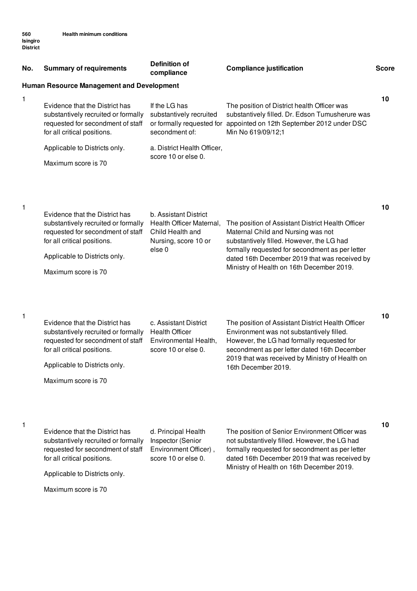| No. | <b>Summary of requirements</b>                                                                                                                                                                    | <b>Definition of</b><br>compliance                                                                                 | <b>Compliance justification</b>                                                                                                                                                                                                                                                       | <b>Score</b> |
|-----|---------------------------------------------------------------------------------------------------------------------------------------------------------------------------------------------------|--------------------------------------------------------------------------------------------------------------------|---------------------------------------------------------------------------------------------------------------------------------------------------------------------------------------------------------------------------------------------------------------------------------------|--------------|
|     | <b>Human Resource Management and Development</b>                                                                                                                                                  |                                                                                                                    |                                                                                                                                                                                                                                                                                       |              |
| 1   | Evidence that the District has<br>substantively recruited or formally<br>requested for secondment of staff<br>for all critical positions.                                                         | If the LG has<br>substantively recruited<br>or formally requested for<br>secondment of:                            | The position of District health Officer was<br>substantively filled. Dr. Edson Tumusherure was<br>appointed on 12th September 2012 under DSC<br>Min No 619/09/12;1                                                                                                                    | 10           |
|     | Applicable to Districts only.                                                                                                                                                                     | a. District Health Officer,                                                                                        |                                                                                                                                                                                                                                                                                       |              |
|     | Maximum score is 70                                                                                                                                                                               | score 10 or else 0.                                                                                                |                                                                                                                                                                                                                                                                                       |              |
| 1   | Evidence that the District has<br>substantively recruited or formally<br>requested for secondment of staff<br>for all critical positions.<br>Applicable to Districts only.<br>Maximum score is 70 | b. Assistant District<br>Health Officer Maternal,<br>Child Health and<br>Nursing, score 10 or<br>else <sub>0</sub> | The position of Assistant District Health Officer<br>Maternal Child and Nursing was not<br>substantively filled. However, the LG had<br>formally requested for secondment as per letter<br>dated 16th December 2019 that was received by<br>Ministry of Health on 16th December 2019. | 10           |
| 1   | Evidence that the District has<br>substantively recruited or formally<br>requested for secondment of staff<br>for all critical positions.<br>Applicable to Districts only.<br>Maximum score is 70 | c. Assistant District<br><b>Health Officer</b><br>Environmental Health,<br>score 10 or else 0.                     | The position of Assistant District Health Officer<br>Environment was not substantively filled.<br>However, the LG had formally requested for<br>secondment as per letter dated 16th December<br>2019 that was received by Ministry of Health on<br>16th December 2019.                | 10           |
| 1   | Evidence that the District has<br>substantively recruited or formally<br>requested for secondment of staff<br>for all critical positions.<br>Applicable to Districts only.<br>Maximum score is 70 | d. Principal Health<br>Inspector (Senior<br>Environment Officer),<br>score 10 or else 0.                           | The position of Senior Environment Officer was<br>not substantively filled. However, the LG had<br>formally requested for secondment as per letter<br>dated 16th December 2019 that was received by<br>Ministry of Health on 16th December 2019.                                      | 10           |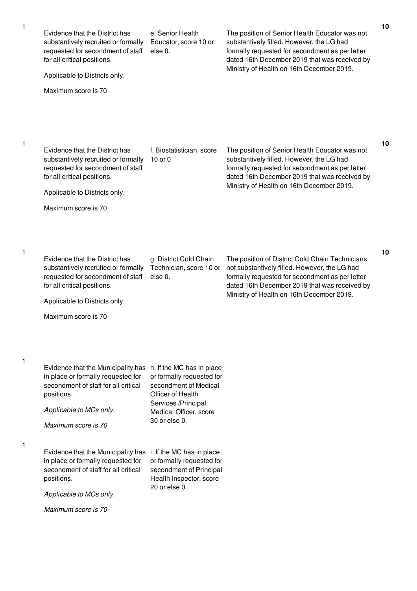| Evidence that the District has<br>f. Biostatistician, score<br>The position of Senior Health Educator was not<br>substantively recruited or formally<br>10 or 0.<br>substantively filled. However, the LG had<br>requested for secondment of staff<br>formally requested for secondment as per letter<br>for all critical positions.<br>dated 16th December 2019 that was received by<br>Ministry of Health on 16th December 2019.<br>Applicable to Districts only.<br>Maximum score is 70<br>Evidence that the District has<br>g. District Cold Chain<br>The position of District Cold Chain Technicians<br>Technician, score 10 or<br>not substantively filled. However, the LG had<br>substantively recruited or formally<br>requested for secondment of staff<br>formally requested for secondment as per letter<br>else 0.<br>dated 16th December 2019 that was received by<br>for all critical positions.<br>Ministry of Health on 16th December 2019.<br>Applicable to Districts only.<br>Maximum score is 70<br>Evidence that the Municipality has<br>h. If the MC has in place<br>in place or formally requested for<br>or formally requested for<br>secondment of staff for all critical<br>secondment of Medical<br>Officer of Health<br>positions.<br>Services /Principal<br>Applicable to MCs only.<br>Medical Officer, score<br>30 or else 0.<br>Maximum score is 70<br>Evidence that the Municipality has i. If the MC has in place<br>in place or formally requested for<br>or formally requested for<br>secondment of staff for all critical<br>secondment of Principal<br>Health Inspector, score<br>positions.<br>20 or else 0.<br>Applicable to MCs only.<br>Maximum score is 70 | Evidence that the District has<br>substantively recruited or formally<br>requested for secondment of staff<br>for all critical positions.<br>Applicable to Districts only.<br>Maximum score is 70 | e. Senior Health<br>Educator, score 10 or<br>else 0. | The position of Senior Health Educator was not<br>substantively filled. However, the LG had<br>formally requested for secondment as per letter<br>dated 16th December 2019 that was received by<br>Ministry of Health on 16th December 2019. | 10 |
|------------------------------------------------------------------------------------------------------------------------------------------------------------------------------------------------------------------------------------------------------------------------------------------------------------------------------------------------------------------------------------------------------------------------------------------------------------------------------------------------------------------------------------------------------------------------------------------------------------------------------------------------------------------------------------------------------------------------------------------------------------------------------------------------------------------------------------------------------------------------------------------------------------------------------------------------------------------------------------------------------------------------------------------------------------------------------------------------------------------------------------------------------------------------------------------------------------------------------------------------------------------------------------------------------------------------------------------------------------------------------------------------------------------------------------------------------------------------------------------------------------------------------------------------------------------------------------------------------------------------------------------------------------------------------------------------------|---------------------------------------------------------------------------------------------------------------------------------------------------------------------------------------------------|------------------------------------------------------|----------------------------------------------------------------------------------------------------------------------------------------------------------------------------------------------------------------------------------------------|----|
|                                                                                                                                                                                                                                                                                                                                                                                                                                                                                                                                                                                                                                                                                                                                                                                                                                                                                                                                                                                                                                                                                                                                                                                                                                                                                                                                                                                                                                                                                                                                                                                                                                                                                                      |                                                                                                                                                                                                   |                                                      |                                                                                                                                                                                                                                              | 10 |
|                                                                                                                                                                                                                                                                                                                                                                                                                                                                                                                                                                                                                                                                                                                                                                                                                                                                                                                                                                                                                                                                                                                                                                                                                                                                                                                                                                                                                                                                                                                                                                                                                                                                                                      |                                                                                                                                                                                                   |                                                      |                                                                                                                                                                                                                                              | 10 |
|                                                                                                                                                                                                                                                                                                                                                                                                                                                                                                                                                                                                                                                                                                                                                                                                                                                                                                                                                                                                                                                                                                                                                                                                                                                                                                                                                                                                                                                                                                                                                                                                                                                                                                      |                                                                                                                                                                                                   |                                                      |                                                                                                                                                                                                                                              |    |
|                                                                                                                                                                                                                                                                                                                                                                                                                                                                                                                                                                                                                                                                                                                                                                                                                                                                                                                                                                                                                                                                                                                                                                                                                                                                                                                                                                                                                                                                                                                                                                                                                                                                                                      |                                                                                                                                                                                                   |                                                      |                                                                                                                                                                                                                                              |    |

1

1

1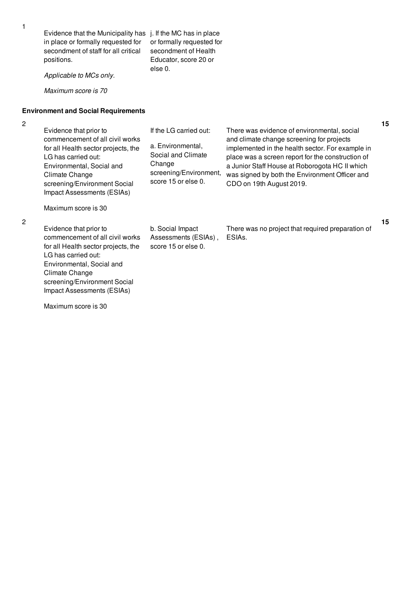Evidence that the Municipality has j. If the MC has in place in place or formally requested for secondment of staff for all critical positions.

or formally requested for secondment of Health Educator, score 20 or else 0.

*Applicable to MCs only.*

*Maximum score is 70*

### **Environment and Social Requirements**

2

| Evidence that prior to<br>commencement of all civil works<br>for all Health sector projects, the<br>LG has carried out:<br>Environmental, Social and<br>Climate Change<br>screening/Environment Social<br>Impact Assessments (ESIAs) | If the LG carried out:<br>a. Environmental,<br>Social and Climate<br>Change<br>screening/Environment,<br>score 15 or else 0. | There was evidence of environmental, social<br>and climate change screening for projects<br>implemented in the health sector. For example in<br>place was a screen report for the construction of<br>a Junior Staff House at Roborogota HC II which<br>was signed by both the Environment Officer and<br>CDO on 19th August 2019. |
|--------------------------------------------------------------------------------------------------------------------------------------------------------------------------------------------------------------------------------------|------------------------------------------------------------------------------------------------------------------------------|-----------------------------------------------------------------------------------------------------------------------------------------------------------------------------------------------------------------------------------------------------------------------------------------------------------------------------------|
| Maximum score is 30                                                                                                                                                                                                                  |                                                                                                                              |                                                                                                                                                                                                                                                                                                                                   |

2

Evidence that prior to commencement of all civil works for all Health sector projects, the LG has carried out: Environmental, Social and Climate Change screening/Environment Social Impact Assessments (ESIAs)

Maximum score is 30

b. Social Impact Assessments (ESIAs) , score 15 or else 0.

There was no project that required preparation of ESIAs.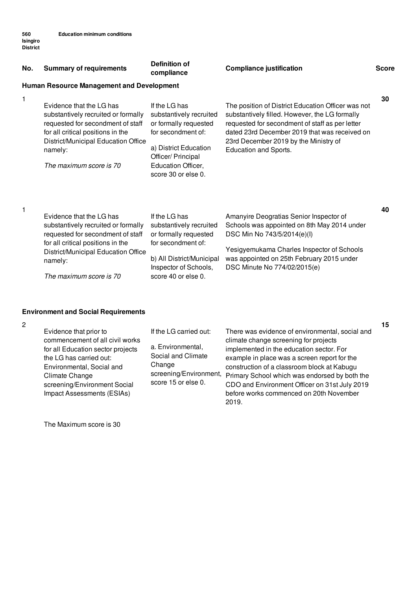| No. | <b>Summary of requirements</b>                                                                                                                                                                                         | <b>Definition of</b><br>compliance                                                                                                                                                  | <b>Compliance justification</b>                                                                                                                                                                                                                                            | <b>Score</b> |
|-----|------------------------------------------------------------------------------------------------------------------------------------------------------------------------------------------------------------------------|-------------------------------------------------------------------------------------------------------------------------------------------------------------------------------------|----------------------------------------------------------------------------------------------------------------------------------------------------------------------------------------------------------------------------------------------------------------------------|--------------|
|     | <b>Human Resource Management and Development</b>                                                                                                                                                                       |                                                                                                                                                                                     |                                                                                                                                                                                                                                                                            |              |
| 1   | Evidence that the LG has<br>substantively recruited or formally<br>requested for secondment of staff<br>for all critical positions in the<br>District/Municipal Education Office<br>namely:<br>The maximum score is 70 | If the LG has<br>substantively recruited<br>or formally requested<br>for secondment of:<br>a) District Education<br>Officer/ Principal<br>Education Officer,<br>score 30 or else 0. | The position of District Education Officer was not<br>substantively filled. However, the LG formally<br>requested for secondment of staff as per letter<br>dated 23rd December 2019 that was received on<br>23rd December 2019 by the Ministry of<br>Education and Sports. | 30           |
| 1   | Evidence that the LG has<br>substantively recruited or formally<br>requested for secondment of staff<br>for all critical positions in the<br>District/Municipal Education Office<br>namely:<br>The maximum score is 70 | If the LG has<br>substantively recruited<br>or formally requested<br>for secondment of:<br>b) All District/Municipal<br>Inspector of Schools,<br>score 40 or else 0.                | Amanyire Deogratias Senior Inspector of<br>Schools was appointed on 8th May 2014 under<br>DSC Min No 743/5/2014(e)(l)<br>Yesigyemukama Charles Inspector of Schools<br>was appointed on 25th February 2015 under<br>DSC Minute No 774/02/2015(e)                           | 40           |

## **Environment and Social Requirements**

2

|                                                                                                                                                                                                                                        |                                                                                                                              |                                                                                                                                                                                                                                                                                                                                                                                           | 15 |
|----------------------------------------------------------------------------------------------------------------------------------------------------------------------------------------------------------------------------------------|------------------------------------------------------------------------------------------------------------------------------|-------------------------------------------------------------------------------------------------------------------------------------------------------------------------------------------------------------------------------------------------------------------------------------------------------------------------------------------------------------------------------------------|----|
| Evidence that prior to<br>commencement of all civil works<br>for all Education sector projects<br>the LG has carried out:<br>Environmental, Social and<br>Climate Change<br>screening/Environment Social<br>Impact Assessments (ESIAs) | If the LG carried out:<br>a. Environmental,<br>Social and Climate<br>Change<br>screening/Environment,<br>score 15 or else 0. | There was evidence of environmental, social and<br>climate change screening for projects<br>implemented in the education sector. For<br>example in place was a screen report for the<br>construction of a classroom block at Kabugu<br>Primary School which was endorsed by both the<br>CDO and Environment Officer on 31st July 2019<br>before works commenced on 20th November<br>2019. |    |

The Maximum score is 30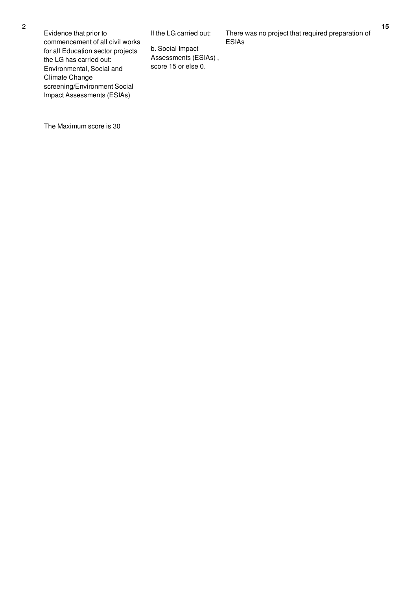Evidence that prior to commencement of all civil works for all Education sector projects the LG has carried out: Environmental, Social and Climate Change screening/Environment Social Impact Assessments (ESIAs)

If the LG carried out:

b. Social Impact Assessments (ESIAs) , score 15 or else 0.

There was no project that required preparation of ESIAs

The Maximum score is 30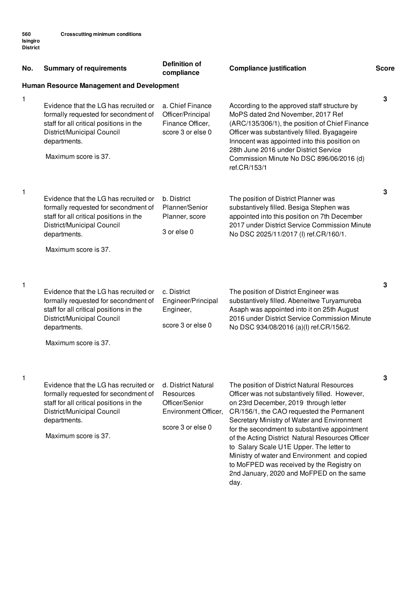| No. | <b>Summary of requirements</b>                                                                                                                                                                 | <b>Definition of</b><br>compliance                                                              | <b>Compliance justification</b>                                                                                                                                                                                                                                                                                                                                                                                                                                                                                                     | <b>Score</b> |
|-----|------------------------------------------------------------------------------------------------------------------------------------------------------------------------------------------------|-------------------------------------------------------------------------------------------------|-------------------------------------------------------------------------------------------------------------------------------------------------------------------------------------------------------------------------------------------------------------------------------------------------------------------------------------------------------------------------------------------------------------------------------------------------------------------------------------------------------------------------------------|--------------|
|     | Human Resource Management and Development                                                                                                                                                      |                                                                                                 |                                                                                                                                                                                                                                                                                                                                                                                                                                                                                                                                     |              |
| 1   | Evidence that the LG has recruited or<br>formally requested for secondment of<br>staff for all critical positions in the<br>District/Municipal Council<br>departments.<br>Maximum score is 37. | a. Chief Finance<br>Officer/Principal<br>Finance Officer,<br>score 3 or else 0                  | According to the approved staff structure by<br>MoPS dated 2nd November, 2017 Ref<br>(ARC/135/306/1), the position of Chief Finance<br>Officer was substantively filled. Byagageire<br>Innocent was appointed into this position on<br>28th June 2016 under District Service<br>Commission Minute No DSC 896/06/2016 (d)<br>ref.CR/153/1                                                                                                                                                                                            | 3            |
| 1   | Evidence that the LG has recruited or<br>formally requested for secondment of<br>staff for all critical positions in the<br>District/Municipal Council<br>departments.<br>Maximum score is 37. | b. District<br>Planner/Senior<br>Planner, score<br>3 or else 0                                  | The position of District Planner was<br>substantively filled. Besiga Stephen was<br>appointed into this position on 7th December<br>2017 under District Service Commission Minute<br>No DSC 2025/11/2017 (I) ref.CR/160/1.                                                                                                                                                                                                                                                                                                          | 3            |
| 1   | Evidence that the LG has recruited or<br>formally requested for secondment of<br>staff for all critical positions in the<br>District/Municipal Council<br>departments.<br>Maximum score is 37. | c. District<br>Engineer/Principal<br>Engineer,<br>score 3 or else 0                             | The position of District Engineer was<br>substantively filled. Abeneitwe Turyamureba<br>Asaph was appointed into it on 25th August<br>2016 under District Service Commission Minute<br>No DSC 934/08/2016 (a)(l) ref.CR/156/2.                                                                                                                                                                                                                                                                                                      | 3            |
| 1   | Evidence that the LG has recruited or<br>formally requested for secondment of<br>staff for all critical positions in the<br>District/Municipal Council<br>departments.<br>Maximum score is 37. | d. District Natural<br>Resources<br>Officer/Senior<br>Environment Officer,<br>score 3 or else 0 | The position of District Natural Resources<br>Officer was not substantively filled. However,<br>on 23rd December, 2019 through letter<br>CR/156/1, the CAO requested the Permanent<br>Secretary Ministry of Water and Environment<br>for the secondment to substantive appointment<br>of the Acting District Natural Resources Officer<br>to Salary Scale U1E Upper. The letter to<br>Ministry of water and Environment and copied<br>to MoFPED was received by the Registry on<br>2nd January, 2020 and MoFPED on the same<br>day. | 3            |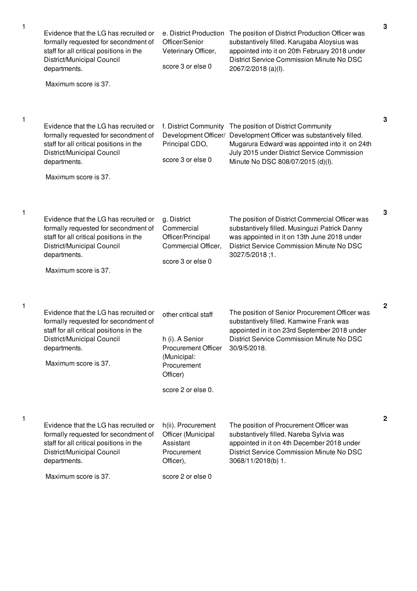| 1 | Evidence that the LG has recruited or<br>formally requested for secondment of<br>staff for all critical positions in the<br>District/Municipal Council<br>departments.<br>Maximum score is 37. | e. District Production<br>Officer/Senior<br>Veterinary Officer,<br>score 3 or else 0                                                  | The position of District Production Officer was<br>substantively filled. Karugaba Aloysius was<br>appointed into it on 20th February 2018 under<br>District Service Commission Minute No DSC<br>2067/2/2018 (a)(l).      | 3            |
|---|------------------------------------------------------------------------------------------------------------------------------------------------------------------------------------------------|---------------------------------------------------------------------------------------------------------------------------------------|--------------------------------------------------------------------------------------------------------------------------------------------------------------------------------------------------------------------------|--------------|
| 1 | Evidence that the LG has recruited or<br>formally requested for secondment of<br>staff for all critical positions in the<br>District/Municipal Council<br>departments.<br>Maximum score is 37. | f. District Community<br>Development Officer/<br>Principal CDO,<br>score 3 or else 0                                                  | The position of District Community<br>Development Officer was substantively filled.<br>Mugarura Edward was appointed into it on 24th<br>July 2015 under District Service Commission<br>Minute No DSC 808/07/2015 (d)(l). | 3            |
| 1 | Evidence that the LG has recruited or<br>formally requested for secondment of<br>staff for all critical positions in the<br>District/Municipal Council<br>departments.<br>Maximum score is 37. | g. District<br>Commercial<br>Officer/Principal<br>Commercial Officer,<br>score 3 or else 0                                            | The position of District Commercial Officer was<br>substantively filled. Musinguzi Patrick Danny<br>was appointed in it on 13th June 2018 under<br>District Service Commission Minute No DSC<br>3027/5/2018;1.           | 3            |
| 1 | Evidence that the LG has recruited or<br>formally requested for secondment of<br>staff for all critical positions in the<br>District/Municipal Council<br>departments.<br>Maximum score is 37. | other critical staff<br>h (i). A Senior<br><b>Procurement Officer</b><br>(Municipal:<br>Procurement<br>Officer)<br>score 2 or else 0. | The position of Senior Procurement Officer was<br>substantively filled. Kamwine Frank was<br>appointed in it on 23rd September 2018 under<br>District Service Commission Minute No DSC<br>30/9/5/2018.                   | $\mathbf{2}$ |
| 1 | Evidence that the LG has recruited or<br>formally requested for secondment of<br>staff for all critical positions in the<br>District/Municipal Council<br>departments.<br>Maximum score is 37. | h(ii). Procurement<br>Officer (Municipal<br>Assistant<br>Procurement<br>Officer),<br>score 2 or else 0                                | The position of Procurement Officer was<br>substantively filled. Nareba Sylvia was<br>appointed in it on 4th December 2018 under<br>District Service Commission Minute No DSC<br>3068/11/2018(b) 1.                      | $\mathbf{2}$ |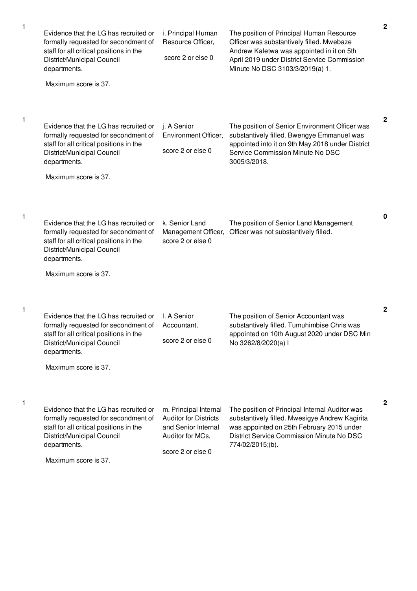| 1 | Evidence that the LG has recruited or<br>formally requested for secondment of<br>staff for all critical positions in the<br>District/Municipal Council<br>departments.<br>Maximum score is 37. | i. Principal Human<br>Resource Officer,<br>score 2 or else 0                                                          | The position of Principal Human Resource<br>Officer was substantively filled. Mwebaze<br>Andrew Kaletwa was appointed in it on 5th<br>April 2019 under District Service Commission<br>Minute No DSC 3103/3/2019(a) 1. | $\mathbf 2$  |
|---|------------------------------------------------------------------------------------------------------------------------------------------------------------------------------------------------|-----------------------------------------------------------------------------------------------------------------------|-----------------------------------------------------------------------------------------------------------------------------------------------------------------------------------------------------------------------|--------------|
| 1 | Evidence that the LG has recruited or<br>formally requested for secondment of<br>staff for all critical positions in the<br>District/Municipal Council<br>departments.<br>Maximum score is 37. | j. A Senior<br>Environment Officer,<br>score 2 or else 0                                                              | The position of Senior Environment Officer was<br>substantively filled. Bwengye Emmanuel was<br>appointed into it on 9th May 2018 under District<br>Service Commission Minute No DSC<br>3005/3/2018.                  | $\mathbf{2}$ |
| 1 | Evidence that the LG has recruited or<br>formally requested for secondment of<br>staff for all critical positions in the<br>District/Municipal Council<br>departments.<br>Maximum score is 37. | k. Senior Land<br>Management Officer,<br>score 2 or else 0                                                            | The position of Senior Land Management<br>Officer was not substantively filled.                                                                                                                                       | $\bf{0}$     |
| 1 | Evidence that the LG has recruited or<br>formally requested for secondment of<br>staff for all critical positions in the<br>District/Municipal Council<br>departments.<br>Maximum score is 37. | I. A Senior<br>Accountant,<br>score 2 or else 0                                                                       | The position of Senior Accountant was<br>substantively filled. Tumuhimbise Chris was<br>appointed on 10th August 2020 under DSC Min<br>No 3262/8/2020(a) I                                                            | 2            |
| 1 | Evidence that the LG has recruited or<br>formally requested for secondment of<br>staff for all critical positions in the<br>District/Municipal Council<br>departments.<br>Maximum score is 37. | m. Principal Internal<br><b>Auditor for Districts</b><br>and Senior Internal<br>Auditor for MCs,<br>score 2 or else 0 | The position of Principal Internal Auditor was<br>substantively filled. Mwesigye Andrew Kagirita<br>was appointed on 25th February 2015 under<br>District Service Commission Minute No DSC<br>774/02/2015;(b).        | $\mathbf{2}$ |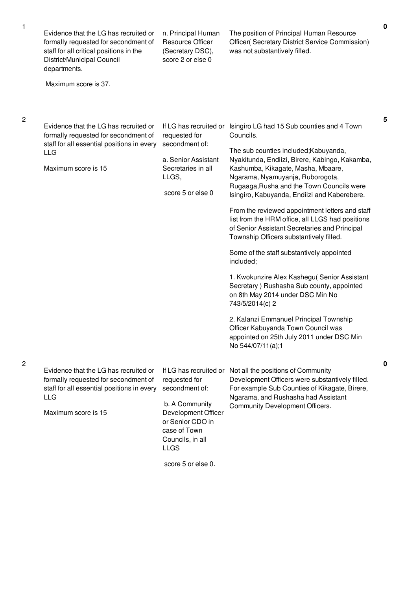| Evidence that the LG has recruited or<br>formally requested for secondment of<br>staff for all critical positions in the<br>District/Municipal Council<br>departments. | n. Principal Human<br>Resource Officer<br>(Secretary DSC),<br>score 2 or else 0                                                                                           | The position of Principal Human Resource<br>Officer(Secretary District Service Commission)<br>was not substantively filled.                                                                                                                                                                                                                                                                                                                                                                                                                                                                                                                                                                                                                                                           |
|------------------------------------------------------------------------------------------------------------------------------------------------------------------------|---------------------------------------------------------------------------------------------------------------------------------------------------------------------------|---------------------------------------------------------------------------------------------------------------------------------------------------------------------------------------------------------------------------------------------------------------------------------------------------------------------------------------------------------------------------------------------------------------------------------------------------------------------------------------------------------------------------------------------------------------------------------------------------------------------------------------------------------------------------------------------------------------------------------------------------------------------------------------|
| Maximum score is 37.                                                                                                                                                   |                                                                                                                                                                           |                                                                                                                                                                                                                                                                                                                                                                                                                                                                                                                                                                                                                                                                                                                                                                                       |
| Evidence that the LG has recruited or<br>formally requested for secondment of<br>staff for all essential positions in every<br>LLG<br>Maximum score is 15              | If LG has recruited or<br>requested for<br>secondment of:<br>a. Senior Assistant<br>Secretaries in all<br>LLGS,<br>score 5 or else 0                                      | Isingiro LG had 15 Sub counties and 4 Town<br>Councils.<br>The sub counties included; Kabuyanda,<br>Nyakitunda, Endiizi, Birere, Kabingo, Kakamba,<br>Kashumba, Kikagate, Masha, Mbaare,<br>Ngarama, Nyamuyanja, Ruborogota,<br>Rugaaga, Rusha and the Town Councils were<br>Isingiro, Kabuyanda, Endiizi and Kaberebere.<br>From the reviewed appointment letters and staff<br>list from the HRM office, all LLGS had positions<br>of Senior Assistant Secretaries and Principal<br>Township Officers substantively filled.<br>Some of the staff substantively appointed<br>included;<br>1. Kwokunzire Alex Kashegu (Senior Assistant<br>Secretary ) Rushasha Sub county, appointed<br>on 8th May 2014 under DSC Min No<br>743/5/2014(c) 2<br>2. Kalanzi Emmanuel Principal Township |
|                                                                                                                                                                        |                                                                                                                                                                           | Officer Kabuyanda Town Council was<br>appointed on 25th July 2011 under DSC Min<br>No 544/07/11(a);1                                                                                                                                                                                                                                                                                                                                                                                                                                                                                                                                                                                                                                                                                  |
| Evidence that the LG has recruited or<br>formally requested for secondment of<br>staff for all essential positions in every<br><b>LLG</b><br>Maximum score is 15       | If LG has recruited or<br>requested for<br>secondment of:<br>b. A Community<br>Development Officer<br>or Senior CDO in<br>case of Town<br>Councils, in all<br><b>LLGS</b> | Not all the positions of Community<br>Development Officers were substantively filled.<br>For example Sub Counties of Kikagate, Birere,<br>Ngarama, and Rushasha had Assistant<br>Community Development Officers.                                                                                                                                                                                                                                                                                                                                                                                                                                                                                                                                                                      |

2

2

score 5 or else 0.

**5**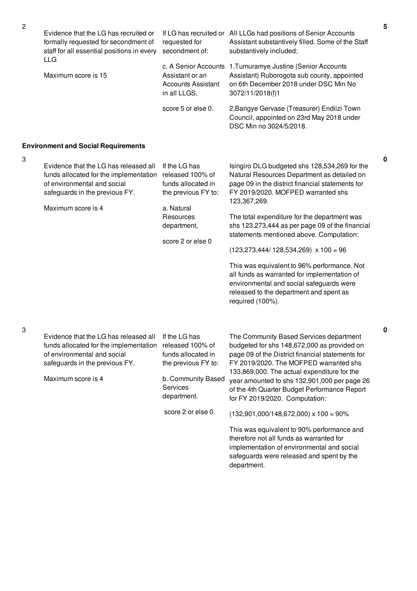| $\sqrt{2}$ | Evidence that the LG has recruited or<br>formally requested for secondment of<br>staff for all essential positions in every                                                     | requested for<br>secondment of:                                                      | If LG has recruited or All LLGs had positions of Senior Accounts<br>Assistant substantively filled. Some of the Staff<br>substantively included;                                                       |
|------------|---------------------------------------------------------------------------------------------------------------------------------------------------------------------------------|--------------------------------------------------------------------------------------|--------------------------------------------------------------------------------------------------------------------------------------------------------------------------------------------------------|
|            | LLG<br>Maximum score is 15                                                                                                                                                      | c. A Senior Accounts<br>Assistant or an<br><b>Accounts Assistant</b><br>in all LLGS, | 1. Tumuramye Justine (Senior Accounts<br>Assistant) Ruborogota sub county, appointed<br>on 6th December 2018 under DSC Min No<br>3072/11/2018(f)1                                                      |
|            |                                                                                                                                                                                 | score 5 or else 0.                                                                   | 2, Barigye Gervase (Treasurer) Endiizi Town<br>Council, appointed on 23rd May 2018 under<br>DSC Min no 3024/5/2018.                                                                                    |
|            | <b>Environment and Social Requirements</b>                                                                                                                                      |                                                                                      |                                                                                                                                                                                                        |
| 3          | Evidence that the LG has released all<br>funds allocated for the implementation<br>of environmental and social<br>safeguards in the previous FY.                                | If the LG has<br>released 100% of<br>funds allocated in<br>the previous FY to:       | Isingiro DLG budgeted shs 128,534,269 for the<br>Natural Resources Department as detailed on<br>page 09 in the district financial statements for<br>FY 2019/2020. MOFPED warranted shs<br>123,367,269. |
|            | Maximum score is 4                                                                                                                                                              | a. Natural<br>Resources<br>department,<br>score 2 or else 0                          | The total expenditure for the department was<br>shs 123,273,444 as per page 09 of the financial<br>statements mentioned above. Computation:                                                            |
|            |                                                                                                                                                                                 |                                                                                      | $(123,273,444/128,534,269)$ x 100 = 96                                                                                                                                                                 |
|            |                                                                                                                                                                                 |                                                                                      | This was equivalent to 96% performance. Not<br>all funds as warranted for implementation of<br>environmental and social safeguards were<br>released to the department and spent as<br>required (100%). |
| 3          | Evidence that the LG has released all If the LG has<br>funds allocated for the implementation released 100% of<br>of environmental and social<br>safeguards in the previous FY. | funds allocated in<br>the previous FY to:                                            | The Community Based Services department<br>budgeted for shs 148,672,000 as provided on<br>page 09 of the District financial statements for<br>FY 2019/2020. The MOFPED warranted shs                   |
|            | Maximum score is 4                                                                                                                                                              | b. Community Based<br>Services<br>department.                                        | 133,869,000. The actual expenditure for the<br>year amounted to shs 132,901,000 per page 26<br>of the 4th Quarter Budget Performance Report<br>for FY 2019/2020. Computation:                          |
|            |                                                                                                                                                                                 | score 2 or else 0.                                                                   | $(132,901,000/148,672,000) \times 100 = 90\%$                                                                                                                                                          |
|            |                                                                                                                                                                                 |                                                                                      | This was equivalent to 90% performance and<br>therefore not all funds as warranted for<br>implementation of environmental and social<br>safeguards were released and spent by the<br>department.       |

**0**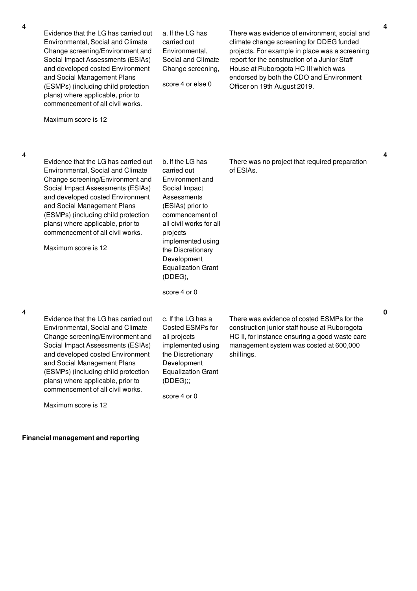|   | Evidence that the LG has carried out<br>Environmental, Social and Climate<br>Change screening/Environment and<br>Social Impact Assessments (ESIAs)<br>and developed costed Environment<br>and Social Management Plans<br>(ESMPs) (including child protection<br>plans) where applicable, prior to<br>commencement of all civil works.                        | a. If the LG has<br>carried out<br>Environmental,<br>Social and Climate<br>Change screening,<br>score 4 or else 0                                                                                                                                                                 | There was evidence of environment, social and<br>climate change screening for DDEG funded<br>projects. For example in place was a screening<br>report for the construction of a Junior Staff<br>House at Ruborogota HC III which was<br>endorsed by both the CDO and Environment<br>Officer on 19th August 2019. |   |
|---|--------------------------------------------------------------------------------------------------------------------------------------------------------------------------------------------------------------------------------------------------------------------------------------------------------------------------------------------------------------|-----------------------------------------------------------------------------------------------------------------------------------------------------------------------------------------------------------------------------------------------------------------------------------|------------------------------------------------------------------------------------------------------------------------------------------------------------------------------------------------------------------------------------------------------------------------------------------------------------------|---|
|   | Maximum score is 12                                                                                                                                                                                                                                                                                                                                          |                                                                                                                                                                                                                                                                                   |                                                                                                                                                                                                                                                                                                                  |   |
| 4 | Evidence that the LG has carried out<br>Environmental, Social and Climate<br>Change screening/Environment and<br>Social Impact Assessments (ESIAs)<br>and developed costed Environment<br>and Social Management Plans<br>(ESMPs) (including child protection<br>plans) where applicable, prior to<br>commencement of all civil works.<br>Maximum score is 12 | b. If the LG has<br>carried out<br>Environment and<br>Social Impact<br>Assessments<br>(ESIAs) prior to<br>commencement of<br>all civil works for all<br>projects<br>implemented using<br>the Discretionary<br>Development<br><b>Equalization Grant</b><br>(DDEG),<br>score 4 or 0 | There was no project that required preparation<br>of ESIAs.                                                                                                                                                                                                                                                      | 4 |
| 4 | Evidence that the LG has carried out<br>Environmental, Social and Climate<br>Change screening/Environment and<br>Social Impact Assessments (ESIAs)<br>and developed costed Environment<br>and Social Management Plans<br>(ESMPs) (including child protection<br>plans) where applicable, prior to<br>commencement of all civil works.<br>Maximum score is 12 | c. If the LG has a<br>Costed ESMPs for<br>all projects<br>implemented using<br>the Discretionary<br>Development<br><b>Equalization Grant</b><br>(DDEG);<br>score 4 or 0                                                                                                           | There was evidence of costed ESMPs for the<br>construction junior staff house at Ruborogota<br>HC II, for instance ensuring a good waste care<br>management system was costed at 600,000<br>shillings.                                                                                                           | 0 |

**Financial management and reporting**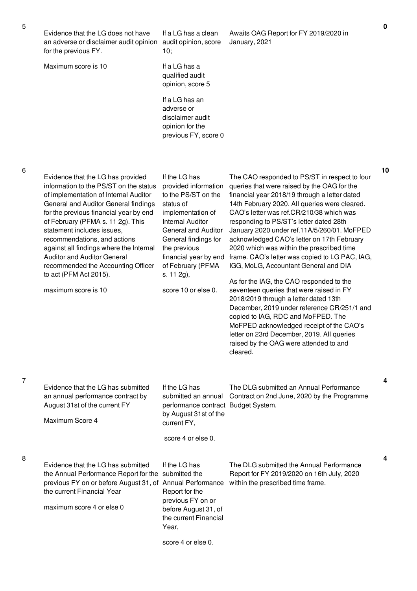| Evidence that the LG does not have<br>an adverse or disclaimer audit opinion<br>for the previous FY.                                                                                                                                                                                                                                                                                                                                                       | If a LG has a clean<br>audit opinion, score<br>10;                                                                                                                                                                                                          | Awaits OAG Report for FY 2019/2020 in<br>January, 2021                                                                                                                                                                                                                                                                                                                                                                                                                                                                                                                 | $\mathbf 0$ |
|------------------------------------------------------------------------------------------------------------------------------------------------------------------------------------------------------------------------------------------------------------------------------------------------------------------------------------------------------------------------------------------------------------------------------------------------------------|-------------------------------------------------------------------------------------------------------------------------------------------------------------------------------------------------------------------------------------------------------------|------------------------------------------------------------------------------------------------------------------------------------------------------------------------------------------------------------------------------------------------------------------------------------------------------------------------------------------------------------------------------------------------------------------------------------------------------------------------------------------------------------------------------------------------------------------------|-------------|
| Maximum score is 10                                                                                                                                                                                                                                                                                                                                                                                                                                        | If a LG has a<br>qualified audit<br>opinion, score 5                                                                                                                                                                                                        |                                                                                                                                                                                                                                                                                                                                                                                                                                                                                                                                                                        |             |
|                                                                                                                                                                                                                                                                                                                                                                                                                                                            | If a LG has an<br>adverse or<br>disclaimer audit<br>opinion for the<br>previous FY, score 0                                                                                                                                                                 |                                                                                                                                                                                                                                                                                                                                                                                                                                                                                                                                                                        |             |
|                                                                                                                                                                                                                                                                                                                                                                                                                                                            |                                                                                                                                                                                                                                                             |                                                                                                                                                                                                                                                                                                                                                                                                                                                                                                                                                                        |             |
| Evidence that the LG has provided<br>information to the PS/ST on the status<br>of implementation of Internal Auditor<br>General and Auditor General findings<br>for the previous financial year by end<br>of February (PFMA s. 11 2g). This<br>statement includes issues,<br>recommendations, and actions<br>against all findings where the Internal<br><b>Auditor and Auditor General</b><br>recommended the Accounting Officer<br>to act (PFM Act 2015). | If the LG has<br>provided information<br>to the PS/ST on the<br>status of<br>implementation of<br><b>Internal Auditor</b><br><b>General and Auditor</b><br>General findings for<br>the previous<br>financial year by end<br>of February (PFMA<br>s. 11 2g), | The CAO responded to PS/ST in respect to four<br>queries that were raised by the OAG for the<br>financial year 2018/19 through a letter dated<br>14th February 2020. All queries were cleared.<br>CAO's letter was ref.CR/210/38 which was<br>responding to PS/ST's letter dated 28th<br>January 2020 under ref.11A/5/260/01. MoFPED<br>acknowledged CAO's letter on 17th February<br>2020 which was within the prescribed time<br>frame. CAO's letter was copied to LG PAC, IAG,<br>IGG, MoLG, Accountant General and DIA<br>As for the IAG, the CAO responded to the | 10          |
| maximum score is 10                                                                                                                                                                                                                                                                                                                                                                                                                                        | score 10 or else 0.                                                                                                                                                                                                                                         | seventeen queries that were raised in FY<br>2018/2019 through a letter dated 13th<br>December, 2019 under reference CR/251/1 and<br>copied to IAG, RDC and MoFPED. The<br>MoFPED acknowledged receipt of the CAO's<br>letter on 23rd December, 2019. All queries<br>raised by the OAG were attended to and<br>cleared.                                                                                                                                                                                                                                                 |             |
| Evidence that the LG has submitted                                                                                                                                                                                                                                                                                                                                                                                                                         | If the LG has                                                                                                                                                                                                                                               | The DLG submitted an Annual Performance                                                                                                                                                                                                                                                                                                                                                                                                                                                                                                                                | 4           |
| an annual performance contract by<br>August 31st of the current FY                                                                                                                                                                                                                                                                                                                                                                                         | submitted an annual<br>performance contract Budget System.<br>by August 31st of the                                                                                                                                                                         | Contract on 2nd June, 2020 by the Programme                                                                                                                                                                                                                                                                                                                                                                                                                                                                                                                            |             |
| Maximum Score 4                                                                                                                                                                                                                                                                                                                                                                                                                                            | current FY,<br>score 4 or else 0.                                                                                                                                                                                                                           |                                                                                                                                                                                                                                                                                                                                                                                                                                                                                                                                                                        |             |
|                                                                                                                                                                                                                                                                                                                                                                                                                                                            |                                                                                                                                                                                                                                                             |                                                                                                                                                                                                                                                                                                                                                                                                                                                                                                                                                                        |             |
| Evidence that the LG has submitted<br>the Annual Performance Report for the<br>previous FY on or before August 31, of Annual Performance<br>the current Financial Year<br>maximum score 4 or else 0                                                                                                                                                                                                                                                        | If the LG has<br>submitted the<br>Report for the<br>previous FY on or<br>before August 31, of<br>the current Financial<br>Year,                                                                                                                             | The DLG submitted the Annual Performance<br>Report for FY 2019/2020 on 16th July, 2020<br>within the prescribed time frame.                                                                                                                                                                                                                                                                                                                                                                                                                                            | 4           |
|                                                                                                                                                                                                                                                                                                                                                                                                                                                            | score 4 or else 0.                                                                                                                                                                                                                                          |                                                                                                                                                                                                                                                                                                                                                                                                                                                                                                                                                                        |             |

6

7